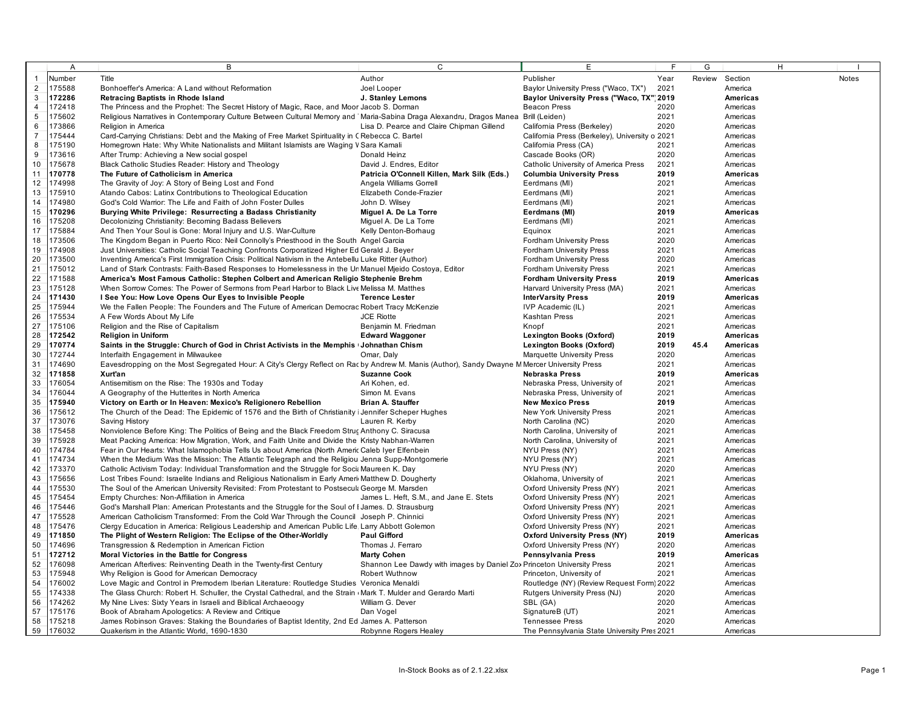|                         | $\overline{A}$   | B                                                                                                                                             | $\overline{c}$                                                         | E                                                | E            | G      |                      | H |              |
|-------------------------|------------------|-----------------------------------------------------------------------------------------------------------------------------------------------|------------------------------------------------------------------------|--------------------------------------------------|--------------|--------|----------------------|---|--------------|
| $\mathbf{1}$            | Number           | Title                                                                                                                                         | Author                                                                 | Publisher                                        | Year         | Review | Section              |   | <b>Notes</b> |
| $\overline{c}$          | 175588           | Bonhoeffer's America: A Land without Reformation                                                                                              | Joel Looper                                                            | Baylor University Press ("Waco, TX")             | 2021         |        | America              |   |              |
| $\overline{3}$          | 172286           | Retracing Baptists in Rhode Island                                                                                                            | J. Stanley Lemons                                                      | Baylor University Press ("Waco, TX" 2019         |              |        | Americas             |   |              |
| $\overline{\mathbf{4}}$ | 172418           | The Princess and the Prophet: The Secret History of Magic, Race, and Moor Jacob S. Dorman                                                     |                                                                        | <b>Beacon Press</b>                              | 2020         |        | Americas             |   |              |
| $\overline{5}$          | 175602           | Religious Narratives in Contemporary Culture Between Cultural Memory and Maria-Sabina Draga Alexandru, Dragos Manea Brill (Leiden)            |                                                                        |                                                  | 2021         |        | Americas             |   |              |
| $\,6\,$                 | 173866           | Religion in America                                                                                                                           | Lisa D. Pearce and Claire Chipman Gillend                              | California Press (Berkeley)                      | 2020         |        | Americas             |   |              |
| $\overline{7}$          | 175444           | Card-Carrying Christians: Debt and the Making of Free Market Spirituality in C Rebecca C. Bartel                                              |                                                                        | California Press (Berkeley), University o 2021   |              |        | Americas             |   |              |
| $\,$ 8                  | 175190           | Homegrown Hate: Why White Nationalists and Militant Islamists are Waging V Sara Kamali                                                        |                                                                        | California Press (CA)                            | 2021         |        | Americas             |   |              |
| 9                       | 173616           | After Trump: Achieving a New social gospel                                                                                                    | Donald Heinz                                                           | Cascade Books (OR)                               | 2020         |        | Americas             |   |              |
| 10                      | 175678           | Black Catholic Studies Reader: History and Theology                                                                                           | David J. Endres, Editor                                                | Catholic University of America Press             | 2021         |        | Americas             |   |              |
| 11                      | 170778           | The Future of Catholicism in America                                                                                                          | Patricia O'Connell Killen, Mark Silk (Eds.)                            | <b>Columbia University Press</b>                 | 2019         |        | Americas             |   |              |
| 12                      | 174998           | The Gravity of Joy: A Story of Being Lost and Fond                                                                                            | Angela Williams Gorrell                                                | Eerdmans (MI)                                    | 2021         |        | Americas             |   |              |
| 13                      | 175910           | Atando Cabos: Latinx Contributions to Theological Education                                                                                   | Elizabeth Conde-Frazier                                                | Eerdmans (MI)                                    | 2021         |        | Americas             |   |              |
| 14                      | 174980           | God's Cold Warrior: The Life and Faith of John Foster Dulles                                                                                  | John D. Wilsey                                                         | Eerdmans (MI)                                    | 2021         |        | Americas             |   |              |
| 15                      | 170296           | Burying White Privilege: Resurrecting a Badass Christianity                                                                                   | Miguel A. De La Torre                                                  | Eerdmans (MI)                                    | 2019         |        | Americas             |   |              |
| 16                      | 175208           | Decolonizing Christianity: Becoming Badass Believers                                                                                          | Miquel A. De La Torre                                                  | Eerdmans (MI)                                    | 2021         |        | Americas             |   |              |
| 17                      | 175884           | And Then Your Soul is Gone: Moral Injury and U.S. War-Culture                                                                                 | Kelly Denton-Borhaug                                                   | Equinox                                          | 2021         |        | Americas             |   |              |
| 18                      | 173506           | The Kingdom Began in Puerto Rico: Neil Connolly's Priesthood in the South Angel Garcia                                                        |                                                                        | <b>Fordham University Press</b>                  | 2020         |        | Americas             |   |              |
| 19                      | 174908           | Just Universities: Catholic Social Teaching Confronts Corporatized Higher Ed Gerald J. Beyer                                                  |                                                                        | <b>Fordham University Press</b>                  | 2021         |        | Americas             |   |              |
| 20                      | 173500           | Inventing America's First Immigration Crisis: Political Nativism in the Antebellu Luke Ritter (Author)                                        |                                                                        | <b>Fordham University Press</b>                  | 2020         |        | Americas             |   |              |
| 21                      | 175012           | Land of Stark Contrasts: Faith-Based Responses to Homelessness in the Un Manuel Mjeido Costoya, Editor                                        |                                                                        | <b>Fordham University Press</b>                  | 2021         |        | Americas             |   |              |
| 22                      | 171588           | America's Most Famous Catholic: Stephen Colbert and American Religio Stephenie Brehm                                                          |                                                                        | <b>Fordham University Press</b>                  | 2019         |        | Americas             |   |              |
| 23                      | 175128           | When Sorrow Comes: The Power of Sermons from Pearl Harbor to Black Live Melissa M. Matthes                                                    |                                                                        | Harvard University Press (MA)                    | 2021         |        | Americas             |   |              |
| 24                      | 171430           | I See You: How Love Opens Our Eyes to Invisible People                                                                                        | <b>Terence Lester</b>                                                  | <b>InterVarsity Press</b>                        | 2019         |        | Americas             |   |              |
| 25                      | 175944           | We the Fallen People: The Founders and The Future of American Democrac Robert Tracy McKenzie                                                  |                                                                        | IVP Academic (IL)                                | 2021         |        | Americas             |   |              |
| 26                      | 175534           | A Few Words About My Life                                                                                                                     | <b>JCE Riotte</b>                                                      | <b>Kashtan Press</b>                             | 2021         |        | Americas             |   |              |
| 27                      | 175106           | Religion and the Rise of Capitalism                                                                                                           | Benjamin M. Friedman                                                   | Knopf                                            | 2021         |        | Americas             |   |              |
| 28                      | 172542           | <b>Religion in Uniform</b>                                                                                                                    | <b>Edward Waggoner</b>                                                 | <b>Lexington Books (Oxford)</b>                  | 2019         |        | Americas             |   |              |
| 29                      | 170774           | Saints in the Struggle: Church of God in Christ Activists in the Memphis (Johnathan Chism                                                     |                                                                        | Lexington Books (Oxford)                         | 2019         | 45.4   | Americas             |   |              |
| 30                      | 172744           | Interfaith Engagement in Milwaukee                                                                                                            | Omar, Daly                                                             | Marquette University Press                       | 2020         |        | Americas             |   |              |
| 31                      | 174690           | Eavesdropping on the Most Segregated Hour: A City's Clergy Reflect on Rac by Andrew M. Manis (Author), Sandy Dwayne M Mercer University Press |                                                                        |                                                  | 2021         |        | Americas             |   |              |
| 32<br>33                | 171858           | Xurt'an                                                                                                                                       | <b>Suzanne Cook</b>                                                    | Nebraska Press                                   | 2019         |        | Americas             |   |              |
|                         | 176054<br>176044 | Antisemitism on the Rise: The 1930s and Today                                                                                                 | Ari Kohen, ed.                                                         | Nebraska Press, University of                    | 2021         |        | Americas             |   |              |
| 34<br>35                | 175940           | A Geography of the Hutterites in North America                                                                                                | Simon M. Evans<br><b>Brian A. Stauffer</b>                             | Nebraska Press, University of                    | 2021<br>2019 |        | Americas             |   |              |
|                         | 175612           | Victory on Earth or In Heaven: Mexico's Religionero Rebellion                                                                                 |                                                                        | <b>New Mexico Press</b>                          | 2021         |        | Americas             |   |              |
| 36<br>37                | 173076           | The Church of the Dead: The Epidemic of 1576 and the Birth of Christianity i Jennifer Scheper Hughes<br>Saving History                        | Lauren R. Kerby                                                        | New York University Press<br>North Carolina (NC) | 2020         |        | Americas<br>Americas |   |              |
| 38                      | 175458           | Nonviolence Before King: The Politics of Being and the Black Freedom Struc Anthony C. Siracusa                                                |                                                                        | North Carolina, University of                    | 2021         |        | Americas             |   |              |
| 39                      | 175928           | Meat Packing America: How Migration, Work, and Faith Unite and Divide the Kristy Nabhan-Warren                                                |                                                                        | North Carolina, University of                    | 2021         |        | Americas             |   |              |
| 40                      | 174784           | Fear in Our Hearts: What Islamophobia Tells Us about America (North Americ Caleb Iyer Elfenbein                                               |                                                                        | NYU Press (NY)                                   | 2021         |        | Americas             |   |              |
| 41                      | 174734           | When the Medium Was the Mission: The Atlantic Telegraph and the Religiou Jenna Supp-Montgomerie                                               |                                                                        | NYU Press (NY)                                   | 2021         |        | Americas             |   |              |
| 42                      | 173370           | Catholic Activism Today: Individual Transformation and the Struggle for Socia Maureen K. Day                                                  |                                                                        | NYU Press (NY)                                   | 2020         |        | Americas             |   |              |
| 43                      | 175656           | Lost Tribes Found: Israelite Indians and Religious Nationalism in Early Ameri Matthew D. Dougherty                                            |                                                                        | Oklahoma, University of                          | 2021         |        | Americas             |   |              |
| 44                      | 175530           | The Soul of the American University Revisited: From Protestant to Postsecul George M. Marsden                                                 |                                                                        | Oxford University Press (NY)                     | 2021         |        | Americas             |   |              |
| 45                      | 175454           | Empty Churches: Non-Affiliation in America                                                                                                    | James L. Heft, S.M., and Jane E. Stets                                 | Oxford University Press (NY)                     | 2021         |        | Americas             |   |              |
| 46                      | 175446           | God's Marshall Plan: American Protestants and the Struggle for the Soul of I James. D. Strausburg                                             |                                                                        | Oxford University Press (NY)                     | 2021         |        | Americas             |   |              |
| 47                      | 175528           | American Catholicism Transformed: From the Cold War Through the Council Joseph P. Chinnici                                                    |                                                                        | Oxford University Press (NY)                     | 2021         |        | Americas             |   |              |
| 48                      | 175476           | Clergy Education in America: Religious Leadership and American Public Life, Larry Abbott Golemon                                              |                                                                        | Oxford University Press (NY)                     | 2021         |        | Americas             |   |              |
| 49                      | 171850           | The Plight of Western Religion: The Eclipse of the Other-Worldly                                                                              | <b>Paul Gifford</b>                                                    | <b>Oxford University Press (NY)</b>              | 2019         |        | Americas             |   |              |
| 50                      | 174696           | Transgression & Redemption in American Fiction                                                                                                | Thomas J. Ferraro                                                      | Oxford University Press (NY)                     | 2020         |        | Americas             |   |              |
| 51                      | 172712           | Moral Victories in the Battle for Congress                                                                                                    | <b>Marty Cohen</b>                                                     | Pennsylvania Press                               | 2019         |        | Americas             |   |              |
| 52                      | 176098           | American Afterlives: Reinventing Death in the Twenty-first Century                                                                            | Shannon Lee Dawdy with images by Daniel Zox Princeton University Press |                                                  | 2021         |        | Americas             |   |              |
| 53                      | 175948           | Why Religion is Good for American Democracy                                                                                                   | <b>Robert Wuthnow</b>                                                  | Princeton, University of                         | 2021         |        | Americas             |   |              |
| 54                      | 176002           | Love Magic and Control in Premodem Iberian Literature: Routledge Studies Veronica Menaldi                                                     |                                                                        | Routledge (NY) (Review Request Form) 2022        |              |        | Americas             |   |              |
| 55                      | 174338           | The Glass Church: Robert H. Schuller, the Crystal Cathedral, and the Strain (Mark T. Mulder and Gerardo Marti                                 |                                                                        | Rutgers University Press (NJ)                    | 2020         |        | Americas             |   |              |
| 56                      | 174262           | My Nine Lives: Sixty Years in Israeli and Biblical Archaeoogy                                                                                 | William G. Dever                                                       | SBL (GA)                                         | 2020         |        | Americas             |   |              |
| 57                      | 175176           | Book of Abraham Apologetics: A Review and Critique                                                                                            | Dan Vogel                                                              | SignatureB (UT)                                  | 2021         |        | Americas             |   |              |
| 58                      | 175218           | James Robinson Graves: Staking the Boundaries of Baptist Identity, 2nd Ed James A. Patterson                                                  |                                                                        | <b>Tennessee Press</b>                           | 2020         |        | Americas             |   |              |
| 59                      | 176032           | Quakerism in the Atlantic World, 1690-1830                                                                                                    | Robynne Rogers Healey                                                  | The Pennsylvania State University Pres 2021      |              |        | Americas             |   |              |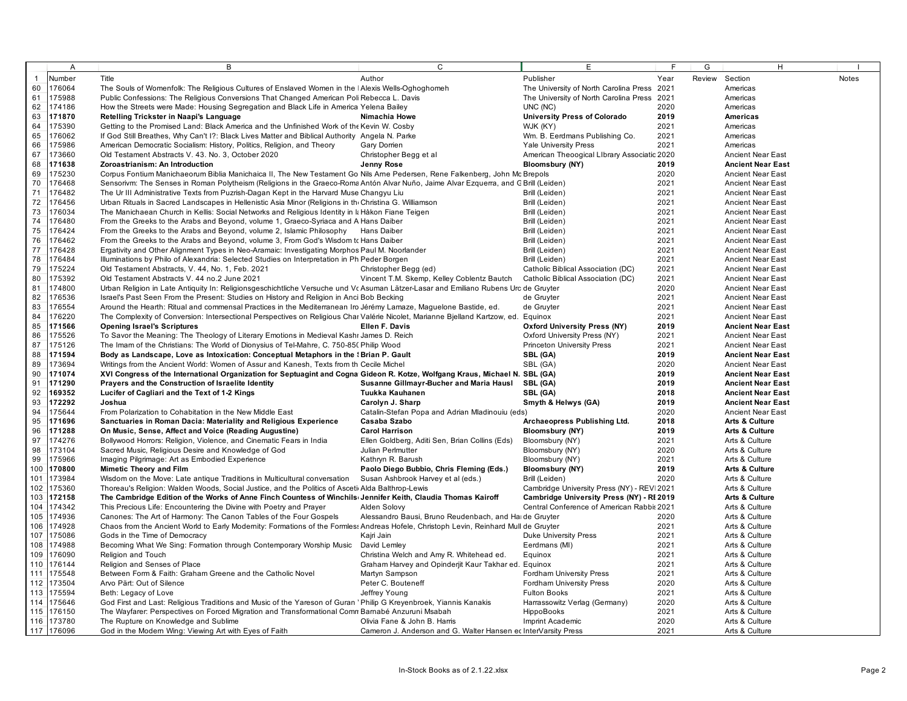|            | $\overline{A}$   | B                                                                                                                                                                         | $\mathsf{C}$                                                                                   | E                                           |              | G | H.                                                   |              |
|------------|------------------|---------------------------------------------------------------------------------------------------------------------------------------------------------------------------|------------------------------------------------------------------------------------------------|---------------------------------------------|--------------|---|------------------------------------------------------|--------------|
|            | Number           | Title                                                                                                                                                                     | Author                                                                                         | Publisher                                   | Year         |   | Review Section                                       | <b>Notes</b> |
| 60         | 176064           | The Souls of Womenfolk: The Religious Cultures of Enslaved Women in the   Alexis Wells-Oghoghomeh                                                                         |                                                                                                | The University of North Carolina Press 2021 |              |   | Americas                                             |              |
| 61         | 175988           | Public Confessions: The Religious Conversions That Changed American Poli Rebecca L. Davis                                                                                 |                                                                                                | The University of North Carolina Press      | 2021         |   | Americas                                             |              |
| 62         | 174186           | How the Streets were Made: Housing Segregation and Black Life in America Yelena Bailey                                                                                    |                                                                                                | UNC (NC)                                    | 2020         |   | Americas                                             |              |
| 63         | 171870           | Retelling Trickster in Naapi's Language                                                                                                                                   | Nimachia Howe                                                                                  | <b>University Press of Colorado</b>         | 2019         |   | Americas                                             |              |
| 64         | 175390           | Getting to the Promised Land: Black America and the Unfinished Work of the Kevin W. Cosby                                                                                 |                                                                                                | WJK (KY)                                    | 2021         |   | Americas                                             |              |
| 65         | 176062           | If God Still Breathes, Why Can't I?: Black Lives Matter and Biblical Authority Angela N. Parke                                                                            |                                                                                                | Wm. B. Eerdmans Publishing Co.              | 2021         |   | Americas                                             |              |
| 66         | 175986           | American Democratic Socialism: History, Politics, Religion, and Theory                                                                                                    | Gary Dorrien                                                                                   | <b>Yale University Press</b>                | 2021         |   | Americas                                             |              |
| 67         | 173660           | Old Testament Abstracts V. 43. No. 3, October 2020                                                                                                                        | Christopher Begg et al                                                                         | American Theoogical LIbrary Associatic 2020 |              |   | <b>Ancient Near East</b>                             |              |
| 68         | 171638           | Zoroastrianism: An Introduction                                                                                                                                           | Jenny Rose                                                                                     | <b>Bloomsbury (NY)</b>                      | 2019         |   | <b>Ancient Near East</b>                             |              |
| 69         | 175230           | Corpus Fontium Manichaeorum Biblia Manichaica II, The New Testament Go Nils Ame Pedersen, Rene Falkenberg, John Mc Brepols                                                |                                                                                                |                                             | 2020         |   | <b>Ancient Near East</b>                             |              |
| 70         | 176468           | Sensorivm: The Senses in Roman Polytheism (Religions in the Graeco-Roma Antón Alvar Nuño, Jaime Alvar Ezquerra, and G Brill (Leiden)                                      |                                                                                                |                                             | 2021         |   | <b>Ancient Near East</b>                             |              |
| 71         | 176482           | The Ur III Administrative Texts from Puzrish-Dagan Kept in the Harvard Muse Changyu Liu                                                                                   |                                                                                                | Brill (Leiden)                              | 2021         |   | <b>Ancient Near East</b>                             |              |
| 72         | 176456           | Urban Rituals in Sacred Landscapes in Hellenistic Asia Minor (Religions in the Christina G. Williamson                                                                    |                                                                                                | Brill (Leiden)                              | 2021         |   | <b>Ancient Near East</b>                             |              |
| 73         | 176034           | The Manichaean Church in Kellis: Social Networks and Religious Identity in It Håkon Fiane Teigen                                                                          |                                                                                                | Brill (Leiden)                              | 2021         |   | <b>Ancient Near East</b>                             |              |
| 74         | 176480           | From the Greeks to the Arabs and Beyond, volume 1, Graeco-Syriaca and A Hans Daiber                                                                                       |                                                                                                | Brill (Leiden)                              | 2021         |   | <b>Ancient Near East</b>                             |              |
| 75         | 176424           | From the Greeks to the Arabs and Beyond, volume 2, Islamic Philosophy Hans Daiber                                                                                         |                                                                                                | Brill (Leiden)                              | 2021         |   | <b>Ancient Near East</b>                             |              |
| 76         | 176462           | From the Greeks to the Arabs and Beyond, volume 3, From God's Wisdom to Hans Daiber                                                                                       |                                                                                                | Brill (Leiden)                              | 2021         |   | <b>Ancient Near East</b>                             |              |
| 77         | 176428           | Ergativity and Other Alignment Types in Neo-Aramaic: Investigating Morphos Paul M. Noorlander                                                                             |                                                                                                | Brill (Leiden)                              | 2021         |   | <b>Ancient Near East</b>                             |              |
| 78         | 176484           | Illuminations by Philo of Alexandria: Selected Studies on Interpretation in Ph Peder Borgen                                                                               |                                                                                                | Brill (Leiden)                              | 2021         |   | <b>Ancient Near East</b>                             |              |
| 79         | 175224           | Old Testament Abstracts, V. 44, No. 1, Feb. 2021                                                                                                                          | Christopher Begg (ed)                                                                          | Catholic Biblical Association (DC)          | 2021         |   | <b>Ancient Near East</b>                             |              |
| 80         | 175392           | Old Testament Abstracts V. 44 no.2 June 2021                                                                                                                              | Vincent T.M. Skemp, Kelley Coblentz Bautch                                                     | Catholic Biblical Association (DC)          | 2021         |   | <b>Ancient Near East</b>                             |              |
| 81         | 174800           | Urban Religion in Late Antiquity In: Religionsgeschichtliche Versuche und Vc Asuman Lätzer-Lasar and Emiliano Rubens Urc de Gruyter                                       |                                                                                                |                                             | 2020         |   | <b>Ancient Near East</b>                             |              |
| 82         | 176536           | Israel's Past Seen From the Present: Studies on History and Religion in Anci Bob Becking                                                                                  |                                                                                                | de Gruyter                                  | 2021         |   | <b>Ancient Near East</b>                             |              |
| 83<br>84   | 176554<br>176220 | Around the Hearth: Ritual and commensal Practices in the Mediterranean Iro Jérémy Lamaze, Maguelone Bastide, ed.                                                          |                                                                                                | de Gruyter                                  | 2021<br>2021 |   | <b>Ancient Near East</b>                             |              |
| 85         | 171566           | The Complexity of Conversion: Intersectional Perspectives on Religious Char Valérie Nicolet, Marianne Bjelland Kartzow, ed. Equinox<br><b>Opening Israel's Scriptures</b> | Ellen F. Davis                                                                                 | <b>Oxford University Press (NY)</b>         | 2019         |   | <b>Ancient Near East</b>                             |              |
| 86         | 175526           | To Savor the Meaning: The Theology of Literary Emotions in Medieval Kashr James D. Reich                                                                                  |                                                                                                | Oxford University Press (NY)                | 2021         |   | <b>Ancient Near East</b><br><b>Ancient Near East</b> |              |
| 87         | 175126           | The Imam of the Christians: The World of Dionysius of Tel-Mahre, C. 750-85 Philip Wood                                                                                    |                                                                                                | <b>Princeton University Press</b>           | 2021         |   | <b>Ancient Near East</b>                             |              |
| 88         | 171594           | Body as Landscape, Love as Intoxication: Conceptual Metaphors in the 'Brian P. Gault                                                                                      |                                                                                                | SBL (GA)                                    | 2019         |   | <b>Ancient Near East</b>                             |              |
| 89         | 173694           | Writings from the Ancient World: Women of Assur and Kanesh, Texts from th Cecile Michel                                                                                   |                                                                                                | SBL (GA)                                    | 2020         |   | <b>Ancient Near East</b>                             |              |
| 90         | 171074           | XVI Congress of the International Organization for Septuagint and Cogna Gideon R. Kotze, Wolfgang Kraus, Michael N. SBL (GA)                                              |                                                                                                |                                             | 2019         |   | <b>Ancient Near East</b>                             |              |
| 91         | 171290           | Prayers and the Construction of Israelite Identity                                                                                                                        | Susanne Gillmayr-Bucher and Maria Hausl                                                        | SBL (GA)                                    | 2019         |   | <b>Ancient Near East</b>                             |              |
| 92         | 169352           | Lucifer of Cagliari and the Text of 1-2 Kings                                                                                                                             | Tuukka Kauhanen                                                                                | SBL (GA)                                    | 2018         |   | <b>Ancient Near East</b>                             |              |
| 93         | 172292           | Joshua                                                                                                                                                                    | Carolyn J. Sharp                                                                               | Smyth & Helwys (GA)                         | 2019         |   | <b>Ancient Near East</b>                             |              |
| 94         | 175644           | From Polarization to Cohabitation in the New Middle East                                                                                                                  | Catalin-Stefan Popa and Adrian Mladinouiu (eds)                                                |                                             | 2020         |   | <b>Ancient Near East</b>                             |              |
| 95         | 171696           | Sanctuaries in Roman Dacia: Materiality and Religious Experience                                                                                                          | Casaba Szabo                                                                                   | Archaeopress Publishing Ltd.                | 2018         |   | <b>Arts &amp; Culture</b>                            |              |
| 96         | 171288           | On Music, Sense, Affect and Voice (Reading Augustine)                                                                                                                     | <b>Carol Harrison</b>                                                                          | <b>Bloomsbury (NY)</b>                      | 2019         |   | Arts & Culture                                       |              |
| 97         | 174276           | Bollywood Horrors: Religion, Violence, and Cinematic Fears in India                                                                                                       | Ellen Goldberg, Aditi Sen, Brian Collins (Eds)                                                 | Bloomsbury (NY)                             | 2021         |   | Arts & Culture                                       |              |
| 98         | 173104           | Sacred Music, Religious Desire and Knowledge of God                                                                                                                       | Julian Perlmutter                                                                              | Bloomsbury (NY)                             | 2020         |   | Arts & Culture                                       |              |
| 99         | 175966           | Imaging Pilgrimage: Art as Embodied Experience                                                                                                                            | Kathryn R. Barush                                                                              | Bloomsbury (NY)                             | 2021         |   | Arts & Culture                                       |              |
| 100        | 170800           | <b>Mimetic Theory and Film</b>                                                                                                                                            | Paolo Diego Bubbio, Chris Fleming (Eds.)                                                       | <b>Bloomsbury (NY)</b>                      | 2019         |   | <b>Arts &amp; Culture</b>                            |              |
| 101        | 173984           | Wisdom on the Move: Late antique Traditions in Multicultural conversation                                                                                                 | Susan Ashbrook Harvey et al (eds.)                                                             | Brill (Leiden)                              | 2020         |   | Arts & Culture                                       |              |
| 102        | 175360           | Thoreau's Religion: Walden Woods, Social Justice, and the Politics of Asceti Alda Balthrop-Lewis                                                                          |                                                                                                | Cambridge University Press (NY) - REV 2021  |              |   | Arts & Culture                                       |              |
| 103        | 172158           | The Cambridge Edition of the Works of Anne Finch Countess of Winchils Jennifer Keith, Claudia Thomas Kairoff                                                              |                                                                                                | Cambridge University Press (NY) - RI 2019   |              |   | <b>Arts &amp; Culture</b>                            |              |
| 104        | 174342           | This Precious Life: Encountering the Divine with Poetry and Prayer                                                                                                        | Alden Solovy                                                                                   | Central Conference of American Rabbis 2021  |              |   | Arts & Culture                                       |              |
| 105        | 174936           | Canones: The Art of Harmony: The Canon Tables of the Four Gospels                                                                                                         | Alessandro Bausi, Bruno Reudenbach, and Harde Gruyter                                          |                                             | 2020         |   | Arts & Culture                                       |              |
| 106        | 174928           | Chaos from the Ancient World to Early Modernity: Formations of the Formles: Andreas Hofele, Christoph Levin, Reinhard Mull de Gruyter                                     |                                                                                                |                                             | 2021         |   | Arts & Culture                                       |              |
| 107        | 175086           | Gods in the Time of Democracy                                                                                                                                             | Kajri Jain                                                                                     | <b>Duke University Press</b>                | 2021         |   | Arts & Culture                                       |              |
| 108        | 174988           | Becoming What We Sing: Formation through Contemporary Worship Music                                                                                                       | David Lemley                                                                                   | Eerdmans (MI)                               | 2021         |   | Arts & Culture                                       |              |
| 109        | 176090           | Religion and Touch                                                                                                                                                        | Christina Welch and Amy R. Whitehead ed.                                                       | Equinox                                     | 2021         |   | Arts & Culture                                       |              |
| 110        | 176144           | Religion and Senses of Place                                                                                                                                              | Graham Harvey and Opinderjit Kaur Takhar ed. Equinox                                           |                                             | 2021         |   | Arts & Culture                                       |              |
| 111        | 175548           | Between Form & Faith: Graham Greene and the Catholic Novel                                                                                                                | Martyn Sampson                                                                                 | Fordham University Press                    | 2021         |   | Arts & Culture                                       |              |
| 112        | 173504           | Arvo Pärt: Out of Silence                                                                                                                                                 | Peter C. Bouteneff                                                                             | Fordham University Press                    | 2020         |   | Arts & Culture                                       |              |
| 113        | 175594           | Beth: Legacy of Love                                                                                                                                                      | Jeffrey Young                                                                                  | <b>Fulton Books</b>                         | 2021         |   | Arts & Culture                                       |              |
| 114        | 175646           | God First and Last: Religious Traditions and Music of the Yareson of Guran 'Philip G Kreyenbroek, Yiannis Kanakis                                                         |                                                                                                | Harrassowitz Verlag (Germany)               | 2020         |   | Arts & Culture                                       |              |
| 115<br>116 | 176150<br>173780 | The Wayfarer: Perspectives on Forced Migration and Transformational Comn Barnabé Anzuruni Msabah                                                                          |                                                                                                | HippoBooks                                  | 2021<br>2020 |   | Arts & Culture<br>Arts & Culture                     |              |
|            | 117 176096       | The Rupture on Knowledge and Sublime<br>God in the Modern Wing: Viewing Art with Eyes of Faith                                                                            | Olivia Fane & John B. Harris<br>Cameron J. Anderson and G. Walter Hansen ec InterVarsity Press | Imprint Academic                            | 2021         |   | Arts & Culture                                       |              |
|            |                  |                                                                                                                                                                           |                                                                                                |                                             |              |   |                                                      |              |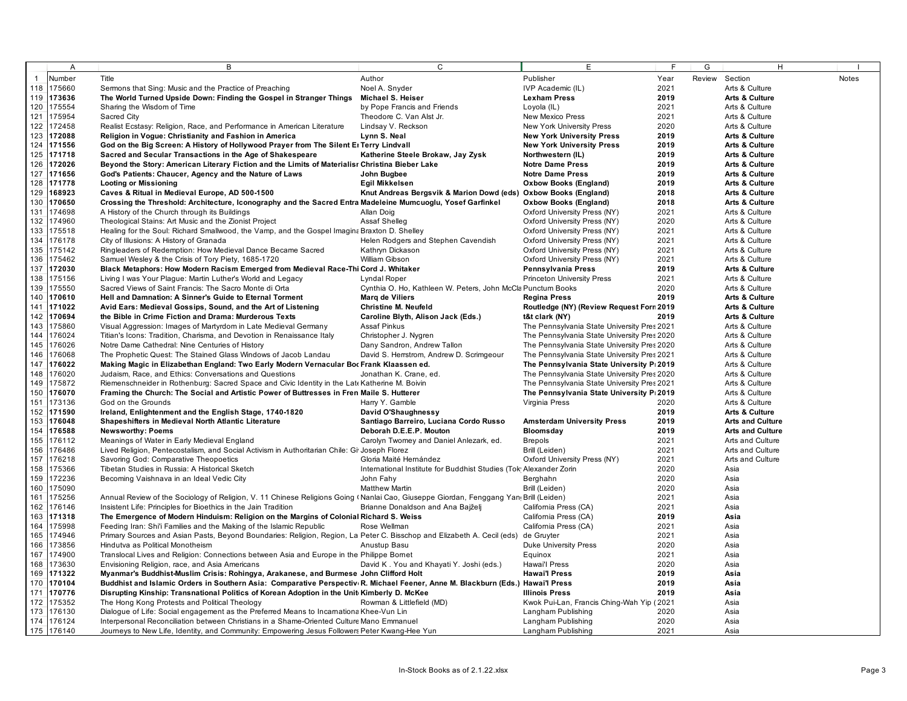|              | A                | B                                                                                                                                     | $\mathsf{C}$                                                                                | E                                              | $\mathsf{F}$ | G | H                         |              |
|--------------|------------------|---------------------------------------------------------------------------------------------------------------------------------------|---------------------------------------------------------------------------------------------|------------------------------------------------|--------------|---|---------------------------|--------------|
| $\mathbf{1}$ | Number           | Title                                                                                                                                 | Author                                                                                      | Publisher                                      | Year         |   | Review Section            | <b>Notes</b> |
|              | 118 175660       | Sermons that Sing: Music and the Practice of Preaching                                                                                | Noel A. Snyder                                                                              | IVP Academic (IL)                              | 2021         |   | Arts & Culture            |              |
|              | 119 173636       | The World Turned Upside Down: Finding the Gospel in Stranger Things                                                                   | Michael S. Heiser                                                                           | <b>Lexham Press</b>                            | 2019         |   | <b>Arts &amp; Culture</b> |              |
| 120          | 175554           | Sharing the Wisdom of Time                                                                                                            | by Pope Francis and Friends                                                                 | Loyola (IL)                                    | 2021         |   | Arts & Culture            |              |
| 121          | 175954           | Sacred City                                                                                                                           | Theodore C. Van Alst Jr.                                                                    | New Mexico Press                               | 2021         |   | Arts & Culture            |              |
|              | 122 172458       | Realist Ecstasy: Religion, Race, and Performance in American Literature                                                               | Lindsay V. Reckson                                                                          | New York University Press                      | 2020         |   | Arts & Culture            |              |
|              | 123 172088       | Religion in Vogue: Christianity and Fashion in America                                                                                | Lynn S. Neal                                                                                | <b>New York University Press</b>               | 2019         |   | <b>Arts &amp; Culture</b> |              |
|              | 124 171556       | God on the Big Screen: A History of Hollywood Prayer from The Silent El Terry Lindvall                                                |                                                                                             | <b>New York University Press</b>               | 2019         |   | <b>Arts &amp; Culture</b> |              |
|              | 125 171718       | Sacred and Secular Transactions in the Age of Shakespeare                                                                             | Katherine Steele Brokaw, Jay Zysk                                                           | Northwestern (IL)                              | 2019         |   | <b>Arts &amp; Culture</b> |              |
|              | 126 172026       | Beyond the Story: American Literary Fiction and the Limits of Materialisr Christina Bieber Lake                                       |                                                                                             | <b>Notre Dame Press</b>                        | 2019         |   | <b>Arts &amp; Culture</b> |              |
|              | 127 171656       | God's Patients: Chaucer, Agency and the Nature of Laws                                                                                | John Bugbee                                                                                 | <b>Notre Dame Press</b>                        | 2019         |   | Arts & Culture            |              |
|              | 128 171778       | <b>Looting or Missioning</b>                                                                                                          | Egil Mikkelsen                                                                              | <b>Oxbow Books (England)</b>                   | 2019         |   | <b>Arts &amp; Culture</b> |              |
|              | 129 168923       | Caves & Ritual in Medieval Europe, AD 500-1500                                                                                        | Knut Andreas Bergsvik & Marion Dowd (eds)                                                   | Oxbow Books (England)                          | 2018         |   | <b>Arts &amp; Culture</b> |              |
|              | 130 170650       | Crossing the Threshold: Architecture, Iconography and the Sacred Entra Madeleine Mumcuoglu, Yosef Garfinkel                           |                                                                                             | <b>Oxbow Books (England)</b>                   | 2018         |   | Arts & Culture            |              |
|              | 131 174698       | A History of the Church through its Buildings                                                                                         | Allan Doig                                                                                  | Oxford University Press (NY)                   | 2021         |   | Arts & Culture            |              |
| 132          | 174960           | Theological Stains: Art Music and the Zionist Project                                                                                 | Assaf Shelleg                                                                               | Oxford University Press (NY)                   | 2020         |   | Arts & Culture            |              |
|              | 133 175518       | Healing for the Soul: Richard Smallwood, the Vamp, and the Gospel Imagina Braxton D. Shelley                                          |                                                                                             | Oxford University Press (NY)                   | 2021         |   | Arts & Culture            |              |
| 134          | 176178           | City of Illusions: A History of Granada                                                                                               | Helen Rodgers and Stephen Cavendish                                                         | Oxford University Press (NY)                   | 2021         |   | Arts & Culture            |              |
| 135          | 175142           | Ringleaders of Redemption: How Medieval Dance Became Sacred                                                                           | Kathryn Dickason                                                                            | Oxford University Press (NY)                   | 2021         |   | Arts & Culture            |              |
| 136          | 175462           | Samuel Wesley & the Crisis of Tory Piety, 1685-1720                                                                                   | William Gibson                                                                              | Oxford University Press (NY)                   | 2021         |   | Arts & Culture            |              |
| 137          | 172030           | Black Metaphors: How Modern Racism Emerged from Medieval Race-Thi Cord J. Whitaker                                                    |                                                                                             | Pennsylvania Press                             | 2019         |   | <b>Arts &amp; Culture</b> |              |
| 138          | 175156           | Living I was Your Plague: Martin Luther's World and Legacy                                                                            | Lyndal Roper                                                                                | <b>Princeton University Press</b>              | 2021         |   | Arts & Culture            |              |
| 139          | 175550           | Sacred Views of Saint Francis: The Sacro Monte di Orta                                                                                | Cynthia O. Ho, Kathleen W. Peters, John McCla Punctum Books                                 |                                                | 2020         |   | Arts & Culture            |              |
| 140          | 170610           | Hell and Damnation: A Sinner's Guide to Eternal Torment                                                                               | <b>Marq de Viliers</b>                                                                      | <b>Regina Press</b>                            | 2019         |   | <b>Arts &amp; Culture</b> |              |
| 141          | 171022           | Avid Ears: Medieval Gossips, Sound, and the Art of Listening                                                                          | Christine M. Neufeld                                                                        | Routledge (NY) (Review Request Forn 2019       |              |   | <b>Arts &amp; Culture</b> |              |
|              | 142 170694       | the Bible in Crime Fiction and Drama: Murderous Texts                                                                                 | Caroline Blyth, Alison Jack (Eds.)                                                          | t&t clark (NY)                                 | 2019         |   | <b>Arts &amp; Culture</b> |              |
| 143          | 175860           | Visual Aggression: Images of Martyrdom in Late Medieval Germany                                                                       | <b>Assaf Pinkus</b>                                                                         | The Pennsylvania State University Pres 2021    |              |   | Arts & Culture            |              |
| 144          | 176024           | Titian's Icons: Tradition, Charisma, and Devotion in Renaissance Italy                                                                | Christopher J. Nygren                                                                       | The Pennsylvania State University Pres 2020    |              |   | Arts & Culture            |              |
| 145          | 176026           | Notre Dame Cathedral: Nine Centuries of History                                                                                       | Dany Sandron, Andrew Tallon                                                                 | The Pennsylvania State University Pres 2020    |              |   | Arts & Culture            |              |
| 146          | 176068           | The Prophetic Quest: The Stained Glass Windows of Jacob Landau                                                                        | David S. Herrstrom, Andrew D. Scrimgeour                                                    | The Pennsylvania State University Pres 2021    |              |   | Arts & Culture            |              |
| 147          | 176022           | Making Magic in Elizabethan England: Two Early Modern Vernacular Boc Frank Klaassen ed.                                               |                                                                                             | The Pennsylvania State University P: 2019      |              |   | Arts & Culture            |              |
|              | 148 176020       | Judaism, Race, and Ethics: Conversations and Questions                                                                                | Jonathan K. Crane, ed.                                                                      | The Pennsylvania State University Pres 2020    |              |   | Arts & Culture            |              |
| 149          | 175872           | Riemenschneider in Rothenburg: Sacred Space and Civic Identity in the Late Katherine M. Boivin                                        |                                                                                             | The Pennsylvania State University Pres 2021    |              |   | Arts & Culture            |              |
| 150          | 176070           | Framing the Church: The Social and Artistic Power of Buttresses in Fren Maile S. Hutterer                                             |                                                                                             | The Pennsylvania State University P 2019       |              |   | Arts & Culture            |              |
|              | 151 173136       | God on the Grounds                                                                                                                    | Harry Y. Gamble                                                                             | Virginia Press                                 | 2020         |   | Arts & Culture            |              |
|              | 152 171590       | Ireland, Enlightenment and the English Stage, 1740-1820                                                                               | David O'Shaughnessy                                                                         |                                                | 2019         |   | Arts & Culture            |              |
| 153          | 176048           | Shapeshifters in Medieval North Atlantic Literature                                                                                   | Santiago Barreiro, Luciana Cordo Russo                                                      | <b>Amsterdam University Press</b>              | 2019         |   | <b>Arts and Culture</b>   |              |
| 154          | 176588           | <b>Newsworthy: Poems</b>                                                                                                              | Deborah D.E.E.P. Mouton                                                                     | Bloomsday                                      | 2019         |   | <b>Arts and Culture</b>   |              |
| 155          | 176112           | Meanings of Water in Early Medieval England                                                                                           | Carolyn Twomey and Daniel Anlezark, ed.                                                     | <b>Brepols</b>                                 | 2021         |   | Arts and Culture          |              |
| 156<br>157   | 176486<br>176218 | Lived Religion, Pentecostalism, and Social Activism in Authoritarian Chile: Gi Joseph Florez<br>Savoring God: Comparative Theopoetics |                                                                                             | Brill (Leiden)<br>Oxford University Press (NY) | 2021<br>2021 |   | Arts and Culture          |              |
| 158          | 175366           | Tibetan Studies in Russia: A Historical Sketch                                                                                        | Gloria Maité Hernández<br>International Institute for Buddhist Studies (Tok Alexander Zorin |                                                | 2020         |   | Arts and Culture<br>Asia  |              |
| 159          | 172236           | Becoming Vaishnava in an Ideal Vedic City                                                                                             | John Fahy                                                                                   | Berghahn                                       | 2020         |   | Asia                      |              |
|              | 160 175090       |                                                                                                                                       | <b>Matthew Martin</b>                                                                       | Brill (Leiden)                                 | 2020         |   | Asia                      |              |
|              | 161 175256       | Annual Review of the Sociology of Religion, V. 11 Chinese Religions Going (Nanlai Cao, Giuseppe Giordan, Fenggang Yan Brill (Leiden)  |                                                                                             |                                                | 2021         |   | Asia                      |              |
|              | 162 176146       | Insistent Life: Principles for Bioethics in the Jain Tradition                                                                        | Brianne Donaldson and Ana Bajželj                                                           | California Press (CA)                          | 2021         |   | Asia                      |              |
|              | 163 171318       | The Emergence of Modern Hinduism: Religion on the Margins of Colonial Richard S. Weiss                                                |                                                                                             | California Press (CA)                          | 2019         |   | Asia                      |              |
|              | 164 175998       | Feeding Iran: Shi'i Families and the Making of the Islamic Republic                                                                   | Rose Wellman                                                                                | California Press (CA)                          | 2021         |   | Asia                      |              |
|              | 165 174946       | Primary Sources and Asian Pasts, Beyond Boundaries: Religion, Region, La Peter C. Bisschop and Elizabeth A. Cecil (eds) de Gruyter    |                                                                                             |                                                | 2021         |   | Asia                      |              |
| 166          | 173856           | Hindutva as Political Monotheism                                                                                                      | Anustup Basu                                                                                | <b>Duke University Press</b>                   | 2020         |   | Asia                      |              |
| 167          | 174900           | Translocal Lives and Religion: Connections between Asia and Europe in the Philippe Bornet                                             |                                                                                             | Equinox                                        | 2021         |   | Asia                      |              |
|              | 168 173630       | Envisioning Religion, race, and Asia Americans                                                                                        | David K. You and Khayati Y. Joshi (eds.)                                                    | Hawai'l Press                                  | 2020         |   | Asia                      |              |
|              | 169 171322       | Myanmar's Buddhist-Muslim Crisis: Rohingya, Arakanese, and Burmese John Clifford Holt                                                 |                                                                                             | <b>Hawai'l Press</b>                           | 2019         |   | Asia                      |              |
|              | 170 170104       | Buddhist and Islamic Orders in Southern Asia: Comparative Perspectiv R. Michael Feener, Anne M. Blackburn (Eds.) Hawai'l Press        |                                                                                             |                                                | 2019         |   | Asia                      |              |
|              | 171 170776       | Disrupting Kinship: Transnational Politics of Korean Adoption in the Unit Kimberly D. McKee                                           |                                                                                             | <b>Illinois Press</b>                          | 2019         |   | Asia                      |              |
|              | 172 175352       | The Hong Kong Protests and Political Theology                                                                                         | Rowman & Littlefield (MD)                                                                   | Kwok Pui-Lan, Francis Ching-Wah Yip (2021      |              |   | Asia                      |              |
|              | 173 176130       | Dialogue of Life: Social engagement as the Preferred Means to Incarnationa Khee-Vun Lin                                               |                                                                                             | Langham Publishing                             | 2020         |   | Asia                      |              |
|              | 174 176124       | Interpersonal Reconciliation between Christians in a Shame-Oriented Culture Mano Emmanuel                                             |                                                                                             | Langham Publishing                             | 2020         |   | Asia                      |              |
|              | 175 176140       | Journeys to New Life, Identity, and Community: Empowering Jesus Followers Peter Kwang-Hee Yun                                         |                                                                                             | Langham Publishing                             | 2021         |   | Asia                      |              |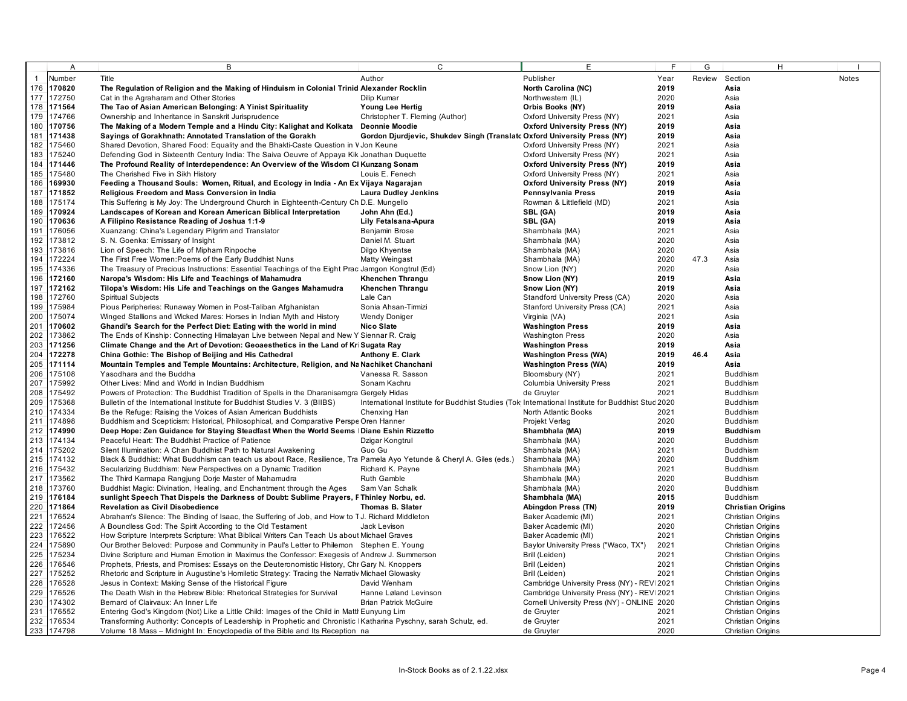|     | A          | B                                                                                                                    | $\mathsf{C}$                                                                                     | E                                           | E    | G      | H                        |              |
|-----|------------|----------------------------------------------------------------------------------------------------------------------|--------------------------------------------------------------------------------------------------|---------------------------------------------|------|--------|--------------------------|--------------|
|     | Number     | Title                                                                                                                | Author                                                                                           | Publisher                                   | Year | Review | Section                  | <b>Notes</b> |
| 176 | 170820     | The Regulation of Religion and the Making of Hinduism in Colonial Trinid Alexander Rocklin                           |                                                                                                  | North Carolina (NC)                         | 2019 |        | Asia                     |              |
| 177 | 172750     | Cat in the Agraharam and Other Stories                                                                               | Dilip Kumar                                                                                      | Northwestern (IL)                           | 2020 |        | Asia                     |              |
| 178 | 171564     | The Tao of Asian American Belonging: A Yinist Spirituality                                                           | Young Lee Hertig                                                                                 | Orbis Books (NY)                            | 2019 |        | Asia                     |              |
| 179 | 174766     | Ownership and Inheritance in Sanskrit Jurisprudence                                                                  | Christopher T. Fleming (Author)                                                                  | Oxford University Press (NY)                | 2021 |        | Asia                     |              |
| 180 | 170756     | The Making of a Modern Temple and a Hindu City: Kalighat and Kolkata Deonnie Moodie                                  |                                                                                                  | <b>Oxford University Press (NY)</b>         | 2019 |        | Asia                     |              |
| 181 | 171438     | Sayings of Gorakhnath: Annotated Translation of the Gorakh                                                           | Gordon Djurdjevic, Shukdev Singh (Translatc Oxford University Press (NY)                         |                                             | 2019 |        | Asia                     |              |
| 182 | 175460     | Shared Devotion, Shared Food: Equality and the Bhakti-Caste Question in V Jon Keune                                  |                                                                                                  | Oxford University Press (NY)                | 2021 |        | Asia                     |              |
| 183 | 175240     | Defending God in Sixteenth Century India: The Saiva Oeuvre of Appaya Kik Jonathan Duquette                           |                                                                                                  | Oxford University Press (NY)                | 2021 |        | Asia                     |              |
| 184 | 171446     | The Profound Reality of Interdependence: An Overview of the Wisdom CI Kunzang Sonam                                  |                                                                                                  | <b>Oxford University Press (NY)</b>         | 2019 |        | Asia                     |              |
| 185 | 175480     | The Cherished Five in Sikh History                                                                                   | Louis E. Fenech                                                                                  | Oxford University Press (NY)                | 2021 |        | Asia                     |              |
| 186 | 169930     | Feeding a Thousand Souls: Women, Ritual, and Ecology in India - An Ex Vijaya Nagarajan                               |                                                                                                  | <b>Oxford University Press (NY)</b>         | 2019 |        | Asia                     |              |
| 187 | 171852     | Religious Freedom and Mass Conversion in India                                                                       | <b>Laura Dudley Jenkins</b>                                                                      | Pennsylvania Press                          | 2019 |        | Asia                     |              |
| 188 | 175174     | This Suffering is My Joy: The Underground Church in Eighteenth-Century Ch D.E. Mungello                              |                                                                                                  | Rowman & Littlefield (MD)                   | 2021 |        | Asia                     |              |
| 189 | 170924     | Landscapes of Korean and Korean American Biblical Interpretation                                                     | John Ahn (Ed.)                                                                                   | SBL (GA)                                    | 2019 |        | Asia                     |              |
| 190 | 170636     | A Filipino Resistance Reading of Joshua 1:1-9                                                                        | Lily Fetalsana-Apura                                                                             | SBL (GA)                                    | 2019 |        | Asia                     |              |
| 191 | 176056     | Xuanzang: China's Legendary Pilgrim and Translator                                                                   | Benjamin Brose                                                                                   | Shambhala (MA)                              | 2021 |        | Asia                     |              |
| 192 | 173812     | S. N. Goenka: Emissary of Insight                                                                                    | Daniel M. Stuart                                                                                 | Shambhala (MA)                              | 2020 |        | Asia                     |              |
| 193 | 173816     | Lion of Speech: The Life of Mipham Rinpoche                                                                          | Dilgo Khyentse                                                                                   | Shambhala (MA)                              | 2020 |        | Asia                     |              |
| 194 | 172224     | The First Free Women: Poems of the Early Buddhist Nuns                                                               | Matty Weingast                                                                                   | Shambhala (MA)                              | 2020 | 47.3   | Asia                     |              |
| 195 | 174336     | The Treasury of Precious Instructions: Essential Teachings of the Eight Prac Jamgon Kongtrul (Ed)                    |                                                                                                  | Snow Lion (NY)                              | 2020 |        | Asia                     |              |
| 196 | 172160     | Naropa's Wisdom: His Life and Teachings of Mahamudra                                                                 | <b>Khenchen Thrangu</b>                                                                          | Snow Lion (NY)                              | 2019 |        | Asia                     |              |
| 197 | 172162     | Tilopa's Wisdom: His Life and Teachings on the Ganges Mahamudra                                                      | <b>Khenchen Thrangu</b>                                                                          | Snow Lion (NY)                              | 2019 |        | Asia                     |              |
| 198 | 172760     | <b>Spiritual Subjects</b>                                                                                            | Lale Can                                                                                         | Standford University Press (CA)             | 2020 |        | Asia                     |              |
| 199 | 175984     | Pious Peripheries: Runaway Women in Post-Taliban Afghanistan                                                         | Sonia Ahsan-Tirmizi                                                                              | Stanford University Press (CA)              | 2021 |        | Asia                     |              |
| 200 | 175074     | Winged Stallions and Wicked Mares: Horses in Indian Myth and History                                                 | <b>Wendy Doniger</b>                                                                             | Virginia (VA)                               | 2021 |        | Asia                     |              |
| 201 | 170602     | Ghandi's Search for the Perfect Diet: Eating with the world in mind                                                  | <b>Nico Slate</b>                                                                                | <b>Washington Press</b>                     | 2019 |        | Asia                     |              |
| 202 | 173862     | The Ends of Kinship: Connecting Himalayan Live between Nepal and New Y Siennar R. Craig                              |                                                                                                  | <b>Washington Press</b>                     | 2020 |        | Asia                     |              |
| 203 | 171256     | Climate Change and the Art of Devotion: Geoaesthetics in the Land of Kri Sugata Ray                                  |                                                                                                  | <b>Washington Press</b>                     | 2019 |        | Asia                     |              |
| 204 | 172278     | China Gothic: The Bishop of Beijing and His Cathedral                                                                | Anthony E. Clark                                                                                 | <b>Washington Press (WA)</b>                | 2019 | 46.4   | Asia                     |              |
| 205 | 171114     | Mountain Temples and Temple Mountains: Architecture, Religion, and Na Nachiket Chanchani                             |                                                                                                  | <b>Washington Press (WA)</b>                | 2019 |        | Asia                     |              |
| 206 | 175108     | Yasodhara and the Buddha                                                                                             | Vanessa R. Sasson                                                                                | Bloomsbury (NY)                             | 2021 |        | <b>Buddhism</b>          |              |
| 207 | 175992     | Other Lives: Mind and World in Indian Buddhism                                                                       | Sonam Kachru                                                                                     | <b>Columbia University Press</b>            | 2021 |        | <b>Buddhism</b>          |              |
| 208 | 175492     | Powers of Protection: The Buddhist Tradition of Spells in the Dharanisamgra Gergely Hidas                            |                                                                                                  | de Gruyter                                  | 2021 |        | <b>Buddhism</b>          |              |
| 209 | 175368     | Bulletin of the International Institute for Buddhist Studies V. 3 (BIIBS)                                            | International Institute for Buddhist Studies (Tok International Institute for Buddhist Stud 2020 |                                             |      |        | <b>Buddhism</b>          |              |
| 210 | 174334     | Be the Refuge: Raising the Voices of Asian American Buddhists                                                        | Chenxing Han                                                                                     | North Atlantic Books                        | 2021 |        | <b>Buddhism</b>          |              |
| 211 | 174898     | Buddhism and Scepticism: Historical, Philosophical, and Comparative Perspe Oren Hanner                               |                                                                                                  | Projekt Verlag                              | 2020 |        | <b>Buddhism</b>          |              |
| 212 | 174990     | Deep Hope: Zen Guidance for Staying Steadfast When the World Seems   Diane Eshin Rizzetto                            |                                                                                                  | Shambhala (MA)                              | 2019 |        | <b>Buddhism</b>          |              |
| 213 | 174134     | Peaceful Heart: The Buddhist Practice of Patience                                                                    | Dzigar Kongtrul                                                                                  | Shambhala (MA)                              | 2020 |        | <b>Buddhism</b>          |              |
| 214 | 175202     | Silent Illumination: A Chan Buddhist Path to Natural Awakening                                                       | Guo Gu                                                                                           | Shambhala (MA)                              | 2021 |        | <b>Buddhism</b>          |              |
| 215 | 174132     | Black & Buddhist: What Buddhism can teach us about Race, Resilience, Tra Pamela Ayo Yetunde & Cheryl A. Giles (eds.) |                                                                                                  | Shambhala (MA)                              | 2020 |        | <b>Buddhism</b>          |              |
| 216 | 175432     | Secularizing Buddhism: New Perspectives on a Dynamic Tradition                                                       | Richard K. Payne                                                                                 | Shambhala (MA)                              | 2021 |        | <b>Buddhism</b>          |              |
| 217 | 173562     | The Third Karmapa Rangjung Dorje Master of Mahamudra                                                                 | <b>Ruth Gamble</b>                                                                               | Shambhala (MA)                              | 2020 |        | <b>Buddhism</b>          |              |
| 218 | 173760     | Buddhist Magic: Divination, Healing, and Enchantment through the Ages                                                | Sam Van Schalk                                                                                   | Shambhala (MA)                              | 2020 |        | <b>Buddhism</b>          |              |
| 219 | 176184     | sunlight Speech That Dispels the Darkness of Doubt: Sublime Prayers, F Thinley Norbu, ed.                            |                                                                                                  | Shambhala (MA)                              | 2015 |        | <b>Buddhism</b>          |              |
| 220 | 171864     | <b>Revelation as Civil Disobedience</b>                                                                              | <b>Thomas B. Slater</b>                                                                          | Abingdon Press (TN)                         | 2019 |        | <b>Christian Origins</b> |              |
| 221 | 176524     | Abraham's Silence: The Binding of Isaac, the Suffering of Job, and How to TJ. Richard Middleton                      |                                                                                                  | Baker Academic (MI)                         | 2021 |        | Christian Origins        |              |
| 222 | 172456     | A Boundless God: The Spirit According to the Old Testament                                                           | Jack Levison                                                                                     | Baker Academic (MI)                         | 2020 |        | Christian Origins        |              |
| 223 | 176522     | How Scripture Interprets Scripture: What Biblical Writers Can Teach Us about Michael Graves                          |                                                                                                  | Baker Academic (MI)                         | 2021 |        | <b>Christian Origins</b> |              |
| 224 | 175890     | Our Brother Beloved: Purpose and Community in Paul's Letter to Philemon Stephen E. Young                             |                                                                                                  | Baylor University Press ("Waco, TX")        | 2021 |        | Christian Origins        |              |
| 225 | 175234     | Divine Scripture and Human Emotion in Maximus the Confessor: Exegesis of Andrew J. Summerson                         |                                                                                                  | Brill (Leiden)                              | 2021 |        | <b>Christian Origins</b> |              |
| 226 | 176546     | Prophets, Priests, and Promises: Essays on the Deuteronomistic History, Chr Gary N. Knoppers                         |                                                                                                  | Brill (Leiden)                              | 2021 |        | Christian Origins        |              |
| 227 | 175252     | Rhetoric and Scripture in Augustine's Homiletic Strategy: Tracing the Narrativ Michael Glowasky                      |                                                                                                  | Brill (Leiden)                              | 2021 |        | <b>Christian Origins</b> |              |
| 228 | 176528     | Jesus in Context: Making Sense of the Historical Figure                                                              | David Wenham                                                                                     | Cambridge University Press (NY) - REV 2021  |      |        | Christian Origins        |              |
| 229 | 176526     | The Death Wish in the Hebrew Bible: Rhetorical Strategies for Survival                                               | Hanne Løland Levinson                                                                            | Cambridge University Press (NY) - REV 2021  |      |        | <b>Christian Origins</b> |              |
| 230 | 174302     | Bemard of Clairvaux: An Inner Life                                                                                   | <b>Brian Patrick McGuire</b>                                                                     | Cornell University Press (NY) - ONLINE 2020 |      |        | Christian Origins        |              |
| 231 | 176552     | Entering God's Kingdom (Not) Like a Little Child: Images of the Child in Mattl Eunyung Lim                           |                                                                                                  | de Gruyter                                  | 2021 |        | <b>Christian Origins</b> |              |
| 232 | 176534     | Transforming Authority: Concepts of Leadership in Prophetic and Chronistic   Katharina Pyschny, sarah Schulz, ed.    |                                                                                                  | de Gruyter                                  | 2021 |        | Christian Origins        |              |
|     | 233 174798 | Volume 18 Mass - Midnight In: Encyclopedia of the Bible and Its Reception na                                         |                                                                                                  | de Gruyter                                  | 2020 |        | Christian Origins        |              |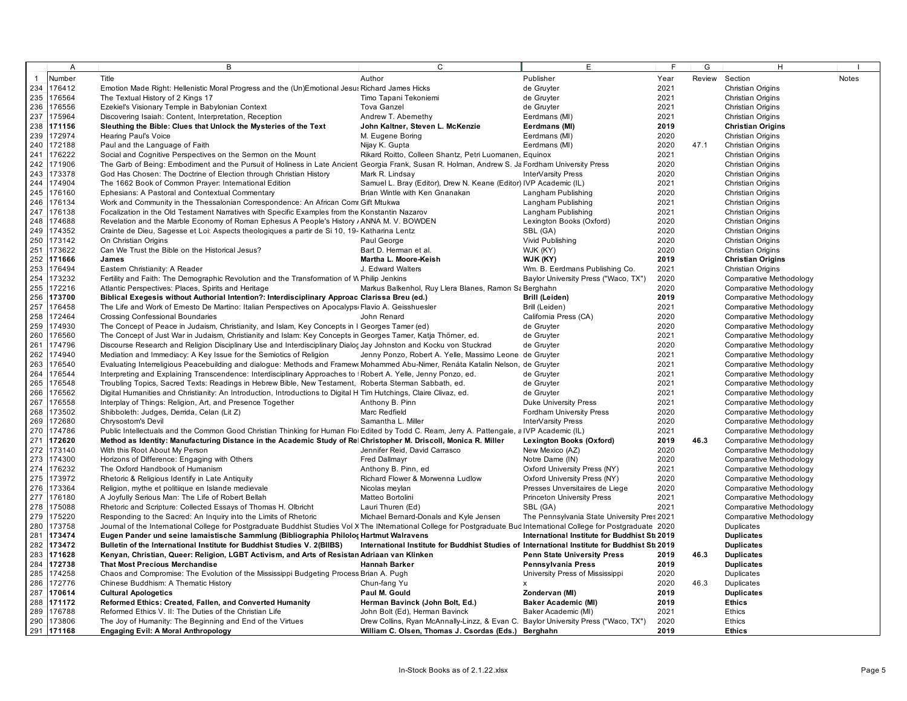|                | Α          | В                                                                                                                                                                       | $\mathsf{C}$                                                                                  | E                                             | E    | G      | H                        |       |
|----------------|------------|-------------------------------------------------------------------------------------------------------------------------------------------------------------------------|-----------------------------------------------------------------------------------------------|-----------------------------------------------|------|--------|--------------------------|-------|
| $\overline{1}$ | Number     | Title                                                                                                                                                                   | Author                                                                                        | Publisher                                     | Year | Review | Section                  | Notes |
| 234            | 176412     | Emotion Made Right: Hellenistic Moral Progress and the (Un)Emotional Jesus Richard James Hicks                                                                          |                                                                                               | de Gruyter                                    | 2021 |        | Christian Origins        |       |
|                | 235 176564 | The Textual History of 2 Kings 17                                                                                                                                       | Timo Tapani Tekoniemi                                                                         | de Gruyter                                    | 2021 |        | Christian Origins        |       |
| 236            | 176556     | Ezekiel's Visionary Temple in Babylonian Context                                                                                                                        | <b>Tova Ganzel</b>                                                                            | de Gruyter                                    | 2021 |        | <b>Christian Origins</b> |       |
| 237            | 175964     | Discovering Isaiah: Content, Interpretation, Reception                                                                                                                  | Andrew T. Abernethy                                                                           | Eerdmans (MI)                                 | 2021 |        | Christian Origins        |       |
| 238            | 171156     | Sleuthing the Bible: Clues that Unlock the Mysteries of the Text                                                                                                        | John Kaltner, Steven L. McKenzie                                                              | Eerdmans (MI)                                 | 2019 |        | <b>Christian Origins</b> |       |
| 239            | 172974     | <b>Hearing Paul's Voice</b>                                                                                                                                             | M. Eugene Boring                                                                              | Eerdmans (MI)                                 | 2020 |        | Christian Origins        |       |
| 240            | 172188     | Paul and the Language of Faith                                                                                                                                          | Nijay K. Gupta                                                                                | Eerdmans (MI)                                 | 2020 | 47.1   | Christian Origins        |       |
| 241            | 176222     | Social and Cognitive Perspectives on the Sermon on the Mount                                                                                                            | Rikard Roitto, Colleen Shantz, Petri Luomanen, Equinox                                        |                                               | 2021 |        | Christian Origins        |       |
| 242            | 171906     | The Garb of Being: Embodiment and the Pursuit of Holiness in Late Ancient Georgia Frank, Susan R. Holman, Andrew S. Ja Fordham University Press                         |                                                                                               |                                               | 2020 |        | <b>Christian Origins</b> |       |
| 243            | 173378     | God Has Chosen: The Doctrine of Election through Christian History                                                                                                      | Mark R. Lindsay                                                                               | InterVarsity Press                            | 2020 |        | <b>Christian Origins</b> |       |
| 244            | 174904     | The 1662 Book of Common Prayer: International Edition                                                                                                                   | Samuel L. Bray (Editor), Drew N. Keane (Editor) IVP Academic (IL)                             |                                               | 2021 |        | Christian Origins        |       |
| 245            | 176160     | Ephesians: A Pastoral and Contextual Commentary                                                                                                                         | Brian Wintle with Ken Gnanakan                                                                | Langham Publishing                            | 2020 |        | <b>Christian Origins</b> |       |
| 246            | 176134     | Work and Community in the Thessalonian Correspondence: An African Comr Gift Mtukwa                                                                                      |                                                                                               | Langham Publishing                            | 2021 |        | Christian Origins        |       |
| 247            | 176138     | Focalization in the Old Testament Narratives with Specific Examples from the Konstantin Nazarov                                                                         |                                                                                               | Langham Publishing                            | 2021 |        | Christian Origins        |       |
| 248            | 174688     | Revelation and the Marble Economy of Roman Ephesus A People's History / ANNA M. V. BOWDEN                                                                               |                                                                                               | Lexington Books (Oxford)                      | 2020 |        | Christian Origins        |       |
| 249            | 174352     | Crainte de Dieu, Sagesse et Loi: Aspects theologiques a partir de Si 10, 19- Katharina Lentz                                                                            |                                                                                               | SBL (GA)                                      | 2020 |        | <b>Christian Origins</b> |       |
|                | 173142     |                                                                                                                                                                         |                                                                                               |                                               |      |        |                          |       |
| 250<br>251     |            | On Christian Origins                                                                                                                                                    | Paul George                                                                                   | Vivid Publishing                              | 2020 |        | Christian Origins        |       |
|                | 173622     | Can We Trust the Bible on the Historical Jesus?                                                                                                                         | Bart D. Herman et al.                                                                         | WJK (KY)                                      | 2020 |        | Christian Origins        |       |
|                | 252 171666 | James                                                                                                                                                                   | Martha L. Moore-Keish                                                                         | WJK (KY)                                      | 2019 |        | <b>Christian Origins</b> |       |
| 253            | 176494     | Eastern Christianity: A Reader                                                                                                                                          | J. Edward Walters                                                                             | Wm. B. Eerdmans Publishing Co.                | 2021 |        | <b>Christian Origins</b> |       |
|                | 254 173232 | Fertility and Faith: The Demographic Revolution and the Transformation of W Philip Jenkins                                                                              |                                                                                               | Baylor University Press ("Waco, TX")          | 2020 |        | Comparative Methodology  |       |
| 255            | 172216     | Atlantic Perspectives: Places, Spirits and Heritage                                                                                                                     | Markus Balkenhol, Ruy Llera Blanes, Ramon Sa Berghahn                                         |                                               | 2020 |        | Comparative Methodology  |       |
| 256            | 173700     | Biblical Exegesis without Authorial Intention?: Interdisciplinary Approac Clarissa Breu (ed.)                                                                           |                                                                                               | Brill (Leiden)                                | 2019 |        | Comparative Methodology  |       |
| 257            | 176458     | The Life and Work of Emesto De Martino: Italian Perspectives on Apocalypsi Flavio A. Geisshuesler                                                                       |                                                                                               | Brill (Leiden)                                | 2021 |        | Comparative Methodology  |       |
| 258            | 172464     | <b>Crossing Confessional Boundaries</b>                                                                                                                                 | John Renard                                                                                   | California Press (CA)                         | 2020 |        | Comparative Methodology  |       |
| 259            | 174930     | The Concept of Peace in Judaism, Christianity, and Islam, Key Concepts in I Georges Tamer (ed)                                                                          |                                                                                               | de Gruyter                                    | 2020 |        | Comparative Methodology  |       |
| 260            | 176560     | The Concept of Just War in Judaism, Christianity and Islam: Key Concepts in Georges Tamer, Katja Thörner, ed.                                                           |                                                                                               | de Gruyter                                    | 2021 |        | Comparative Methodology  |       |
| 261            | 174796     | Discourse Research and Religion Disciplinary Use and Interdisciplinary Dialoc Jay Johnston and Kocku von Stuckrad                                                       |                                                                                               | de Gruyter                                    | 2020 |        | Comparative Methodology  |       |
| 262            | 174940     | Mediation and Immediacy: A Key Issue for the Semiotics of Religion                                                                                                      | Jenny Ponzo, Robert A. Yelle, Massimo Leone de Gruyter                                        |                                               | 2021 |        | Comparative Methodology  |       |
|                | 263 176540 | Evaluating Interreligious Peacebuilding and dialogue: Methods and Framew Mohammed Abu-Nimer, Renáta Katalin Nelson, de Gruyter                                          |                                                                                               |                                               | 2021 |        | Comparative Methodology  |       |
| 264            | 176544     | Interpreting and Explaining Transcendence: Interdisciplinary Approaches to 1 Robert A. Yelle, Jenny Ponzo, ed.                                                          |                                                                                               | de Gruyter                                    | 2021 |        | Comparative Methodology  |       |
| 265            | 176548     | Troubling Topics, Sacred Texts: Readings in Hebrew Bible, New Testament, Roberta Sterman Sabbath, ed.                                                                   |                                                                                               | de Gruyter                                    | 2021 |        | Comparative Methodology  |       |
| 266            | 176562     | Digital Humanities and Christianity: An Introduction, Introductions to Digital H Tim Hutchings, Claire Clivaz, ed.                                                      |                                                                                               | de Gruyter                                    | 2021 |        | Comparative Methodology  |       |
| 267            | 176558     | Interplay of Things: Religion, Art, and Presence Together                                                                                                               | Anthony B. Pinn                                                                               | <b>Duke University Press</b>                  | 2021 |        | Comparative Methodology  |       |
| 268            | 173502     | Shibboleth: Judges, Derrida, Celan (Lit Z)                                                                                                                              | Marc Redfield                                                                                 | Fordham University Press                      | 2020 |        | Comparative Methodology  |       |
| 269            | 172680     | Chrysostom's Devil                                                                                                                                                      | Samantha L. Miller                                                                            | InterVarsity Press                            | 2020 |        | Comparative Methodology  |       |
| 270            | 174786     | Public Intellectuals and the Common Good Christian Thinking for Human Flor Edited by Todd C. Ream, Jerry A. Pattengale, a IVP Academic (IL)                             |                                                                                               |                                               | 2021 |        | Comparative Methodology  |       |
|                | 271 172620 | Method as Identity: Manufacturing Distance in the Academic Study of Rel Christopher M. Driscoll, Monica R. Miller                                                       |                                                                                               | <b>Lexington Books (Oxford)</b>               | 2019 | 46.3   | Comparative Methodology  |       |
| 272            | 173140     | With this Root About My Person                                                                                                                                          | Jennifer Reid, David Carrasco                                                                 | New Mexico (AZ)                               | 2020 |        | Comparative Methodology  |       |
| 273            | 174300     | Horizons of Difference: Engaging with Others                                                                                                                            | <b>Fred Dallmayr</b>                                                                          | Notre Dame (IN)                               | 2020 |        | Comparative Methodology  |       |
| 274            | 176232     | The Oxford Handbook of Humanism                                                                                                                                         | Anthony B. Pinn, ed                                                                           | Oxford University Press (NY)                  | 2021 |        | Comparative Methodology  |       |
| 275            | 173972     | Rhetoric & Religious Identify in Late Antiquity                                                                                                                         | Richard Flower & Morwenna Ludlow                                                              | Oxford University Press (NY)                  | 2020 |        | Comparative Methodology  |       |
| 276            | 173364     | Religion, mythe et politiique en Islande medievale                                                                                                                      | Nicolas meylan                                                                                | Presses Unversitaires de Liege                | 2020 |        | Comparative Methodology  |       |
| 277            | 176180     | A Joyfully Serious Man: The Life of Robert Bellah                                                                                                                       | Matteo Bortolini                                                                              | <b>Princeton University Press</b>             | 2021 |        | Comparative Methodology  |       |
| 278            | 175088     | Rhetoric and Scripture: Collected Essays of Thomas H. Olbricht                                                                                                          | Lauri Thuren (Ed)                                                                             | SBL (GA)                                      | 2021 |        | Comparative Methodology  |       |
| 279            | 175220     | Responding to the Sacred: An Inquiry into the Limits of Rhetoric                                                                                                        | Michael Bernard-Donals and Kyle Jensen                                                        | The Pennsylvania State University Pres 2021   |      |        | Comparative Methodology  |       |
| 280            | 173758     | Journal of the International College for Postgraduate Buddhist Studies Vol X The INternational College for Postgraduate Bud International College for Postgraduate 2020 |                                                                                               |                                               |      |        | Duplicates               |       |
| 281            | 173474     | Eugen Pander und seine lamaistische Sammlung (Bibliographia Philoloc Hartmut Walravens                                                                                  |                                                                                               | International Institute for Buddhist Sti 2019 |      |        | <b>Duplicates</b>        |       |
|                | 282 173472 | Bulletin of the International Institute for Buddhist Studies V. 2(BIIBS)                                                                                                | International Institute for Buddhist Studies of International Institute for Buddhist Sti 2019 |                                               |      |        | <b>Duplicates</b>        |       |
| 283            | 171628     | Kenyan, Christian, Queer: Religion, LGBT Activism, and Arts of Resistan Adriaan van Klinken                                                                             |                                                                                               | <b>Penn State University Press</b>            | 2019 | 46.3   | <b>Duplicates</b>        |       |
|                | 284 172738 | <b>That Most Precious Merchandise</b>                                                                                                                                   | <b>Hannah Barker</b>                                                                          | Pennsylvania Press                            | 2019 |        | <b>Duplicates</b>        |       |
| 285            | 174258     | Chaos and Compromise: The Evolution of the Mississippi Budgeting Process Brian A. Pugh                                                                                  |                                                                                               | University Press of Mississippi               | 2020 |        | Duplicates               |       |
| 286            | 172776     | Chinese Buddhism: A Thematic History                                                                                                                                    | Chun-fang Yu                                                                                  | $\pmb{\mathsf{X}}$                            | 2020 | 46.3   | <b>Duplicates</b>        |       |
|                | 287 170614 | <b>Cultural Apologetics</b>                                                                                                                                             | Paul M. Gould                                                                                 | Zondervan (MI)                                | 2019 |        | <b>Duplicates</b>        |       |
|                | 288 171172 | Reformed Ethics: Created, Fallen, and Converted Humanity                                                                                                                | Herman Bavinck (John Bolt, Ed.)                                                               | <b>Baker Academic (MI)</b>                    | 2019 |        | <b>Ethics</b>            |       |
|                | 289 176788 | Reformed Ethics V. II: The Duties of the Christian Life                                                                                                                 | John Bolt (Ed), Herman Bavinck                                                                | Baker Academic (MI)                           | 2021 |        | Ethics                   |       |
|                | 290 173806 | The Joy of Humanity: The Beginning and End of the Virtues                                                                                                               | Drew Collins, Ryan McAnnally-Linzz, & Evan C. Baylor University Press ("Waco, TX")            |                                               | 2020 |        | Ethics                   |       |
|                | 291 171168 | <b>Engaging Evil: A Moral Anthropology</b>                                                                                                                              | William C. Olsen, Thomas J. Csordas (Eds.) Berghahn                                           |                                               | 2019 |        | <b>Ethics</b>            |       |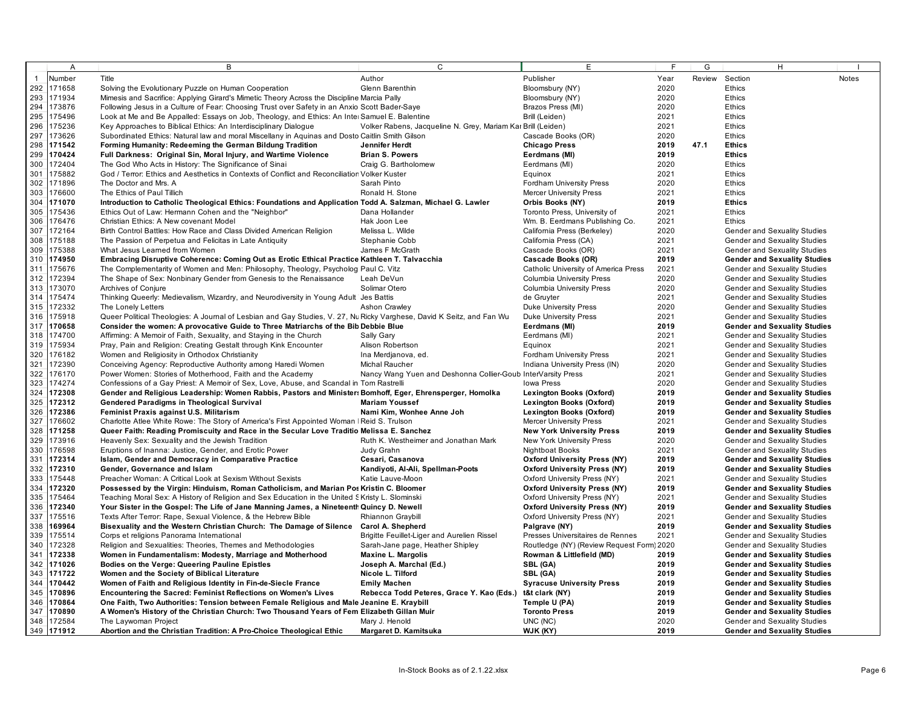|     | $\overline{A}$ | B                                                                                                                     | $\overline{c}$                                               | E                                         | E    | G    | H.                                  |              |
|-----|----------------|-----------------------------------------------------------------------------------------------------------------------|--------------------------------------------------------------|-------------------------------------------|------|------|-------------------------------------|--------------|
|     | Number         | Title                                                                                                                 | Author                                                       | Publisher                                 | Year |      | Review Section                      | <b>Notes</b> |
| 292 | 171658         | Solving the Evolutionary Puzzle on Human Cooperation                                                                  | Glenn Barenthin                                              | Bloomsbury (NY)                           | 2020 |      | Ethics                              |              |
| 293 | 171934         | Mimesis and Sacrifice: Applying Girard's Mimetic Theory Across the Discipline Marcia Pally                            |                                                              | Bloomsbury (NY)                           | 2020 |      | Ethics                              |              |
| 294 | 173876         | Following Jesus in a Culture of Fear: Choosing Trust over Safety in an Anxio Scott Bader-Saye                         |                                                              | Brazos Press (MI)                         | 2020 |      | Ethics                              |              |
| 295 | 175496         | Look at Me and Be Appalled: Essays on Job, Theology, and Ethics: An Intel Samuel E. Balentine                         |                                                              | Brill (Leiden)                            | 2021 |      | Ethics                              |              |
| 296 | 175236         | Key Approaches to Biblical Ethics: An Interdisciplinary Dialogue                                                      | Volker Rabens, Jacqueline N. Grey, Mariam Kar Brill (Leiden) |                                           | 2021 |      | Ethics                              |              |
| 297 | 173626         | Subordinated Ethics: Natural law and moral Miscellany in Aquinas and Dosto Caitlin Smith Gilson                       |                                                              | Cascade Books (OR)                        | 2020 |      | Ethics                              |              |
| 298 | 171542         |                                                                                                                       | Jennifer Herdt                                               |                                           | 2019 | 47.1 | <b>Ethics</b>                       |              |
| 299 | 170424         | Forming Humanity: Redeeming the German Bildung Tradition                                                              | <b>Brian S. Powers</b>                                       | <b>Chicago Press</b>                      | 2019 |      | <b>Ethics</b>                       |              |
| 300 | 172404         | Full Darkness: Original Sin, Moral Injury, and Wartime Violence                                                       |                                                              | Eerdmans (MI)                             | 2020 |      | Ethics                              |              |
| 301 | 175882         | The God Who Acts in History: The Significance of Sinai                                                                | Craig G. Bartholomew                                         | Eerdmans (MI)                             | 2021 |      | Ethics                              |              |
| 302 | 171896         | God / Terror: Ethics and Aesthetics in Contexts of Conflict and Reconciliation Volker Kuster                          |                                                              | Equinox                                   | 2020 |      |                                     |              |
|     |                | The Doctor and Mrs. A                                                                                                 | Sarah Pinto                                                  | Fordham University Press                  |      |      | Ethics                              |              |
| 303 | 176600         | The Ethics of Paul Tillich                                                                                            | Ronald H. Stone                                              | <b>Mercer University Press</b>            | 2021 |      | Ethics                              |              |
| 304 | 171070         | Introduction to Catholic Theological Ethics: Foundations and Application Todd A. Salzman, Michael G. Lawler           |                                                              | Orbis Books (NY)                          | 2019 |      | <b>Ethics</b>                       |              |
| 305 | 175436         | Ethics Out of Law: Hermann Cohen and the "Neighbor"                                                                   | Dana Hollander                                               | Toronto Press, University of              | 2021 |      | Ethics                              |              |
| 306 | 176476         | Christian Ethics: A New covenant Model                                                                                | Hak Joon Lee                                                 | Wm. B. Eerdmans Publishing Co.            | 2021 |      | Ethics                              |              |
| 307 | 172164         | Birth Control Battles: How Race and Class Divided American Religion                                                   | Melissa L. Wilde                                             | California Press (Berkeley)               | 2020 |      | Gender and Sexuality Studies        |              |
| 308 | 175188         | The Passion of Perpetua and Felicitas in Late Antiquity                                                               | Stephanie Cobb                                               | California Press (CA)                     | 2021 |      | Gender and Sexuality Studies        |              |
| 309 | 175388         | What Jesus Learned from Women                                                                                         | James F McGrath                                              | Cascade Books (OR)                        | 2021 |      | <b>Gender and Sexuality Studies</b> |              |
| 310 | 174950         | Embracing Disruptive Coherence: Coming Out as Erotic Ethical Practice Kathleen T. Talvacchia                          |                                                              | Cascade Books (OR)                        | 2019 |      | <b>Gender and Sexuality Studies</b> |              |
| 311 | 175676         | The Complementarity of Women and Men: Philosophy, Theology, Psycholog Paul C. Vitz                                    |                                                              | Catholic University of America Press      | 2021 |      | Gender and Sexuality Studies        |              |
| 312 | 172394         | The Shape of Sex: Nonbinary Gender from Genesis to the Renaissance                                                    | Leah DeVun                                                   | <b>Columbia University Press</b>          | 2020 |      | Gender and Sexuality Studies        |              |
| 313 | 173070         | Archives of Conjure                                                                                                   | Solimar Otero                                                | <b>Columbia University Press</b>          | 2020 |      | Gender and Sexuality Studies        |              |
| 314 | 175474         | Thinking Queerly: Medievalism, Wizardry, and Neurodiversity in Young Adult Jes Battis                                 |                                                              | de Gruyter                                | 2021 |      | Gender and Sexuality Studies        |              |
| 315 | 172332         | The Lonely Letters                                                                                                    | Ashon Crawley                                                | <b>Duke University Press</b>              | 2020 |      | Gender and Sexuality Studies        |              |
| 316 | 175918         | Queer Political Theologies: A Journal of Lesbian and Gay Studies, V. 27, Nu Ricky Varghese, David K Seitz, and Fan Wu |                                                              | <b>Duke University Press</b>              | 2021 |      | Gender and Sexuality Studies        |              |
| 317 | 170658         | Consider the women: A provocative Guide to Three Matriarchs of the Bib Debbie Blue                                    |                                                              | Eerdmans (MI)                             | 2019 |      | <b>Gender and Sexuality Studies</b> |              |
| 318 | 174700         | Affirming: A Memoir of Faith, Sexuality, and Staying in the Church                                                    | Sally Gary                                                   | Eerdmans (MI)                             | 2021 |      | Gender and Sexuality Studies        |              |
| 319 | 175934         | Pray, Pain and Religion: Creating Gestalt through Kink Encounter                                                      | Alison Robertson                                             | Equinox                                   | 2021 |      | Gender and Sexuality Studies        |              |
| 320 | 176182         | Women and Religiosity in Orthodox Christianity                                                                        | Ina Merdianova, ed.                                          | <b>Fordham University Press</b>           | 2021 |      | Gender and Sexuality Studies        |              |
| 321 | 172390         | Conceiving Agency: Reproductive Authority among Haredi Women                                                          | Michal Raucher                                               | Indiana University Press (IN)             | 2020 |      | Gender and Sexuality Studies        |              |
| 322 | 176170         | Power Women: Stories of Motherhood, Faith and the Academy                                                             | Nancy Wang Yuen and Deshonna Collier-Goub InterVarsity Press |                                           | 2021 |      | Gender and Sexuality Studies        |              |
| 323 | 174274         | Confessions of a Gay Priest: A Memoir of Sex, Love, Abuse, and Scandal in Tom Rastrelli                               |                                                              | Iowa Press                                | 2020 |      | Gender and Sexuality Studies        |              |
| 324 | 172308         | Gender and Religious Leadership: Women Rabbis, Pastors and Ministers Bomhoff, Eger, Ehrensperger, Homolka             |                                                              | Lexington Books (Oxford)                  | 2019 |      | <b>Gender and Sexuality Studies</b> |              |
| 325 | 172312         | <b>Gendered Paradigms in Theological Survival</b>                                                                     | <b>Mariam Youssef</b>                                        | Lexington Books (Oxford)                  | 2019 |      | <b>Gender and Sexuality Studies</b> |              |
| 326 | 172386         | Feminist Praxis against U.S. Militarism                                                                               | Nami Kim, Wonhee Anne Joh                                    | Lexington Books (Oxford)                  | 2019 |      | <b>Gender and Sexuality Studies</b> |              |
| 327 | 176602         | Charlotte Atlee White Rowe: The Story of America's First Appointed Woman   Reid S. Trulson                            |                                                              | <b>Mercer University Press</b>            | 2021 |      | Gender and Sexuality Studies        |              |
| 328 | 171258         | Queer Faith: Reading Promiscuity and Race in the Secular Love Traditio Melissa E. Sanchez                             |                                                              | <b>New York University Press</b>          | 2019 |      | <b>Gender and Sexuality Studies</b> |              |
| 329 | 173916         | Heavenly Sex: Sexuality and the Jewish Tradition                                                                      | Ruth K. Westheimer and Jonathan Mark                         | New York University Press                 | 2020 |      | <b>Gender and Sexuality Studies</b> |              |
| 330 | 176598         | Eruptions of Inanna: Justice, Gender, and Erotic Power                                                                | Judy Grahn                                                   | <b>Nightboat Books</b>                    | 2021 |      | Gender and Sexuality Studies        |              |
| 331 | 172314         | Islam, Gender and Democracy in Comparative Practice                                                                   | Cesari, Casanova                                             | <b>Oxford University Press (NY)</b>       | 2019 |      | <b>Gender and Sexuality Studies</b> |              |
| 332 | 172310         | Gender, Governance and Islam                                                                                          | Kandiyoti, Al-Ali, Spellman-Poots                            | <b>Oxford University Press (NY)</b>       | 2019 |      | <b>Gender and Sexuality Studies</b> |              |
| 333 | 175448         | Preacher Woman: A Critical Look at Sexism Without Sexists                                                             | Katie Lauve-Moon                                             | Oxford University Press (NY)              | 2021 |      | Gender and Sexuality Studies        |              |
| 334 | 172320         | Possessed by the Virgin: Hinduism, Roman Catholicism, and Marian Pos Kristin C. Bloomer                               |                                                              | <b>Oxford University Press (NY)</b>       | 2019 |      | <b>Gender and Sexuality Studies</b> |              |
| 335 | 175464         | Teaching Moral Sex: A History of Religion and Sex Education in the United SKristy L. Slominski                        |                                                              | Oxford University Press (NY)              | 2021 |      | <b>Gender and Sexuality Studies</b> |              |
| 336 | 172340         | Your Sister in the Gospel: The Life of Jane Manning James, a Nineteenth Quincy D. Newell                              |                                                              | <b>Oxford University Press (NY)</b>       | 2019 |      | <b>Gender and Sexuality Studies</b> |              |
| 337 | 175516         | Texts After Terror: Rape, Sexual Violence, & the Hebrew Bible                                                         | Rhiannon Graybill                                            | Oxford University Press (NY)              | 2021 |      | Gender and Sexuality Studies        |              |
| 338 | 169964         | Bisexuality and the Western Christian Church: The Damage of Silence Carol A. Shepherd                                 |                                                              | Palgrave (NY)                             | 2019 |      | <b>Gender and Sexuality Studies</b> |              |
| 339 | 175514         | Corps et religions Panorama International                                                                             | Brigitte Feuillet-Liger and Aurelien Rissel                  | Presses Universitaires de Rennes          | 2021 |      | Gender and Sexuality Studies        |              |
| 340 | 172328         | Religion and Sexualities: Theories, Themes and Methodologies                                                          | Sarah-Jane page, Heather Shipley                             | Routledge (NY) (Review Request Form) 2020 |      |      | Gender and Sexuality Studies        |              |
| 341 | 172338         | Women in Fundamentalism: Modesty, Marriage and Motherhood                                                             | <b>Maxine L. Margolis</b>                                    | Rowman & Littlefield (MD)                 | 2019 |      | <b>Gender and Sexuality Studies</b> |              |
|     | 342 171026     | Bodies on the Verge: Queering Pauline Epistles                                                                        | Joseph A. Marchal (Ed.)                                      | SBL (GA)                                  | 2019 |      | <b>Gender and Sexuality Studies</b> |              |
| 343 | 171722         | Women and the Society of Biblical Literature                                                                          | Nicole L. Tilford                                            | SBL (GA)                                  | 2019 |      | <b>Gender and Sexuality Studies</b> |              |
| 344 | 170442         | Women of Faith and Religious Identity in Fin-de-Siecle France                                                         | <b>Emily Machen</b>                                          | <b>Syracuse University Press</b>          | 2019 |      | <b>Gender and Sexuality Studies</b> |              |
| 345 | 170896         | Encountering the Sacred: Feminist Reflections on Women's Lives                                                        | Rebecca Todd Peteres, Grace Y. Kao (Eds.)                    | t&t clark (NY)                            | 2019 |      | <b>Gender and Sexuality Studies</b> |              |
| 346 | 170864         | One Faith, Two Authorities: Tension between Female Religious and Male Jeanine E. Kraybill                             |                                                              | Temple U (PA)                             | 2019 |      | <b>Gender and Sexuality Studies</b> |              |
| 347 | 170890         | A Women's History of the Christian Church: Two Thousand Years of Fem Elizabeth Gillan Muir                            |                                                              | <b>Toronto Press</b>                      | 2019 |      | <b>Gender and Sexuality Studies</b> |              |
| 348 | 172584         | The Laywoman Project                                                                                                  | Mary J. Henold                                               | UNC (NC)                                  | 2020 |      | <b>Gender and Sexuality Studies</b> |              |
|     | 349 171912     | Abortion and the Christian Tradition: A Pro-Choice Theological Ethic                                                  | Margaret D. Kamitsuka                                        | WJK (KY)                                  | 2019 |      | <b>Gender and Sexuality Studies</b> |              |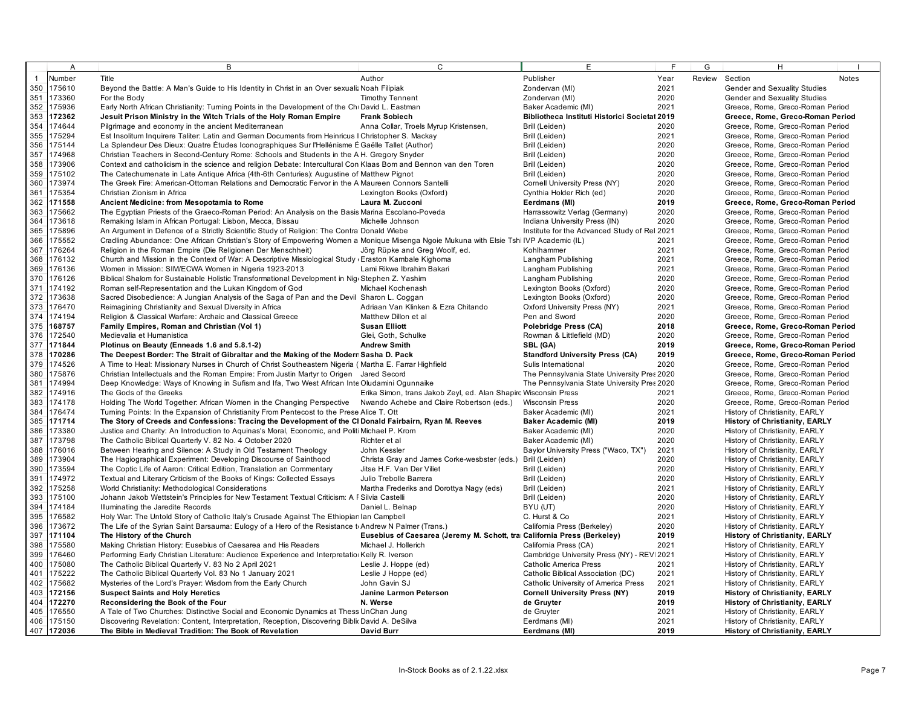|              | $\overline{A}$ | B                                                                                                                                      | C                                                                       | E                                             | F    | G | H                                     |                                  |
|--------------|----------------|----------------------------------------------------------------------------------------------------------------------------------------|-------------------------------------------------------------------------|-----------------------------------------------|------|---|---------------------------------------|----------------------------------|
| $\mathbf{1}$ | Number         | Title                                                                                                                                  | Author                                                                  | Publisher                                     | Year |   | Review Section                        | Notes                            |
|              | 350 175610     | Beyond the Battle: A Man's Guide to His Identity in Christ in an Over sexualiz Noah Filipiak                                           |                                                                         | Zondervan (MI)                                | 2021 |   | Gender and Sexuality Studies          |                                  |
| 351          | 173360         | For the Body                                                                                                                           | <b>Timothy Tennent</b>                                                  | Zondervan (MI)                                | 2020 |   | Gender and Sexuality Studies          |                                  |
|              | 352 175936     | Early North African Christianity: Turning Points in the Development of the Chi David L. Eastman                                        |                                                                         | Baker Academic (MI)                           | 2021 |   | Greece, Rome, Greco-Roman Period      |                                  |
|              | 353 172362     | Jesuit Prison Ministry in the Witch Trials of the Holy Roman Empire                                                                    | <b>Frank Sobiech</b>                                                    | Bibliotheca Instituti Historici Societal 2019 |      |   |                                       | Greece, Rome, Greco-Roman Period |
|              | 354 174644     |                                                                                                                                        |                                                                         |                                               | 2020 |   |                                       |                                  |
|              |                | Pilgrimage and economy in the ancient Mediterranean                                                                                    | Anna Collar, Troels Myrup Kristensen,                                   | Brill (Leiden)                                |      |   | Greece, Rome, Greco-Roman Period      |                                  |
|              | 355 175294     | Est Insolitum Inquirere Taliter: Latin and German Documents from Heinricus I Christopher S. Mackay                                     |                                                                         | Brill (Leiden)                                | 2021 |   | Greece, Rome, Greco-Roman Period      |                                  |
|              | 356 175144     | La Splendeur Des Dieux: Quatre Études Iconographiques Sur l'Hellénisme É Gaëlle Tallet (Author)                                        |                                                                         | Brill (Leiden)                                | 2020 |   | Greece, Rome, Greco-Roman Period      |                                  |
| 357          | 174968         | Christian Teachers in Second-Century Rome: Schools and Students in the A H. Gregory Snyder                                             |                                                                         | Brill (Leiden)                                | 2020 |   | Greece, Rome, Greco-Roman Period      |                                  |
|              | 358 173906     | Context and catholicism in the science and religion Debate: Intercultural Con Klaas Bom and Bennon van den Toren                       |                                                                         | Brill (Leiden)                                | 2020 |   | Greece, Rome, Greco-Roman Period      |                                  |
| 359          | 175102         | The Catechumenate in Late Antique Africa (4th-6th Centuries): Augustine of Matthew Pignot                                              |                                                                         | Brill (Leiden)                                | 2020 |   | Greece, Rome, Greco-Roman Period      |                                  |
| 360          | 173974         | The Greek Fire: American-Ottoman Relations and Democratic Fervor in the A Maureen Connors Santelli                                     |                                                                         | Cornell University Press (NY)                 | 2020 |   | Greece, Rome, Greco-Roman Period      |                                  |
| 361          | 175354         | Christian Zionism in Africa                                                                                                            | Lexington Books (Oxford)                                                | Cynthia Holder Rich (ed)                      | 2020 |   | Greece, Rome, Greco-Roman Period      |                                  |
| 362          | 171558         | Ancient Medicine: from Mesopotamia to Rome                                                                                             | Laura M. Zucconi                                                        | Eerdmans (MI)                                 | 2019 |   |                                       | Greece, Rome, Greco-Roman Period |
| 363          | 175662         | The Egyptian Priests of the Graeco-Roman Period: An Analysis on the Basis Marina Escolano-Poveda                                       |                                                                         | Harrassowitz Verlag (Germany)                 | 2020 |   | Greece, Rome, Greco-Roman Period      |                                  |
|              | 364 173618     | Remaking Islam in African Portugal: Lisbon, Mecca, Bissau                                                                              | Michelle Johnson                                                        | Indiana University Press (IN)                 | 2020 |   | Greece, Rome, Greco-Roman Period      |                                  |
| 365          | 175896         | An Argument in Defence of a Strictly Scientific Study of Religion: The Contra Donald Wiebe                                             |                                                                         | Institute for the Advanced Study of Rel 2021  |      |   | Greece, Rome, Greco-Roman Period      |                                  |
| 366          | 175552         | Cradling Abundance: One African Christian's Story of Empowering Women a Monique Misenga Ngoie Mukuna with Elsie Tshi IVP Academic (IL) |                                                                         |                                               | 2021 |   | Greece, Rome, Greco-Roman Period      |                                  |
| 367          | 176264         | Religion in the Roman Empire (Die Religionen Der Menschheit)                                                                           | Jörg Rüpke and Greg Woolf, ed.                                          | Kohlhammer                                    | 2021 |   | Greece, Rome, Greco-Roman Period      |                                  |
|              | 368 176132     | Church and Mission in the Context of War: A Descriptive Missiological Study (Eraston Kambale Kighoma                                   |                                                                         | Langham Publishing                            | 2021 |   | Greece, Rome, Greco-Roman Period      |                                  |
| 369          | 176136         | Women in Mission: SIM/ECWA Women in Nigeria 1923-2013                                                                                  | Lami Rikwe Ibrahim Bakari                                               | Langham Publishing                            | 2021 |   | Greece, Rome, Greco-Roman Period      |                                  |
|              | 370 176126     | Biblical Shalom for Sustainable Holistic Transformational Development in Nigi Stephen Z. Yashim                                        |                                                                         | Langham Publishing                            | 2020 |   | Greece, Rome, Greco-Roman Period      |                                  |
| 371          | 174192         | Roman self-Representation and the Lukan Kingdom of God                                                                                 | Michael Kochenash                                                       | Lexington Books (Oxford)                      | 2020 |   | Greece, Rome, Greco-Roman Period      |                                  |
| 372          | 173638         | Sacred Disobedience: A Jungian Analysis of the Saga of Pan and the Devil Sharon L. Coggan                                              |                                                                         | Lexington Books (Oxford)                      | 2020 |   | Greece, Rome, Greco-Roman Period      |                                  |
| 373          | 176470         | Reimagining Christianity and Sexual Diversity in Africa                                                                                | Adriaan Van Klinken & Ezra Chitando                                     | Oxford University Press (NY)                  | 2021 |   | Greece, Rome, Greco-Roman Period      |                                  |
|              | 374 174194     | Religion & Classical Warfare: Archaic and Classical Greece                                                                             | Matthew Dillon et al                                                    | Pen and Sword                                 | 2020 |   | Greece, Rome, Greco-Roman Period      |                                  |
| 375          | 168757         | Family Empires, Roman and Christian (Vol 1)                                                                                            | <b>Susan Elliott</b>                                                    | Polebridge Press (CA)                         | 2018 |   |                                       | Greece, Rome, Greco-Roman Period |
| 376          | 172540         | Medievalia et Humanistica                                                                                                              | Glei, Goth, Schulke                                                     | Rowman & Littlefield (MD)                     | 2020 |   | Greece, Rome, Greco-Roman Period      |                                  |
| 377          | 171844         | Plotinus on Beauty (Enneads 1.6 and 5.8.1-2)                                                                                           | <b>Andrew Smith</b>                                                     | SBL (GA)                                      | 2019 |   |                                       | Greece, Rome, Greco-Roman Period |
| 378          | 170286         | The Deepest Border: The Strait of Gibraltar and the Making of the Modern Sasha D. Pack                                                 |                                                                         | <b>Standford University Press (CA)</b>        | 2019 |   |                                       | Greece, Rome, Greco-Roman Period |
| 379          | 174526         | A Time to Heal: Missionary Nurses in Church of Christ Southeastern Nigeria (Martha E. Farrar Highfield                                 |                                                                         | Sulis International                           | 2020 |   | Greece, Rome, Greco-Roman Period      |                                  |
| 380          | 175876         | Christian Intellectuals and the Roman Empire: From Justin Martyr to Origen Jared Secord                                                |                                                                         | The Pennsylvania State University Pres 2020   |      |   | Greece, Rome, Greco-Roman Period      |                                  |
| 381          | 174994         | Deep Knowledge: Ways of Knowing in Sufism and Ifa, Two West African Inte Oludamini Ogunnaike                                           |                                                                         | The Pennsylvania State University Pres 2020   |      |   | Greece, Rome, Greco-Roman Period      |                                  |
| 382          | 174916         | The Gods of the Greeks                                                                                                                 | Erika Simon, trans Jakob Zeyl, ed. Alan Shapiro Wisconsin Press         |                                               | 2021 |   | Greece, Rome, Greco-Roman Period      |                                  |
| 383          | 174178         |                                                                                                                                        |                                                                         | <b>Wisconsin Press</b>                        | 2020 |   | Greece, Rome, Greco-Roman Period      |                                  |
|              | 176474         | Holding The World Together: African Women in the Changing Perspective Nwando Achebe and Claire Robertson (eds.)                        |                                                                         |                                               |      |   |                                       |                                  |
| 384          |                | Turning Points: In the Expansion of Christianity From Pentecost to the Prese Alice T. Ott                                              |                                                                         | Baker Academic (MI)                           | 2021 |   | History of Christianity, EARLY        |                                  |
| 385          | 171714         | The Story of Creeds and Confessions: Tracing the Development of the CI Donald Fairbairn, Ryan M. Reeves                                |                                                                         | <b>Baker Academic (MI)</b>                    | 2019 |   | <b>History of Christianity, EARLY</b> |                                  |
| 386          | 173380         | Justice and Charity: An Introduction to Aguinas's Moral, Economic, and Politi Michael P. Krom                                          |                                                                         | Baker Academic (MI)                           | 2020 |   | History of Christianity, EARLY        |                                  |
| 387          | 173798         | The Catholic Biblical Quarterly V. 82 No. 4 October 2020                                                                               | Richter et al                                                           | Baker Academic (MI)                           | 2020 |   | History of Christianity, EARLY        |                                  |
| 388          | 176016         | Between Hearing and Silence: A Study in Old Testament Theology                                                                         | John Kessler                                                            | Baylor University Press ("Waco, TX")          | 2021 |   | History of Christianity, EARLY        |                                  |
| 389          | 173904         | The Hagiographical Experiment: Developing Discourse of Sainthood                                                                       | Christa Gray and James Corke-wesbster (eds.)                            | Brill (Leiden)                                | 2020 |   | History of Christianity, EARLY        |                                  |
| 390          | 173594         | The Coptic Life of Aaron: Critical Edition, Translation an Commentary                                                                  | Jitse H.F. Van Der Viliet                                               | Brill (Leiden)                                | 2020 |   | History of Christianity, EARLY        |                                  |
| 391          | 174972         | Textual and Literary Criticism of the Books of Kings: Collected Essays                                                                 | Julio Trebolle Barrera                                                  | Brill (Leiden)                                | 2020 |   | History of Christianity, EARLY        |                                  |
| 392          | 175258         | World Christianity: Methodological Considerations                                                                                      | Martha Frederiks and Dorottya Nagy (eds)                                | Brill (Leiden)                                | 2021 |   | History of Christianity, EARLY        |                                  |
| 393          | 175100         | Johann Jakob Wettstein's Principles for New Testament Textual Criticism: A F Silvia Castelli                                           |                                                                         | Brill (Leiden)                                | 2020 |   | History of Christianity, EARLY        |                                  |
| 394          | 174184         | Illuminating the Jaredite Records                                                                                                      | Daniel L. Belnap                                                        | BYU (UT)                                      | 2020 |   | History of Christianity, EARLY        |                                  |
| 395          | 176582         | Holy War: The Untold Story of Catholic Italy's Crusade Against The Ethiopian lan Campbell                                              |                                                                         | C. Hurst & Co                                 | 2021 |   | History of Christianity, EARLY        |                                  |
| 396          | 173672         | The Life of the Syrian Saint Barsauma: Eulogy of a Hero of the Resistance to Andrew N Palmer (Trans.)                                  |                                                                         | California Press (Berkeley)                   | 2020 |   | History of Christianity, EARLY        |                                  |
| 397          | 171104         | The History of the Church                                                                                                              | Eusebius of Caesarea (Jeremy M. Schott, tra California Press (Berkeley) |                                               | 2019 |   | <b>History of Christianity, EARLY</b> |                                  |
| 398          | 175580         | Making Christian History: Eusebius of Caesarea and His Readers                                                                         | Michael J. Hollerich                                                    | California Press (CA)                         | 2021 |   | History of Christianity, EARLY        |                                  |
| 399          | 176460         | Performing Early Christian Literature: Audience Experience and Interpretatiol Kelly R. Iverson                                         |                                                                         | Cambridge University Press (NY) - REV 2021    |      |   | History of Christianity, EARLY        |                                  |
| 400          | 175080         | The Catholic Biblical Quarterly V. 83 No 2 April 2021                                                                                  | Leslie J. Hoppe (ed)                                                    | <b>Catholic America Press</b>                 | 2021 |   | History of Christianity, EARLY        |                                  |
| 401          | 175222         | The Catholic Biblical Quarterly Vol. 83 No 1 January 2021                                                                              | Leslie J Hoppe (ed)                                                     | Catholic Biblical Association (DC)            | 2021 |   | History of Christianity, EARLY        |                                  |
| 402          | 175682         | Mysteries of the Lord's Prayer: Wisdom from the Early Church                                                                           | John Gavin SJ                                                           | Catholic University of America Press          | 2021 |   | History of Christianity, EARLY        |                                  |
|              | 403 172156     | <b>Suspect Saints and Holy Heretics</b>                                                                                                | Janine Larmon Peterson                                                  | <b>Cornell University Press (NY)</b>          | 2019 |   | <b>History of Christianity, EARLY</b> |                                  |
|              | 404 172270     | Reconsidering the Book of the Four                                                                                                     | N. Werse                                                                | de Gruyter                                    | 2019 |   | <b>History of Christianity, EARLY</b> |                                  |
|              | 405 176550     | A Tale of Two Churches: Distinctive Social and Economic Dynamics at Thess UnChan Jung                                                  |                                                                         | de Gruyter                                    | 2021 |   | History of Christianity, EARLY        |                                  |
|              | 406 175150     | Discovering Revelation: Content, Interpretation, Reception, Discovering Biblic David A. DeSilva                                        |                                                                         | Eerdmans (MI)                                 | 2021 |   | History of Christianity, EARLY        |                                  |
|              | 407 172036     | The Bible in Medieval Tradition: The Book of Revelation                                                                                | David Burr                                                              | Eerdmans (MI)                                 | 2019 |   | <b>History of Christianity, EARLY</b> |                                  |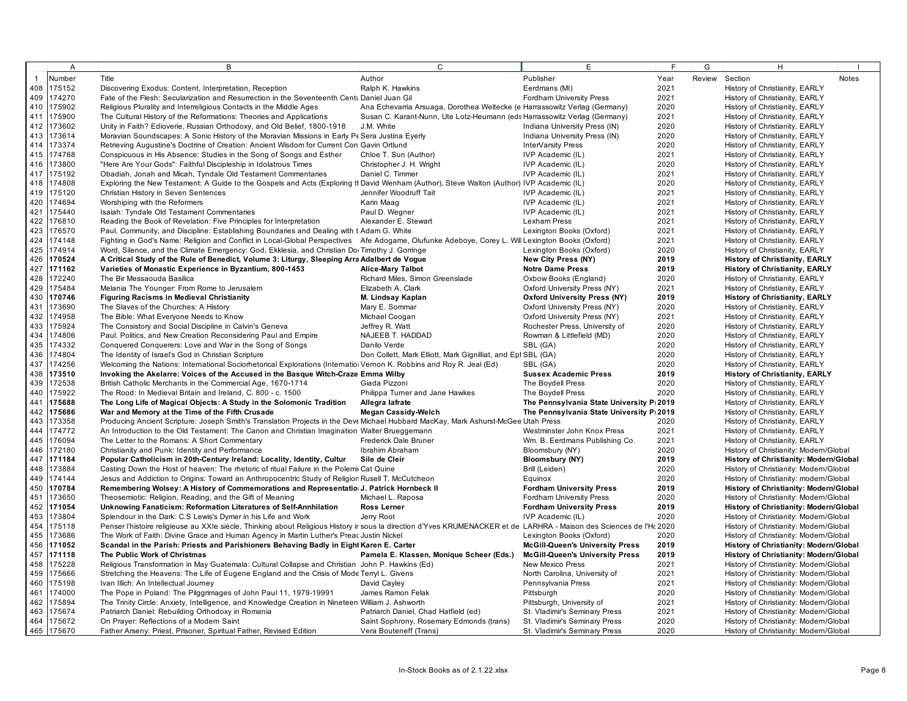|                | $\overline{A}$   | В                                                                                                                                                                     | C                                                                          | E                                                                                | F.           | G | H                                                                                |              |
|----------------|------------------|-----------------------------------------------------------------------------------------------------------------------------------------------------------------------|----------------------------------------------------------------------------|----------------------------------------------------------------------------------|--------------|---|----------------------------------------------------------------------------------|--------------|
| $\overline{1}$ | Number           | Title                                                                                                                                                                 | Author                                                                     | Publisher                                                                        | Year         |   | Review Section                                                                   | <b>Notes</b> |
|                | 408 175152       | Discovering Exodus: Content, Interpretation, Reception                                                                                                                | Ralph K. Hawkins                                                           | Eerdmans (MI)                                                                    | 2021         |   | History of Christianity, EARLY                                                   |              |
|                | 409 174270       | Fate of the Flesh: Secularization and Resurrection in the Seventeenth Centu Daniel Juan Gil                                                                           |                                                                            | <b>Fordham University Press</b>                                                  | 2021         |   | History of Christianity, EARLY                                                   |              |
| 410            | 175902           | Religious Plurality and Interreligious Contacts in the Middle Ages                                                                                                    | Ana Echevarria Arsuaga, Dorothea Weltecke (e Harrassowitz Verlag (Germany) |                                                                                  | 2020         |   | History of Christianity, EARLY                                                   |              |
|                | 411 175900       | The Cultural History of the Reformations: Theories and Applications                                                                                                   | Susan C. Karant-Nunn, Ute Lotz-Heumann (eds Harrassowitz Verlag (Germany)  |                                                                                  | 2021         |   | History of Christianity, EARLY                                                   |              |
| 412            | 173602           | Unity in Faith? Edioverie, Russian Orthodoxy, and Old Belief, 1800-1918                                                                                               | J.M. White                                                                 | Indiana University Press (IN)                                                    | 2020         |   | History of Christianity, EARLY                                                   |              |
|                | 413 173614       | Moravian Soundscapes: A Sonic History of the Moravian Missions in Early Pe Sera Justina Eyerly                                                                        |                                                                            | Indiana University Press (IN)                                                    | 2020         |   | History of Christianity, EARLY                                                   |              |
| 414            | 173374           | Retrieving Augustine's Doctrine of Creation: Ancient Wisdom for Current Con Gavin Ortlund                                                                             |                                                                            | InterVarsity Press                                                               | 2020         |   | History of Christianity, EARLY                                                   |              |
| 415            | 174768           | Conspicuous in His Absence: Studies in the Song of Songs and Esther                                                                                                   | Chloe T. Sun (Author)                                                      | IVP Academic (IL)                                                                | 2021         |   | History of Christianity, EARLY                                                   |              |
| 416            | 173800           | "Here Are Your Gods": Faithful Discipleship in Idolatrous Times                                                                                                       | Christopher J. H. Wright                                                   | IVP Academic (IL)                                                                | 2020         |   | History of Christianity, EARLY                                                   |              |
|                | 417 175192       | Obadiah, Jonah and Micah, Tyndale Old Testament Commentaries                                                                                                          | Daniel C. Timmer                                                           | IVP Academic (IL)                                                                | 2021         |   | History of Christianity, EARLY                                                   |              |
| 418            | 174808           | Exploring the New Testament: A Guide to the Gospels and Acts (Exploring th David Wenham (Author), Steve Walton (Author) IVP Academic (IL)                             |                                                                            |                                                                                  | 2020         |   | History of Christianity, EARLY                                                   |              |
| 419            | 175120           | Christian History in Seven Sentences                                                                                                                                  | Jennifer Woodruff Tait                                                     | IVP Academic (IL)                                                                | 2021         |   | History of Christianity, EARLY                                                   |              |
| 420            | 174694           | Worshiping with the Reformers                                                                                                                                         | Karin Maag                                                                 | IVP Academic (IL)                                                                | 2021         |   | History of Christianity, EARLY                                                   |              |
| 421            | 175440           | Isaiah: Tyndale Old Testament Commentaries                                                                                                                            | Paul D. Wegner                                                             | IVP Academic (IL)                                                                | 2021         |   | History of Christianity, EARLY                                                   |              |
| 422            | 176810           | Reading the Book of Revelation: Five Principles for Interpretation                                                                                                    | Alexander E. Stewart                                                       | Lexham Press                                                                     | 2021         |   | History of Christianity, EARLY                                                   |              |
| 423            | 176570           | Paul, Community, and Discipline: Establishing Boundaries and Dealing with t Adam G. White                                                                             |                                                                            | Lexington Books (Oxford)                                                         | 2021         |   | History of Christianity, EARLY                                                   |              |
| 424            | 174148           | Fighting in God's Name: Religion and Conflict in Local-Global Perspectives Afe Adogame, Olufunke Adeboye, Corey L. Will Lexington Books (Oxford)                      |                                                                            |                                                                                  | 2021         |   | History of Christianity, EARLY                                                   |              |
| 425            | 174914           | Word, Silence, and the Climate Emergency: God, Ekklesia, and Christian Do Timothy J. Gorringe                                                                         |                                                                            | Lexington Books (Oxford)                                                         | 2020         |   | History of Christianity, EARLY                                                   |              |
| 426            | 170524           | A Critical Study of the Rule of Benedict, Volume 3: Liturgy, Sleeping Arra Adalbert de Vogue                                                                          |                                                                            | New City Press (NY)                                                              | 2019         |   | <b>History of Christianity, EARLY</b>                                            |              |
| 427            | 171162           | Varieties of Monastic Experience in Byzantium, 800-1453                                                                                                               | <b>Alice-Mary Talbot</b>                                                   | <b>Notre Dame Press</b>                                                          | 2019         |   | <b>History of Christianity, EARLY</b>                                            |              |
| 428            | 172240           | The Bir Messaouda Basilica                                                                                                                                            | Richard Miles, Simon Greenslade                                            | Oxbow Books (England)                                                            | 2020         |   | History of Christianity, EARLY                                                   |              |
| 429            | 175484           | Melania The Younger: From Rome to Jerusalem                                                                                                                           | Elizabeth A. Clark                                                         | Oxford University Press (NY)                                                     | 2021         |   | History of Christianity, EARLY                                                   |              |
| 430            | 170746           | <b>Figuring Racisms in Medieval Christianity</b>                                                                                                                      | M. Lindsay Kaplan                                                          | <b>Oxford University Press (NY)</b>                                              | 2019         |   | History of Christianity, EARLY                                                   |              |
| 431            | 173690           | The Slaves of the Churches: A History                                                                                                                                 | Mary E. Sommar                                                             | Oxford University Press (NY)                                                     | 2020         |   | History of Christianity, EARLY                                                   |              |
|                | 432 174958       | The Bible: What Everyone Needs to Know                                                                                                                                | Michael Coogan                                                             | Oxford University Press (NY)                                                     | 2021         |   | History of Christianity, EARLY                                                   |              |
| 433            | 175924           | The Consistory and Social Discipline in Calvin's Geneva                                                                                                               | Jeffrey R. Watt                                                            | Rochester Press, University of                                                   | 2020         |   | History of Christianity, EARLY                                                   |              |
|                | 434 174806       | Paul, Politics, and New Creation Reconsidering Paul and Empire                                                                                                        | NAJEEB T. HADDAD                                                           | Rowman & Littlefield (MD)                                                        | 2020         |   | History of Christianity, EARLY                                                   |              |
| 435            | 174332           | Conquered Conquerers: Love and War in the Song of Songs                                                                                                               | Danilo Verde                                                               | SBL (GA)                                                                         | 2020         |   | History of Christianity, EARLY                                                   |              |
| 436            | 174804           | The Identity of Israel's God in Christian Scripture                                                                                                                   | Don Collett, Mark Elliott, Mark Gignilliat, and Epl SBL (GA)               |                                                                                  | 2020         |   | History of Christianity, EARLY                                                   |              |
| 437            | 174256           | Welcoming the Nations: International Sociorhetorical Explorations (Internation Vernon K. Robbins and Roy R. Jeal (Ed)                                                 |                                                                            | SBL (GA)                                                                         | 2020         |   | History of Christianity, EARLY                                                   |              |
|                | 438 173510       | Invoking the Akelarre: Voices of the Accused in the Basque Witch-Craze Emma Wilby                                                                                     |                                                                            | <b>Sussex Academic Press</b>                                                     | 2019         |   | History of Christianity, EARLY                                                   |              |
| 439            | 172538           | British Catholic Merchants in the Commercial Age, 1670-1714                                                                                                           | Giada Pizzoni                                                              | The Boydell Press                                                                | 2020         |   | History of Christianity, EARLY                                                   |              |
| 440            | 175922           | The Rood: In Medieval Britain and Ireland, C. 800 - c. 1500                                                                                                           | Philippa Turner and Jane Hawkes                                            | The Boydell Press                                                                | 2020         |   | History of Christianity, EARLY                                                   |              |
| 441            | 175688           | The Long Life of Magical Objects: A Study in the Solomonic Tradition                                                                                                  | Allegra lafrate                                                            | The Pennsylvania State University P: 2019                                        |              |   | History of Christianity, EARLY                                                   |              |
| 442            | 175686           | War and Memory at the Time of the Fifth Crusade                                                                                                                       | <b>Megan Cassidy-Welch</b>                                                 | The Pennsylvania State University P: 2019                                        |              |   | History of Christianity, EARLY                                                   |              |
| 443            | 173358           | Producing Ancient Scripture: Joseph Smith's Translation Projects in the Deve Michael Hubbard MacKay, Mark Ashurst-McGee Utah Press                                    |                                                                            |                                                                                  | 2020         |   | History of Christianity, EARLY                                                   |              |
| 444            | 174772           | An Introduction to the Old Testament: The Canon and Christian Imagination Walter Brueggemann                                                                          |                                                                            | Westminster John Knox Press                                                      | 2021         |   | History of Christianity, EARLY                                                   |              |
| 445            | 176094           | The Letter to the Romans: A Short Commentary                                                                                                                          | Frederick Dale Bruner                                                      | Wm. B. Eerdmans Publishing Co.                                                   | 2021         |   | History of Christianity, EARLY                                                   |              |
| 446            | 172180           | Christianity and Punk: Identity and Performance                                                                                                                       | Ibrahim Abraham                                                            | Bloomsbury (NY)                                                                  | 2020         |   | History of Christianity: Modern/Global                                           |              |
| 447            | 171184           | Popular Catholicism in 20th-Century Ireland: Locality, Identity, Cultur                                                                                               | Sile de Cleir                                                              | <b>Bloomsbury (NY)</b>                                                           | 2019         |   | History of Christianity: Modern/Global                                           |              |
| 448            | 173884           | Casting Down the Host of heaven: The rhetoric of ritual Failure in the Polemi Cat Quine                                                                               |                                                                            | Brill (Leiden)                                                                   | 2020         |   | History of Christianity: Modern/Global                                           |              |
| 449            | 174144           | Jesus and Addiction to Origins: Toward an Anthropocentric Study of Religion Rusell T. McCutcheon                                                                      |                                                                            | Equinox                                                                          | 2020         |   | History of Christianity: modern/Global                                           |              |
| 450            | 170784           | Remembering Wolsey: A History of Commemorations and Representatiol J. Patrick Hornbeck II                                                                             |                                                                            | <b>Fordham University Press</b>                                                  | 2019         |   | History of Christianity: Modern/Global                                           |              |
| 451            | 173650           | Theosemiotic: Religion, Reading, and the Gift of Meaning                                                                                                              | Michael L. Raposa                                                          | <b>Fordham University Press</b>                                                  | 2020         |   | History of Christianity: Modern/Global                                           |              |
| 452            | 171054           | Unknowing Fanaticism: Reformation Literatures of Self-Annhilation                                                                                                     | Ross Lerner                                                                | <b>Fordham University Press</b>                                                  | 2019         |   | History of Christianity: Modern/Global                                           |              |
| 453            | 173804           | Splendour in the Dark: C.S Lewis's Dymer in his Life and Work                                                                                                         | Jerry Root                                                                 | IVP Academic (IL)                                                                | 2020         |   | History of Christianity: Modern/Global                                           |              |
| 454            | 175118           | Penser l'histoire religieuse au XXIe siècle, Thinking about Religious History ir sous la direction d'Yves KRUMENACKER et de LARHRA - Maison des Sciences de l'Hc 2020 |                                                                            |                                                                                  |              |   | History of Christianity: Modern/Global                                           |              |
| 455            | 173686           | The Work of Faith: Divine Grace and Human Agency in Martin Luther's Preac Justin Nickel                                                                               |                                                                            | Lexington Books (Oxford)                                                         | 2020         |   | History of Christianity: Modern/Global                                           |              |
| 456<br>457     | 171052<br>171118 | Scandal in the Parish: Priests and Parishioners Behaving Badly in Eight Karen E. Carter<br>The Public Work of Christmas                                               |                                                                            | <b>McGill-Queen's University Press</b><br><b>McGill-Queen's University Press</b> | 2019<br>2019 |   | History of Christianity: Modern/Global                                           |              |
|                | 458 175228       | Religious Transformation in May Guatemala: Cultural Collapse and Christian John P. Hawkins (Ed)                                                                       | Pamela E. Klassen, Monique Scheer (Eds.)                                   | New Mexico Press                                                                 | 2021         |   | History of Christianity: Modern/Global<br>History of Christianity: Modern/Global |              |
| 459            | 175666           | Stretching the Heavens: The Life of Eugene England and the Crisis of Mode Terryl L. Givens                                                                            |                                                                            | North Carolina, University of                                                    | 2021         |   | History of Christianity: Modern/Global                                           |              |
| 460            | 175198           | Ivan Illich: An Intellectual Journey                                                                                                                                  | David Cayley                                                               | Pennsylvania Press                                                               | 2021         |   | History of Christianity: Modern/Global                                           |              |
| 461            | 174000           | The Pope in Poland: The Pilggrimages of John Paul 11, 1979-19991                                                                                                      | James Ramon Felak                                                          | Pittsburgh                                                                       | 2020         |   | History of Christianity: Modern/Global                                           |              |
| 462            | 175894           | The Trinity Circle: Anxiety, Intelligence, and Knowledge Creation in Nineteen William J. Ashworth                                                                     |                                                                            | Pittsburgh, University of                                                        | 2021         |   | History of Christianity: Modern/Global                                           |              |
| 463            | 175674           | Patriarch Daniel: Rebuilding Orthodoxy in Romania                                                                                                                     | Patriarch Daniel, Chad Hatfield (ed)                                       | St. Vladimir's Seminary Press                                                    | 2021         |   | History of Christianity: Modern/Global                                           |              |
|                | 464 175672       | On Prayer: Reflections of a Modern Saint                                                                                                                              | Saint Sophrony, Rosemary Edmonds (trans)                                   | St. Vladimir's Seminary Press                                                    | 2020         |   | History of Christianity: Modern/Global                                           |              |
|                | 465 175670       | Father Arseny: Priest, Prisoner, Spiritual Father, Revised Edition                                                                                                    | Vera Bouteneff (Trans)                                                     | St. Vladimir's Seminary Press                                                    | 2020         |   | History of Christianity: Modern/Global                                           |              |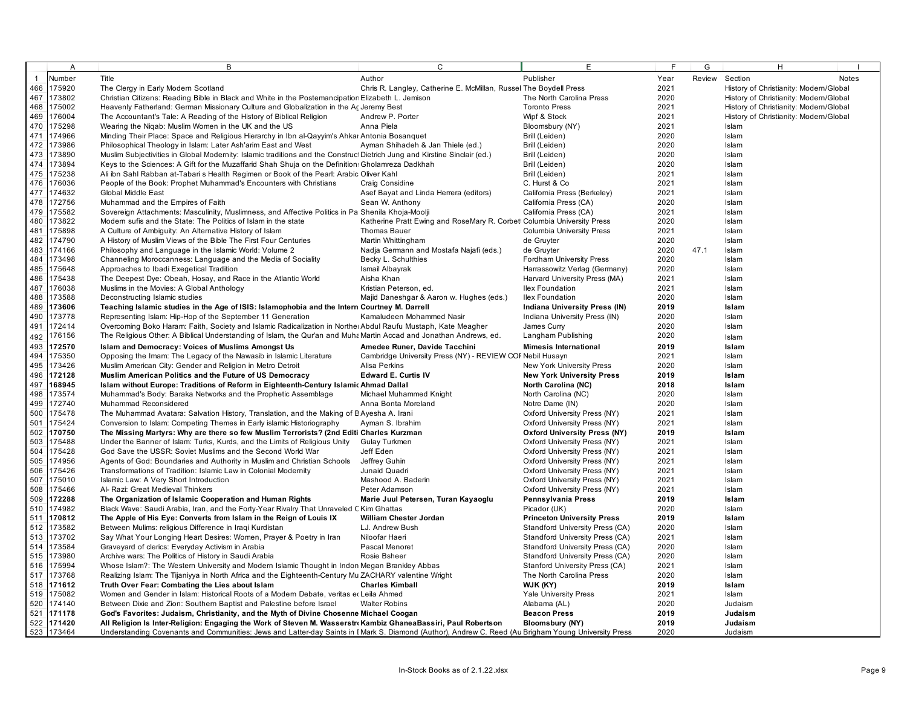|              | Α          | В                                                                                                                                                    | C                                                                       | E                                    | F.   | G      | н                                      |              |
|--------------|------------|------------------------------------------------------------------------------------------------------------------------------------------------------|-------------------------------------------------------------------------|--------------------------------------|------|--------|----------------------------------------|--------------|
| $\mathbf{1}$ | Number     | Title                                                                                                                                                | Author                                                                  | Publisher                            | Year | Review | Section                                | <b>Notes</b> |
| 466          | 175920     | The Clergy in Early Modern Scotland                                                                                                                  | Chris R. Langley, Catherine E. McMillan, Russel The Boydell Press       |                                      | 2021 |        | History of Christianity: Modern/Global |              |
| 467          | 173802     | Christian Citizens: Reading Bible in Black and White in the Postemancipation Elizabeth L. Jemison                                                    |                                                                         | The North Carolina Press             | 2020 |        | History of Christianity: Modern/Global |              |
| 468          | 175002     | Heavenly Fatherland: German Missionary Culture and Globalization in the Ac Jeremy Best                                                               |                                                                         | <b>Toronto Press</b>                 | 2021 |        | History of Christianity: Modern/Global |              |
| 469          | 176004     | The Accountant's Tale: A Reading of the History of Biblical Religion                                                                                 | Andrew P. Porter                                                        | Wipf & Stock                         | 2021 |        | History of Christianity: Modern/Global |              |
| 470          | 175298     | Wearing the Nigab: Muslim Women in the UK and the US                                                                                                 | Anna Piela                                                              |                                      | 2021 |        | Islam                                  |              |
| 471          | 174966     |                                                                                                                                                      |                                                                         | Bloomsbury (NY)                      | 2020 |        |                                        |              |
|              |            | Minding Their Place: Space and Religious Hierarchy in Ibn al-Qayyim's Ahkar Antonia Bosanquet                                                        |                                                                         | Brill (Leiden)                       |      |        | Islam                                  |              |
|              | 472 173986 | Philosophical Theology in Islam: Later Ash'arim East and West                                                                                        | Ayman Shihadeh & Jan Thiele (ed.)                                       | Brill (Leiden)                       | 2020 |        | Islam                                  |              |
| 473          | 173890     | Muslim Subjectivities in Global Modernity: Islamic traditions and the Construct Dietrich Jung and Kirstine Sinclair (ed.)                            |                                                                         | Brill (Leiden)                       | 2020 |        | Islam                                  |              |
|              | 474 173894 | Keys to the Sciences: A Gift for the Muzaffarid Shah Shuja on the Definition: Gholamreza Dadkhah                                                     |                                                                         | Brill (Leiden)                       | 2020 |        | Islam                                  |              |
| 475          | 175238     | Ali ibn Sahl Rabban at-Tabari s Health Regimen or Book of the Pearl: Arabic Oliver Kahl                                                              |                                                                         | Brill (Leiden)                       | 2021 |        | Islam                                  |              |
| 476          | 176036     | People of the Book: Prophet Muhammad's Encounters with Christians                                                                                    | Craig Considine                                                         | C. Hurst & Co                        | 2021 |        | Islam                                  |              |
| 477          | 174632     | Global Middle East                                                                                                                                   | Asef Bayat and Linda Herrera (editors)                                  | California Press (Berkeley)          | 2021 |        | Islam                                  |              |
| 478          | 172756     | Muhammad and the Empires of Faith                                                                                                                    | Sean W. Anthony                                                         | California Press (CA)                | 2020 |        | Islam                                  |              |
| 479          | 175582     | Sovereign Attachments: Masculinity, Muslimness, and Affective Politics in Pa Shenila Khoja-Moolji                                                    |                                                                         | California Press (CA)                | 2021 |        | Islam                                  |              |
| 480          | 173822     | Modem sufis and the State: The Politics of Islam in the state                                                                                        | Katherine Pratt Ewing and RoseMary R. Corbett Columbia University Press |                                      | 2020 |        | Islam                                  |              |
| 481          | 175898     | A Culture of Ambiguity: An Alternative History of Islam                                                                                              | <b>Thomas Bauer</b>                                                     | <b>Columbia University Press</b>     | 2021 |        | Islam                                  |              |
| 482          | 174790     | A History of Muslim Views of the Bible The First Four Centuries                                                                                      | Martin Whittingham                                                      | de Gruyter                           | 2020 |        | Islam                                  |              |
| 483          | 174166     | Philosophy and Language in the Islamic World: Volume 2                                                                                               | Nadja Germann and Mostafa Najafi (eds.)                                 | de Gruyter                           | 2020 | 47.1   | Islam                                  |              |
| 484          | 173498     | Channeling Moroccanness: Language and the Media of Sociality                                                                                         | Becky L. Schulthies                                                     | <b>Fordham University Press</b>      | 2020 |        | Islam                                  |              |
| 485          | 175648     | Approaches to Ibadi Exegetical Tradition                                                                                                             | Ismail Albayrak                                                         | Harrassowitz Verlag (Germany)        | 2020 |        | Islam                                  |              |
| 486          | 175438     | The Deepest Dye: Obeah, Hosay, and Race in the Atlantic World                                                                                        | Aisha Khan                                                              | Harvard University Press (MA)        | 2021 |        | Islam                                  |              |
| 487          | 176038     | Muslims in the Movies: A Global Anthology                                                                                                            | Kristian Peterson, ed.                                                  | <b>Ilex Foundation</b>               | 2021 |        | Islam                                  |              |
| 488          | 173588     | Deconstructing Islamic studies                                                                                                                       | Majid Daneshgar & Aaron w. Hughes (eds.)                                | Ilex Foundation                      | 2020 |        | Islam                                  |              |
| 489          | 173606     | Teaching Islamic studies in the Age of ISIS: Islamophobia and the Intern Courtney M. Darrell                                                         |                                                                         | <b>Indiana University Press (IN)</b> | 2019 |        | Islam                                  |              |
| 490          | 173778     | Representing Islam: Hip-Hop of the September 11 Generation                                                                                           | Kamaludeen Mohammed Nasir                                               | Indiana University Press (IN)        | 2020 |        | Islam                                  |              |
|              | 491 172414 | Overcoming Boko Haram: Faith, Society and Islamic Radicalization in Norther Abdul Raufu Mustaph, Kate Meagher                                        |                                                                         | James Curry                          | 2020 |        | Islam                                  |              |
| 492          | 176156     | The Religious Other: A Biblical Understanding of Islam, the Qur'an and Muha Martin Accad and Jonathan Andrews, ed.                                   |                                                                         | Langham Publishing                   | 2020 |        | Islam                                  |              |
| 493          | 172570     | Islam and Democracy: Voices of Muslims Amongst Us                                                                                                    | Amedee Runer, Davide Tacchini                                           | <b>Mimesis International</b>         | 2019 |        | Islam                                  |              |
| 494          | 175350     | Opposing the Imam: The Legacy of the Nawasib in Islamic Literature                                                                                   | Cambridge University Press (NY) - REVIEW COF Nebil Husayn               |                                      | 2021 |        | Islam                                  |              |
| 495          | 173426     | Muslim American City: Gender and Religion in Metro Detroit                                                                                           | Alisa Perkins                                                           | New York University Press            | 2020 |        | Islam                                  |              |
|              | 496 172128 | Muslim American Politics and the Future of US Democracy                                                                                              | <b>Edward E. Curtis IV</b>                                              | <b>New York University Press</b>     | 2019 |        | Islam                                  |              |
|              | 168945     |                                                                                                                                                      |                                                                         |                                      | 2018 |        |                                        |              |
| 497          |            | Islam without Europe: Traditions of Reform in Eighteenth-Century Islamic Ahmad Dallal                                                                |                                                                         | North Carolina (NC)                  |      |        | Islam                                  |              |
| 498          | 173574     | Muhammad's Body: Baraka Networks and the Prophetic Assemblage                                                                                        | Michael Muhammed Knight                                                 | North Carolina (NC)                  | 2020 |        | Islam                                  |              |
| 499          | 172740     | Muhammad Reconsidered                                                                                                                                | Anna Bonta Moreland                                                     | Notre Dame (IN)                      | 2020 |        | Islam                                  |              |
|              | 500 175478 | The Muhammad Avatara: Salvation History, Translation, and the Making of E Ayesha A. Irani                                                            |                                                                         | Oxford University Press (NY)         | 2021 |        | Islam                                  |              |
| 501          | 175424     | Conversion to Islam: Competing Themes in Early islamic Historiography                                                                                | Ayman S. Ibrahim                                                        | Oxford University Press (NY)         | 2021 |        | Islam                                  |              |
| 502          | 170750     | The Missing Martyrs: Why are there so few Muslim Terrorists? (2nd Editi Charles Kurzman                                                              |                                                                         | <b>Oxford University Press (NY)</b>  | 2019 |        | Islam                                  |              |
|              | 503 175488 | Under the Banner of Islam: Turks, Kurds, and the Limits of Religious Unity                                                                           | Gulay Turkmen                                                           | Oxford University Press (NY)         | 2021 |        | Islam                                  |              |
|              | 504 175428 | God Save the USSR: Soviet Muslims and the Second World War                                                                                           | Jeff Eden                                                               | Oxford University Press (NY)         | 2021 |        | Islam                                  |              |
| 505          | 174956     | Agents of God: Boundaries and Authority in Muslim and Christian Schools                                                                              | Jeffrey Guhin                                                           | Oxford University Press (NY)         | 2021 |        | Islam                                  |              |
|              | 506 175426 | Transformations of Tradition: Islamic Law in Colonial Modemity                                                                                       | Junaid Quadri                                                           | Oxford University Press (NY)         | 2021 |        | Islam                                  |              |
| 507          | 175010     | Islamic Law: A Very Short Introduction                                                                                                               | Mashood A. Baderin                                                      | Oxford University Press (NY)         | 2021 |        | Islam                                  |              |
|              | 508 175466 | Al- Razi: Great Medieval Thinkers                                                                                                                    | Peter Adamson                                                           | Oxford University Press (NY)         | 2021 |        | Islam                                  |              |
| 509          | 172288     | The Organization of Islamic Cooperation and Human Rights                                                                                             | Marie Juul Petersen, Turan Kayaoglu                                     | Pennsylvania Press                   | 2019 |        | Islam                                  |              |
| 510          | 174982     | Black Wave: Saudi Arabia, Iran, and the Forty-Year Rivalry That Unraveled C Kim Ghattas                                                              |                                                                         | Picador (UK)                         | 2020 |        | Islam                                  |              |
|              | 511 170812 | The Apple of His Eye: Converts from Islam in the Reign of Louis IX                                                                                   | William Chester Jordan                                                  | <b>Princeton University Press</b>    | 2019 |        | Islam                                  |              |
|              | 512 173582 | Between Mulims: religious Difference in Iraqi Kurdistan                                                                                              | LJ. Andrew Bush                                                         | Standford University Press (CA)      | 2020 |        | Islam                                  |              |
|              | 513 173702 | Say What Your Longing Heart Desires: Women, Prayer & Poetry in Iran                                                                                  | Niloofar Haeri                                                          | Standford University Press (CA)      | 2021 |        | Islam                                  |              |
| 514          | 173584     | Graveyard of clerics: Everyday Activism in Arabia                                                                                                    | Pascal Menoret                                                          | Standford University Press (CA)      | 2020 |        | Islam                                  |              |
| 515          | 173980     | Archive wars: The Politics of History in Saudi Arabia                                                                                                | Rosie Bsheer                                                            | Standford University Press (CA)      | 2020 |        | Islam                                  |              |
|              | 516 175994 | Whose Islam?: The Western University and Modern Islamic Thought in Indon Megan Brankley Abbas                                                        |                                                                         | Stanford University Press (CA)       | 2021 |        | Islam                                  |              |
|              | 517 173768 | Realizing Islam: The Tijaniyya in North Africa and the Eighteenth-Century Mu ZACHARY valentine Wright                                                |                                                                         | The North Carolina Press             | 2020 |        | Islam                                  |              |
|              | 518 171612 | Truth Over Fear: Combating the Lies about Islam                                                                                                      | <b>Charles Kimball</b>                                                  | WJK (KY)                             | 2019 |        | Islam                                  |              |
|              | 519 175082 | Women and Gender in Islam: Historical Roots of a Modern Debate, veritas et Leila Ahmed                                                               |                                                                         | <b>Yale University Press</b>         | 2021 |        | Islam                                  |              |
|              | 520 174140 | Between Dixie and Zion: Southern Baptist and Palestine before Israel                                                                                 | <b>Walter Robins</b>                                                    | Alabama (AL)                         | 2020 |        | Judaism                                |              |
|              | 521 171178 | God's Favorites: Judaism, Christianity, and the Myth of Divine Chosenne Michael Coogan                                                               |                                                                         | <b>Beacon Press</b>                  | 2019 |        | Judaism                                |              |
|              | 522 171420 | All Religion Is Inter-Religion: Engaging the Work of Steven M. Wasserstro Kambiz GhaneaBassiri, Paul Robertson                                       |                                                                         | <b>Bloomsbury (NY)</b>               | 2019 |        | Judaism                                |              |
|              | 523 173464 | Understanding Covenants and Communities: Jews and Latter-day Saints in I Mark S. Diamond (Author), Andrew C. Reed (Au Brigham Young University Press |                                                                         |                                      | 2020 |        | Judaism                                |              |
|              |            |                                                                                                                                                      |                                                                         |                                      |      |        |                                        |              |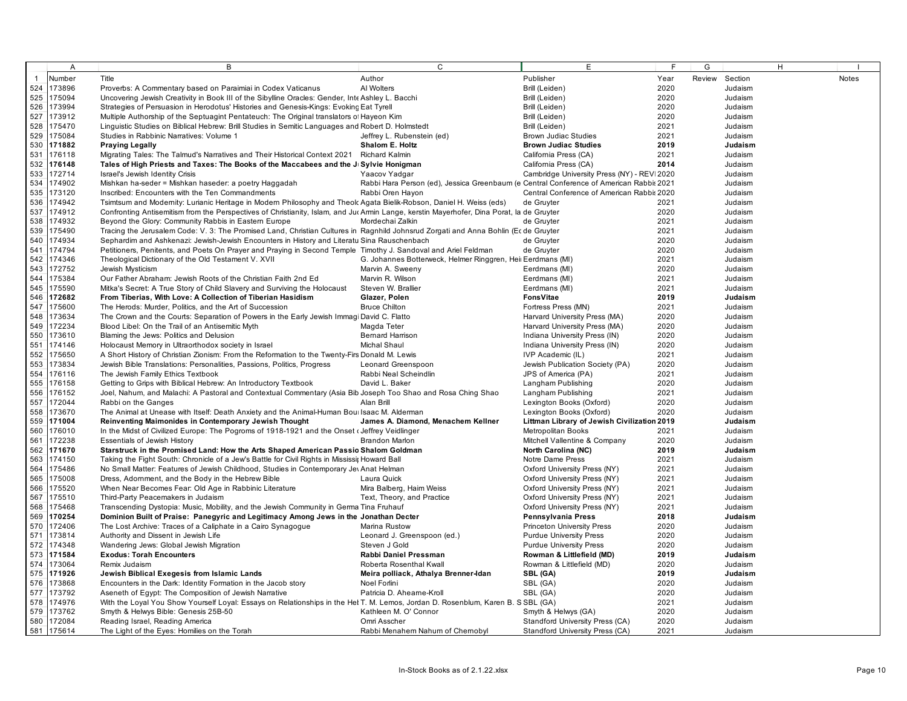|              | A          | B                                                                                                                                         | $\mathsf{C}$                                                                           | E                                           | E    | G              | H. |              |
|--------------|------------|-------------------------------------------------------------------------------------------------------------------------------------------|----------------------------------------------------------------------------------------|---------------------------------------------|------|----------------|----|--------------|
| $\mathbf{1}$ | Number     | Title                                                                                                                                     | Author                                                                                 | Publisher                                   | Year | Review Section |    | <b>Notes</b> |
| 524          | 173896     | Proverbs: A Commentary based on Paraimiai in Codex Vaticanus                                                                              | Al Wolters                                                                             | Brill (Leiden)                              | 2020 | Judaism        |    |              |
| 525          | 175094     | Uncovering Jewish Creativity in Book III of the Sibylline Oracles: Gender, Inte Ashley L. Bacchi                                          |                                                                                        | Brill (Leiden)                              | 2020 | Judaism        |    |              |
| 526          | 173994     | Strategies of Persuasion in Herodotus' Histories and Genesis-Kings: Evoking Eat Tyrell                                                    |                                                                                        | Brill (Leiden)                              | 2020 | Judaism        |    |              |
| 527          | 173912     | Multiple Authorship of the Septuagint Pentateuch: The Original translators of Hayeon Kim                                                  |                                                                                        | Brill (Leiden)                              | 2020 | Judaism        |    |              |
| 528          | 175470     | Linguistic Studies on Biblical Hebrew: Brill Studies in Semitic Languages and Robert D. Holmstedt                                         |                                                                                        | Brill (Leiden)                              | 2021 | Judaism        |    |              |
| 529          | 175084     | Studies in Rabbinic Narratives: Volume 1                                                                                                  | Jeffrey L. Rubenstein (ed)                                                             | <b>Brown Judiac Studies</b>                 | 2021 | Judaism        |    |              |
| 530          | 171882     | <b>Praying Legally</b>                                                                                                                    | Shalom E. Holtz                                                                        | <b>Brown Judiac Studies</b>                 | 2019 | Judaism        |    |              |
| 531          | 176118     | Migrating Tales: The Talmud's Narratives and Their Historical Context 2021 Richard Kalmin                                                 |                                                                                        | California Press (CA)                       | 2021 | Judaism        |    |              |
| 532          | 176148     | Tales of High Priests and Taxes: The Books of the Maccabees and the J Sylvie Honigman                                                     |                                                                                        | California Press (CA)                       | 2014 | Judaism        |    |              |
| 533          | 172714     | Israel's Jewish Identity Crisis                                                                                                           | Yaacov Yadgar                                                                          | Cambridge University Press (NY) - REVI 2020 |      | Judaism        |    |              |
| 534          | 174902     | Mishkan ha-seder = Mishkan haseder: a poetry Haggadah                                                                                     | Rabbi Hara Person (ed), Jessica Greenbaum (e Central Conference of American Rabbi 2021 |                                             |      | Judaism        |    |              |
| 535          | 173120     | Inscribed: Encounters with the Ten Commandments                                                                                           | Rabbi Oren Hayon                                                                       | Central Conference of American Rabbi: 2020  |      | Judaism        |    |              |
| 536          | 174942     | Tsimtsum and Modernity: Lurianic Heritage in Modern Philosophy and Theolc Agata Bielik-Robson, Daniel H. Weiss (eds)                      |                                                                                        | de Gruyter                                  | 2021 | Judaism        |    |              |
| 537          | 174912     | Confronting Antisemitism from the Perspectives of Christianity, Islam, and Juc Armin Lange, kerstin Mayerhofer, Dina Porat, la de Gruyter |                                                                                        |                                             | 2020 | Judaism        |    |              |
| 538          | 174932     | Beyond the Glory: Community Rabbis in Eastern Europe                                                                                      | Mordechai Zalkin                                                                       | de Gruyter                                  | 2021 | Judaism        |    |              |
| 539          | 175490     | Tracing the Jerusalem Code: V. 3: The Promised Land, Christian Cultures in Ragnhild Johnsrud Zorgati and Anna Bohlin (Ecde Gruyter        |                                                                                        |                                             | 2021 | Judaism        |    |              |
| 540          | 174934     | Sephardim and Ashkenazi: Jewish-Jewish Encounters in History and Literatu Sina Rauschenbach                                               |                                                                                        | de Gruyter                                  | 2020 | Judaism        |    |              |
| 541          | 174794     | Petitioners, Penitents, and Poets On Prayer and Praying in Second Temple Timothy J. Sandoval and Ariel Feldman                            |                                                                                        | de Gruyter                                  | 2020 | Judaism        |    |              |
| 542          | 174346     | Theological Dictionary of the Old Testament V. XVII                                                                                       | G. Johannes Botterweck, Helmer Ringgren, Heir Eerdmans (MI)                            |                                             | 2021 | Judaism        |    |              |
| 543          | 172752     | Jewish Mysticism                                                                                                                          | Marvin A. Sweeny                                                                       | Eerdmans (MI)                               | 2020 | Judaism        |    |              |
| 544          | 175384     | Our Father Abraham: Jewish Roots of the Christian Faith 2nd Ed                                                                            | Marvin R. Wilson                                                                       | Eerdmans (MI)                               | 2021 | Judaism        |    |              |
| 545          | 175590     | Mitka's Secret: A True Story of Child Slavery and Surviving the Holocaust                                                                 | Steven W. Brallier                                                                     | Eerdmans (MI)                               | 2021 | Judaism        |    |              |
| 546          | 172682     | From Tiberias, With Love: A Collection of Tiberian Hasidism                                                                               | Glazer, Polen                                                                          | FonsVitae                                   | 2019 | Judaism        |    |              |
| 547          | 175600     | The Herods: Murder, Politics, and the Art of Succession                                                                                   | <b>Bruce Chilton</b>                                                                   | Fortress Press (MN)                         | 2021 | Judaism        |    |              |
| 548          | 173634     | The Crown and the Courts: Separation of Powers in the Early Jewish Immagi David C. Flatto                                                 |                                                                                        | Harvard University Press (MA)               | 2020 | Judaism        |    |              |
| 549          | 172234     | Blood Libel: On the Trail of an Antisemitic Myth                                                                                          | Magda Teter                                                                            | Harvard University Press (MA)               | 2020 | Judaism        |    |              |
| 550          | 173610     | Blaming the Jews: Politics and Delusion                                                                                                   | <b>Bemard Harrison</b>                                                                 | Indiana University Press (IN)               | 2020 | Judaism        |    |              |
| 551          | 174146     | Holocaust Memory in Ultraorthodox society in Israel                                                                                       | Michal Shaul                                                                           | Indiana University Press (IN)               | 2020 | Judaism        |    |              |
| 552          | 175650     | A Short History of Christian Zionism: From the Reformation to the Twenty-Firs Donald M. Lewis                                             |                                                                                        | IVP Academic (IL)                           | 2021 | Judaism        |    |              |
| 553          | 173834     | Jewish Bible Translations: Personalities, Passions, Politics, Progress                                                                    | Leonard Greenspoon                                                                     | Jewish Publication Society (PA)             | 2020 | Judaism        |    |              |
| 554          | 176116     | The Jewish Family Ethics Textbook                                                                                                         | Rabbi Neal Scheindlin                                                                  | JPS of America (PA)                         | 2021 | Judaism        |    |              |
| 555          | 176158     | Getting to Grips with Biblical Hebrew: An Introductory Textbook                                                                           | David L. Baker                                                                         | Langham Publishing                          | 2020 | Judaism        |    |              |
| 556          | 176152     | Joel, Nahum, and Malachi: A Pastoral and Contextual Commentary (Asia Bib Joseph Too Shao and Rosa Ching Shao                              |                                                                                        | Langham Publishing                          | 2021 | Judaism        |    |              |
| 557          | 172044     | Rabbi on the Ganges                                                                                                                       | Alan Brill                                                                             | Lexington Books (Oxford)                    | 2020 | Judaism        |    |              |
| 558          | 173670     | The Animal at Unease with Itself: Death Anxiety and the Animal-Human Boullsaac M. Alderman                                                |                                                                                        | Lexington Books (Oxford)                    | 2020 | Judaism        |    |              |
| 559          | 171004     | Reinventing Maimonides in Contemporary Jewish Thought                                                                                     | James A. Diamond, Menachem Kellner                                                     | Littman Library of Jewish Civilization 2019 |      | Judaism        |    |              |
| 560          | 176010     | In the Midst of Civilized Europe: The Pogroms of 1918-1921 and the Onset (Jeffrey Veidlinger                                              |                                                                                        | Metropolitan Books                          | 2021 | Judaism        |    |              |
| 561          | 172238     | <b>Essentials of Jewish History</b>                                                                                                       | <b>Brandon Marlon</b>                                                                  | Mitchell Vallentine & Company               | 2020 | Judaism        |    |              |
| 562          | 171670     | Starstruck in the Promised Land: How the Arts Shaped American Passio Shalom Goldman                                                       |                                                                                        | North Carolina (NC)                         | 2019 | Judaism        |    |              |
| 563          | 174150     | Taking the Fight South: Chronicle of a Jew's Battle for Civil Rights in Mississit Howard Ball                                             |                                                                                        | Notre Dame Press                            | 2021 | Judaism        |    |              |
| 564          | 175486     | No Small Matter: Features of Jewish Childhood, Studies in Contemporary Jev Anat Helman                                                    |                                                                                        | Oxford University Press (NY)                | 2021 | Judaism        |    |              |
| 565          | 175008     | Dress, Adomment, and the Body in the Hebrew Bible                                                                                         | Laura Quick                                                                            | Oxford University Press (NY)                | 2021 | Judaism        |    |              |
| 566          | 175520     | When Near Becomes Fear: Old Age in Rabbinic Literature                                                                                    | Mira Balberg, Haim Weiss                                                               | Oxford University Press (NY)                | 2021 | Judaism        |    |              |
| 567          | 175510     | Third-Party Peacemakers in Judaism                                                                                                        | Text, Theory, and Practice                                                             | Oxford University Press (NY)                | 2021 | Judaism        |    |              |
| 568          | 175468     | Transcending Dystopia: Music, Mobility, and the Jewish Community in Germa Tina Fruhauf                                                    |                                                                                        | Oxford University Press (NY)                | 2021 | Judaism        |    |              |
| 569          | 170254     | Dominion Built of Praise: Panegyric and Legitimacy Among Jews in the Jonathan Decter                                                      |                                                                                        | Pennsylvania Press                          | 2018 | Judaism        |    |              |
| 570          | 172406     | The Lost Archive: Traces of a Caliphate in a Cairo Synagogue                                                                              | Marina Rustow                                                                          | <b>Princeton University Press</b>           | 2020 | Judaism        |    |              |
| 571          | 173814     | Authority and Dissent in Jewish Life                                                                                                      | Leonard J. Greenspoon (ed.)                                                            | <b>Purdue University Press</b>              | 2020 | Judaism        |    |              |
| 572          | 174348     | Wandering Jews: Global Jewish Migration                                                                                                   | Steven J Gold                                                                          | <b>Purdue University Press</b>              | 2020 | Judaism        |    |              |
| 573          | 171584     | <b>Exodus: Torah Encounters</b>                                                                                                           | Rabbi Daniel Pressman                                                                  | Rowman & Littlefield (MD)                   | 2019 | Judaism        |    |              |
|              | 574 173064 | Remix Judaism                                                                                                                             | Roberta Rosenthal Kwall                                                                | Rowman & Littlefield (MD)                   | 2020 | Judaism        |    |              |
| 575          | 171926     | Jewish Biblical Exegesis from Islamic Lands                                                                                               | Meira polliack, Athalya Brenner-Idan                                                   | SBL (GA)                                    | 2019 | Judaism        |    |              |
|              | 576 173868 | Encounters in the Dark: Identity Formation in the Jacob story                                                                             | Noel Forlini                                                                           | SBL (GA)                                    | 2020 | Judaism        |    |              |
| 577          | 173792     | Aseneth of Egypt: The Composition of Jewish Narrative                                                                                     | Patricia D. Aheame-Kroll                                                               | SBL (GA)                                    | 2020 | Judaism        |    |              |
|              | 578 174976 | With the Loyal You Show Yourself Loyal: Essays on Relationships in the Het T. M. Lemos, Jordan D. Rosenblum, Karen B. S SBL (GA)          |                                                                                        |                                             | 2021 | Judaism        |    |              |
|              | 579 173762 | Smyth & Helwys Bible: Genesis 25B-50                                                                                                      | Kathleen M. O' Connor                                                                  | Smyth & Helwys (GA)                         | 2020 | Judaism        |    |              |
|              | 580 172084 | Reading Israel, Reading America                                                                                                           | Omri Asscher                                                                           | Standford University Press (CA)             | 2020 | Judaism        |    |              |
|              | 581 175614 | The Light of the Eyes: Homilies on the Torah                                                                                              | Rabbi Menahem Nahum of Chemobyl                                                        | Standford University Press (CA)             | 2021 | Judaism        |    |              |
|              |            |                                                                                                                                           |                                                                                        |                                             |      |                |    |              |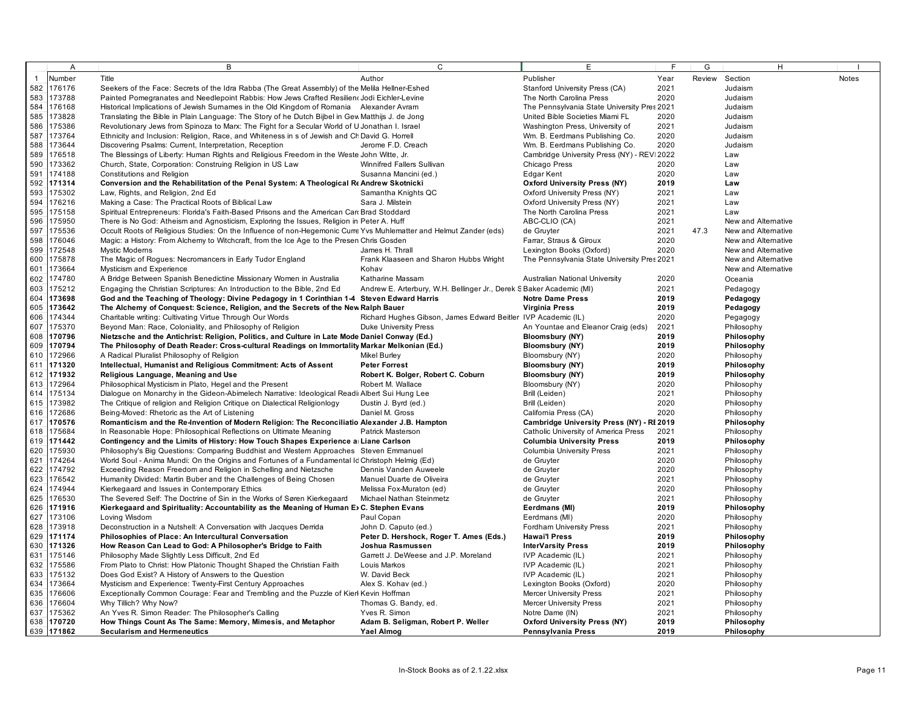|              | A                    | В                                                                                                                        | C                                                                    | E                                           | F            | G      | H                        |              |
|--------------|----------------------|--------------------------------------------------------------------------------------------------------------------------|----------------------------------------------------------------------|---------------------------------------------|--------------|--------|--------------------------|--------------|
| $\mathbf{1}$ | Number               | Title                                                                                                                    | Author                                                               | Publisher                                   | Year         | Review | Section                  | <b>Notes</b> |
|              | 582 176176           | Seekers of the Face: Secrets of the Idra Rabba (The Great Assembly) of the Melila Hellner-Eshed                          |                                                                      | Stanford University Press (CA)              | 2021         |        | Judaism                  |              |
| 583          | 173788               | Painted Pomegranates and Needlepoint Rabbis: How Jews Crafted Resilien (Jodi Eichler-Levine                              |                                                                      | The North Carolina Press                    | 2020         |        | Judaism                  |              |
| 584          | 176168               | Historical Implications of Jewish Surnames in the Old Kingdom of Romania Alexander Avram                                 |                                                                      | The Pennsylvania State University Pres 2021 |              |        | Judaism                  |              |
| 585          | 173828               | Translating the Bible in Plain Language: The Story of he Dutch Bijbel in Gew Matthijs J. de Jong                         |                                                                      | United Bible Societies Miami FL             | 2020         |        | Judaism                  |              |
| 586          | 175386               | Revolutionary Jews from Spinoza to Marx: The Fight for a Secular World of U Jonathan I. Israel                           |                                                                      | Washington Press, University of             | 2021         |        | Judaism                  |              |
| 587          | 173764               | Ethnicity and Inclusion: Religion, Race, and Whiteness in s of Jewish and Ch David G. Horrell                            |                                                                      | Wm. B. Eerdmans Publishing Co.              | 2020         |        | Judaism                  |              |
| 588          | 173644               | Discovering Psalms: Current, Interpretation, Reception                                                                   | Jerome F.D. Creach                                                   | Wm. B. Eerdmans Publishing Co.              | 2020         |        | Judaism                  |              |
| 589          | 176518               | The Blessings of Liberty: Human Rights and Religious Freedom in the Weste John Witte, Jr.                                |                                                                      | Cambridge University Press (NY) - REV 2022  |              |        | Law                      |              |
| 590          | 173362               | Church, State, Corporation: Construing Religion in US Law                                                                | Winnifred Fallers Sullivan                                           | Chicago Press                               | 2020         |        | Law                      |              |
| 591          | 174188               | Constitutions and Religion                                                                                               | Susanna Mancini (ed.)                                                | <b>Edgar Kent</b>                           | 2020         |        | Law                      |              |
|              | 592 171314           | Conversion and the Rehabilitation of the Penal System: A Theological Re Andrew Skotnicki                                 |                                                                      | <b>Oxford University Press (NY)</b>         | 2019         |        | Law                      |              |
| 593          | 175302               | Law, Rights, and Religion, 2nd Ed                                                                                        | Samantha Knights QC                                                  | Oxford University Press (NY)                | 2021         |        | Law                      |              |
| 594          | 176216               | Making a Case: The Practical Roots of Biblical Law                                                                       | Sara J. Milstein                                                     | Oxford University Press (NY)                | 2021         |        | Law                      |              |
| 595          | 175158               | Spiritual Entrepreneurs: Florida's Faith-Based Prisons and the American Car Brad Stoddard                                |                                                                      | The North Carolina Press                    | 2021         |        | Law                      |              |
| 596          | 175950               | There is No God: Atheism and Agnosticism, Exploring the Issues, Religion in Peter A. Huff                                |                                                                      | ABC-CLIO (CA)                               | 2021         |        | New and Alternative      |              |
| 597          | 175536               | Occult Roots of Religious Studies: On the Influence of non-Hegemonic Curre Yvs Muhlematter and Helmut Zander (eds)       |                                                                      | de Gruyter                                  | 2021         | 47.3   | New and Alternative      |              |
| 598          | 176046               | Magic: a History: From Alchemy to Witchcraft, from the Ice Age to the Presen Chris Gosden                                |                                                                      | Farrar, Straus & Giroux                     | 2020         |        | New and Alternative      |              |
| 599          | 172548               | <b>Mystic Modems</b>                                                                                                     | James H. Thrall                                                      | Lexington Books (Oxford)                    | 2020         |        | New and Alternative      |              |
| 600          | 175878               | The Magic of Rogues: Necromancers in Early Tudor England                                                                 | Frank Klaaseen and Sharon Hubbs Wright                               | The Pennsylvania State University Pres 2021 |              |        | New and Alternative      |              |
| 601          | 173664               | Mysticism and Experience                                                                                                 | Kohav                                                                |                                             |              |        | New and Alternative      |              |
| 602          | 174780               | A Bridge Between Spanish Benedictine Missionary Women in Australia                                                       | Katharine Massam                                                     | Australian National University              | 2020         |        | Oceania                  |              |
| 603          | 175212               | Engaging the Christian Scriptures: An Introduction to the Bible, 2nd Ed.                                                 | Andrew E. Arterbury, W.H. Bellinger Jr., Derek S Baker Academic (MI) |                                             | 2021         |        | Pedagogy                 |              |
|              | 604 173698           | God and the Teaching of Theology: Divine Pedagogy in 1 Corinthian 1-4 Steven Edward Harris                               |                                                                      | <b>Notre Dame Press</b>                     | 2019         |        | Pedagogy                 |              |
| 605          | 173642               | The Alchemy of Conquest: Science, Religion, and the Secrets of the New Ralph Bauer                                       |                                                                      | <b>Virginia Press</b>                       | 2019         |        | Pedagogy                 |              |
| 606          | 174344               | Charitable writing: Cultivating Virtue Through Our Words                                                                 | Richard Hughes Gibson, James Edward Beitler IVP Academic (IL)        |                                             | 2020         |        | Pegagogy                 |              |
| 607          | 175370               | Beyond Man: Race, Coloniality, and Philosophy of Religion                                                                | <b>Duke University Press</b>                                         | An Yountae and Eleanor Craig (eds)          | 2021         |        | Philosophy               |              |
| 608          | 170796               | Nietzsche and the Antichrist: Religion, Politics, and Culture in Late Mode Daniel Conway (Ed.)                           |                                                                      | <b>Bloomsbury (NY)</b>                      | 2019         |        | Philosophy               |              |
|              | 609 170794           | The Philosophy of Death Reader: Cross-cultural Readings on Immortality Markar Melkonian (Ed.)                            |                                                                      | <b>Bloomsbury (NY)</b>                      | 2019         |        | Philosophy               |              |
|              | 610 172966           | A Radical Pluralist Philosophy of Religion                                                                               | Mikel Burley                                                         | Bloomsbury (NY)                             | 2020         |        | Philosophy               |              |
|              | 611 171320           | Intellectual, Humanist and Religious Commitment: Acts of Assent                                                          | <b>Peter Forrest</b>                                                 | Bloomsbury (NY)                             | 2019         |        | Philosophy               |              |
|              | 612 171932           | Religious Language, Meaning and Use                                                                                      | Robert K. Bolger, Robert C. Coburn                                   | <b>Bloomsbury (NY)</b>                      | 2019         |        | Philosophy               |              |
|              | 613 172964           | Philosophical Mysticism in Plato, Hegel and the Present                                                                  | Robert M. Wallace                                                    | Bloomsbury (NY)                             | 2020         |        | Philosophy               |              |
|              | 614 175134           | Dialogue on Monarchy in the Gideon-Abimelech Narrative: Ideological Readi Albert Sui Hung Lee                            |                                                                      | Brill (Leiden)                              | 2021         |        | Philosophy               |              |
|              | 615 173982           | The Critique of religion and Religion Critique on Dialectical Religionlogy                                               | Dustin J. Byrd (ed.)                                                 | Brill (Leiden)                              | 2020         |        | Philosophy               |              |
|              | 616 172686           | Being-Moved: Rhetoric as the Art of Listening                                                                            | Daniel M. Gross                                                      | California Press (CA)                       | 2020         |        | Philosophy               |              |
|              | 617 170576           | Romanticism and the Re-Invention of Modern Religion: The Reconciliatio Alexander J.B. Hampton                            |                                                                      | Cambridge University Press (NY) - RI 2019   |              |        | Philosophy               |              |
|              | 618 175684           | In Reasonable Hope: Philosophical Reflections on Ultimate Meaning                                                        | Patrick Masterson                                                    | Catholic University of America Press        | 2021         |        | Philosophy               |              |
|              | 619 171442           | Contingency and the Limits of History: How Touch Shapes Experience a Liane Carlson                                       |                                                                      | <b>Columbia University Press</b>            | 2019         |        | Philosophy               |              |
| 620          | 175930               | Philosophy's Big Questions: Comparing Buddhist and Western Approaches Steven Emmanuel                                    |                                                                      | <b>Columbia University Press</b>            | 2021         |        | Philosophy               |              |
| 621          | 174264               | World Soul - Anima Mundi: On the Origins and Fortunes of a Fundamental Id Christoph Helmig (Ed)                          |                                                                      | de Gruyter                                  | 2020         |        | Philosophy               |              |
| 622          | 174792               | Exceeding Reason Freedom and Religion in Schelling and Nietzsche                                                         | Dennis Vanden Auweele                                                | de Gruyter                                  | 2020         |        | Philosophy               |              |
| 623          | 176542               | Humanity Divided: Martin Buber and the Challenges of Being Chosen                                                        | Manuel Duarte de Oliveira                                            | de Gruyter                                  | 2021         |        | Philosophy               |              |
| 624          | 174944               | Kierkegaard and Issues in Contemporary Ethics                                                                            | Melissa Fox-Muraton (ed)                                             | de Gruyter                                  | 2020         |        | Philosophy               |              |
| 625          | 176530               | The Severed Self: The Doctrine of Sin in the Works of Søren Kierkegaard                                                  | Michael Nathan Steinmetz                                             | de Gruyter                                  | 2021         |        | Philosophy               |              |
| 626          | 171916               | Kierkegaard and Spirituality: Accountability as the Meaning of Human E) C. Stephen Evans                                 |                                                                      | Eerdmans (MI)                               | 2019         |        | Philosophy               |              |
| 627          | 173106               | Loving Wisdom                                                                                                            | Paul Copan                                                           | Eerdmans (MI)                               | 2020         |        | Philosophy               |              |
| 629          | 628 173918           | Deconstruction in a Nutshell: A Conversation with Jacques Derrida                                                        | John D. Caputo (ed.)                                                 | <b>Fordham University Press</b>             | 2021         |        | Philosophy               |              |
|              | 171174               | Philosophies of Place: An Intercultural Conversation                                                                     | Peter D. Hershock, Roger T. Ames (Eds.)                              | <b>Hawai'l Press</b>                        | 2019         |        | Philosophy               |              |
| 631          | 630 171326<br>175146 | How Reason Can Lead to God: A Philosopher's Bridge to Faith                                                              | Joshua Rasmussen<br>Garrett J. DeWeese and J.P. Moreland             | <b>InterVarsity Press</b>                   | 2019<br>2021 |        | Philosophy               |              |
| 632          | 175586               | Philosophy Made Slightly Less Difficult, 2nd Ed<br>From Plato to Christ: How Platonic Thought Shaped the Christian Faith | Louis Markos                                                         | IVP Academic (IL)<br>IVP Academic (IL)      | 2021         |        | Philosophy<br>Philosophy |              |
| 633          | 175132               | Does God Exist? A History of Answers to the Question                                                                     | W. David Beck                                                        | IVP Academic (IL)                           | 2021         |        | Philosophy               |              |
|              | 634 173664           | Mysticism and Experience: Twenty-First Century Approaches                                                                | Alex S. Kohav (ed.)                                                  | Lexington Books (Oxford)                    | 2020         |        | Philosophy               |              |
| 635          | 176606               | Exceptionally Common Courage: Fear and Trembling and the Puzzle of Kierl Kevin Hoffman                                   |                                                                      | <b>Mercer University Press</b>              | 2021         |        | Philosophy               |              |
| 636          | 176604               | Why Tillich? Why Now?                                                                                                    | Thomas G. Bandy, ed.                                                 | <b>Mercer University Press</b>              | 2021         |        | Philosophy               |              |
| 637          | 175362               | An Yves R. Simon Reader: The Philosopher's Calling                                                                       | Yves R. Simon                                                        | Notre Dame (IN)                             | 2021         |        | Philosophy               |              |
|              | 638 170720           | How Things Count As The Same: Memory, Mimesis, and Metaphor                                                              | Adam B. Seligman, Robert P. Weller                                   | <b>Oxford University Press (NY)</b>         | 2019         |        | Philosophy               |              |
|              | 639 171862           | <b>Secularism and Hermeneutics</b>                                                                                       | Yael Almog                                                           | Pennsylvania Press                          | 2019         |        | Philosophy               |              |
|              |                      |                                                                                                                          |                                                                      |                                             |              |        |                          |              |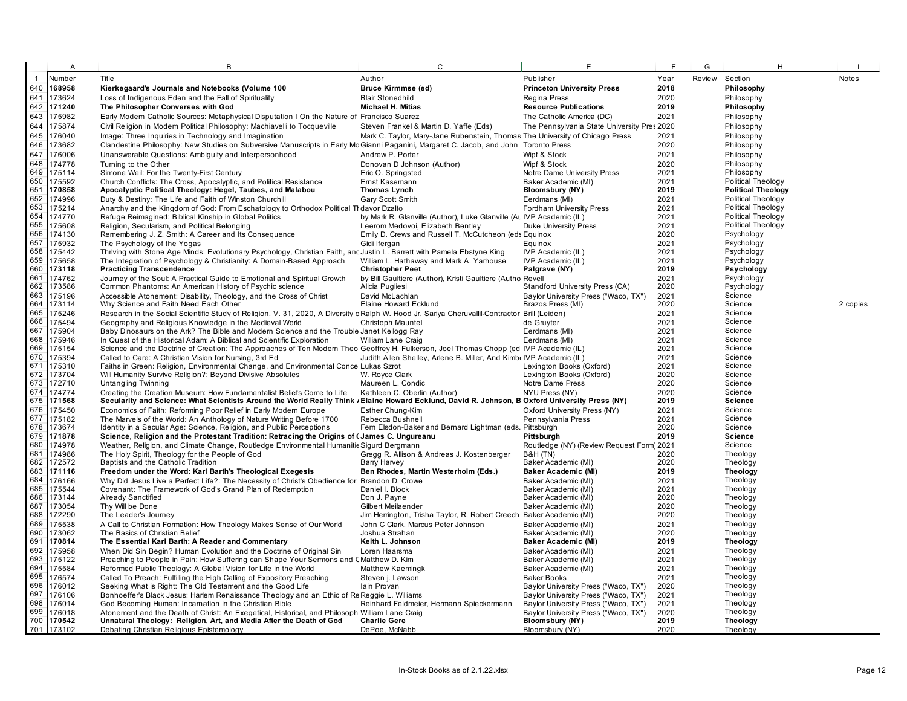|            | $\overline{A}$   | B                                                                                                                                                              | $\mathsf{C}$                                                                  | Е                                                 | F            | G      | H                         |              |
|------------|------------------|----------------------------------------------------------------------------------------------------------------------------------------------------------------|-------------------------------------------------------------------------------|---------------------------------------------------|--------------|--------|---------------------------|--------------|
|            | Number           | Title                                                                                                                                                          | Author                                                                        | Publisher                                         | Year         | Review | Section                   | <b>Notes</b> |
| 640        | 168958           | Kierkegaard's Journals and Notebooks (Volume 100                                                                                                               | <b>Bruce Kirmmse (ed)</b>                                                     | <b>Princeton University Press</b>                 | 2018         |        | Philosophy                |              |
| 641        | 173624           | Loss of Indigenous Eden and the Fall of Spirituality                                                                                                           | <b>Blair Stonedhild</b>                                                       | Regina Press                                      | 2020         |        | Philosophy                |              |
| 642        | 171240           | The Philosopher Converses with God                                                                                                                             | <b>Michael H. Mitias</b>                                                      | <b>Resource Publications</b>                      | 2019         |        | Philosophy                |              |
| 643        | 175982           | Early Modern Catholic Sources: Metaphysical Disputation I On the Nature of Francisco Suarez                                                                    |                                                                               | The Catholic America (DC)                         | 2021         |        | Philosophy                |              |
| 644        | 175874           | Civil Religion in Modem Political Philosophy: Machiavelli to Tocqueville                                                                                       | Steven Frankel & Martin D. Yaffe (Eds)                                        | The Pennsylvania State University Pres 2020       |              |        | Philosophy                |              |
| 645        | 176040           | Image: Three Inquiries in Technology and Imagination                                                                                                           | Mark C. Taylor, Mary-Jane Rubenstein, Thomas The University of Chicago Press  |                                                   | 2021         |        | Philosophy                |              |
| 646        | 173682           | Clandestine Philosophy: New Studies on Subversive Manuscripts in Early Mc Gianni Paganini, Margaret C. Jacob, and John (Toronto Press                          |                                                                               |                                                   | 2020         |        | Philosophy                |              |
| 647        | 176006           | Unanswerable Questions: Ambiguity and Interpersonhood                                                                                                          | Andrew P. Porter                                                              | Wipf & Stock                                      | 2021         |        | Philosophy                |              |
| 648        | 174778           | Turning to the Other                                                                                                                                           | Donovan D Johnson (Author)                                                    | Wipf & Stock                                      | 2020         |        | Philosophy                |              |
| 649        | 175114           | Simone Weil: For the Twenty-First Century                                                                                                                      | Eric O. Springsted                                                            | Notre Dame University Press                       | 2021         |        | Philosophy                |              |
| 650        | 175592           | Church Conflicts: The Cross, Apocalyptic, and Political Resistance                                                                                             | Ernst Kasemann                                                                | Baker Academic (MI)                               | 2021         |        | Political Theology        |              |
| 651        | 170858           | Apocalyptic Political Theology: Hegel, Taubes, and Malabou                                                                                                     | Thomas Lynch                                                                  | Bloomsbury (NY)                                   | 2019         |        | <b>Political Theology</b> |              |
| 652        | 174996           | Duty & Destiny: The Life and Faith of Winston Churchill                                                                                                        | Gary Scott Smith                                                              | Eerdmans (MI)                                     | 2021         |        | Political Theology        |              |
| 653        | 175214           | Anarchy and the Kingdom of God: From Eschatology to Orthodox Political TI davor Dzalto                                                                         |                                                                               | <b>Fordham University Press</b>                   | 2021         |        | <b>Political Theology</b> |              |
| 654        | 174770           | Refuge Reimagined: Biblical Kinship in Global Politics                                                                                                         | by Mark R. Glanville (Author), Luke Glanville (Au IVP Academic (IL)           |                                                   | 2021         |        | Political Theology        |              |
| 655        | 175608           | Religion, Secularism, and Political Belonging                                                                                                                  | Leerom Medovoi, Elizabeth Bentley                                             | <b>Duke University Press</b>                      | 2021         |        | Political Theology        |              |
| 656        | 174130           | Remembering J. Z. Smith: A Career and Its Consequence                                                                                                          | Emily D. Crews and Russell T. McCutcheon (eds Equinox                         |                                                   | 2020         |        | Psychology                |              |
| 657        | 175932           | The Psychology of the Yogas                                                                                                                                    | Gidi Ifergan                                                                  | Equinox                                           | 2021         |        | Psychology                |              |
| 658        | 175442           | Thriving with Stone Age Minds: Evolutionary Psychology, Christian Faith, anc Justin L. Barrett with Pamela Ebstyne King                                        |                                                                               | IVP Academic (IL)                                 | 2021         |        | Psychology                |              |
| 659        | 175658           | The Integration of Psychology & Christianity: A Domain-Based Approach                                                                                          | William L. Hathaway and Mark A. Yarhouse                                      | IVP Academic (IL)                                 | 2021         |        | Psychology                |              |
| 660        | 173118           | <b>Practicing Transcendence</b>                                                                                                                                | <b>Christopher Peet</b>                                                       | Palgrave (NY)                                     | 2019         |        | Psychology                |              |
| 661<br>662 | 174762<br>173586 | Journey of the Soul: A Practical Guide to Emotional and Spiritual Growth<br>Common Phantoms: An American History of Psychic science                            | by Bill Gaultiere (Author), Kristi Gaultiere (Autho Revell<br>Alicia Pugliesi | Standford University Press (CA)                   | 2021<br>2020 |        | Psychology<br>Psychology  |              |
| 663        | 175196           | Accessible Atonement: Disability, Theology, and the Cross of Christ                                                                                            | David McLachlan                                                               | Baylor University Press ("Waco, TX")              | 2021         |        | Science                   |              |
| 664        | 173114           | Why Science and Faith Need Each Other                                                                                                                          | Elaine Howard Ecklund                                                         | Brazos Press (MI)                                 | 2020         |        | Science                   | 2 copies     |
| 665        | 175246           | Research in the Social Scientific Study of Religion, V. 31, 2020, A Diversity c Ralph W. Hood Jr, Sariya Cheruvallil-Contractor Brill (Leiden)                 |                                                                               |                                                   | 2021         |        | Science                   |              |
| 666        | 175494           | Geography and Religious Knowledge in the Medieval World                                                                                                        | Christoph Mauntel                                                             | de Gruyter                                        | 2021         |        | Science                   |              |
| 667        | 175904           | Baby Dinosaurs on the Ark? The Bible and Modern Science and the Trouble Janet Kellogg Ray                                                                      |                                                                               | Eerdmans (MI)                                     | 2021         |        | Science                   |              |
| 668        | 175946           | In Quest of the Historical Adam: A Biblical and Scientific Exploration                                                                                         | William Lane Craig                                                            | Eerdmans (MI)                                     | 2021         |        | Science                   |              |
| 669        | 175154           | Science and the Doctrine of Creation: The Approaches of Ten Modern Theo Geoffrey H. Fulkerson, Joel Thomas Chopp (ed: IVP Academic (IL)                        |                                                                               |                                                   | 2021         |        | Science                   |              |
| 670        | 175394           | Called to Care: A Christian Vision for Nursing, 3rd Ed.                                                                                                        | Judith Allen Shelley, Arlene B. Miller, And KimbelVP Academic (IL)            |                                                   | 2021         |        | Science                   |              |
| 671        | 175310           | Faiths in Green: Religion, Environmental Change, and Environmental Conce Lukas Szrot                                                                           |                                                                               | Lexington Books (Oxford)                          | 2021         |        | Science                   |              |
| 672        | 173704           | Will Humanity Survive Religion?: Beyond Divisive Absolutes                                                                                                     | W. Royce Clark                                                                | Lexington Books (Oxford)                          | 2020         |        | Science                   |              |
| 673        | 172710           | <b>Untangling Twinning</b>                                                                                                                                     | Maureen L. Condic                                                             | Notre Dame Press                                  | 2020         |        | Science                   |              |
| 674        | 174774           | Creating the Creation Museum: How Fundamentalist Beliefs Come to Life                                                                                          | Kathleen C. Oberlin (Author)                                                  | NYU Press (NY)                                    | 2020         |        | Science                   |              |
| 675        | 171568           | Secularity and Science: What Scientists Around the World Really Think / Elaine Howard Ecklund, David R. Johnson, B Oxford University Press (NY)                |                                                                               |                                                   | 2019         |        | <b>Science</b>            |              |
| 676<br>677 | 175450           | Economics of Faith: Reforming Poor Relief in Early Modern Europe                                                                                               | Esther Chung-Kim                                                              | Oxford University Press (NY)                      | 2021         |        | Science<br>Science        |              |
| 678        | 175182<br>173674 | The Marvels of the World: An Anthology of Nature Writing Before 1700<br>Identity in a Secular Age: Science, Religion, and Public Perceptions                   | Rebecca Bushnell<br>Fem Elsdon-Baker and Bernard Lightman (eds. Pittsburgh    | Pennsylvania Press                                | 2021<br>2020 |        | Science                   |              |
| 679        | 171878           | Science, Religion and the Protestant Tradition: Retracing the Origins of Cames C. Ungureanu                                                                    |                                                                               | Pittsburgh                                        | 2019         |        | <b>Science</b>            |              |
| 680        | 174978           | Weather, Religion, and Climate Change, Routledge Environmental Humanitic Sigurd Bergmann                                                                       |                                                                               | Routledge (NY) (Review Request Form) 2021         |              |        | Science                   |              |
| 681        | 174986           | The Holy Spirit, Theology for the People of God                                                                                                                | Gregg R. Allison & Andreas J. Kostenberger                                    | <b>B&amp;H (TN)</b>                               | 2020         |        | Theology                  |              |
| 682        | 172572           | Baptists and the Catholic Tradition                                                                                                                            | Barry Harvey                                                                  | Baker Academic (MI)                               | 2020         |        | Theology                  |              |
| 683        | 171116           | Freedom under the Word: Karl Barth's Theological Exegesis                                                                                                      | Ben Rhodes, Martin Westerholm (Eds.)                                          | <b>Baker Academic (MI)</b>                        | 2019         |        | <b>Theology</b>           |              |
| 684        | 176166           | Why Did Jesus Live a Perfect Life?: The Necessity of Christ's Obedience for Brandon D. Crowe                                                                   |                                                                               | Baker Academic (MI)                               | 2021         |        | Theology                  |              |
| 685        | 175544           | Covenant: The Framework of God's Grand Plan of Redemption                                                                                                      | Daniel I. Block                                                               | Baker Academic (MI)                               | 2021         |        | Theology                  |              |
| 686        | 173144           | Already Sanctified                                                                                                                                             | Don J. Pavne                                                                  | Baker Academic (MI)                               | 2020         |        | Theology                  |              |
| 687        | 173054           | Thy Will be Done                                                                                                                                               | Gilbert Meilaender                                                            | Baker Academic (MI)                               | 2020         |        | Theology                  |              |
| 688        | 172290           | The Leader's Journey                                                                                                                                           | Jim Herrington, Trisha Taylor, R. Robert Creech Baker Academic (MI)           |                                                   | 2020         |        | Theology                  |              |
| 689        | 175538           | A Call to Christian Formation: How Theology Makes Sense of Our World                                                                                           | John C Clark, Marcus Peter Johnson                                            | Baker Academic (MI)                               | 2021         |        | Theology                  |              |
| 690<br>691 | 173062<br>170814 | The Basics of Christian Belief                                                                                                                                 | Joshua Strahan<br>Keith L. Johnson                                            | Baker Academic (MI)<br><b>Baker Academic (MI)</b> | 2020<br>2019 |        | Theology                  |              |
| 692        |                  | The Essential Karl Barth: A Reader and Commentary                                                                                                              |                                                                               |                                                   |              |        | <b>Theology</b>           |              |
| 693        | 175958<br>175122 | When Did Sin Begin? Human Evolution and the Doctrine of Original Sin<br>Preaching to People in Pain: How Suffering can Shape Your Sermons and C Matthew D. Kim | Loren Haarsma                                                                 | Baker Academic (MI)<br>Baker Academic (MI)        | 2021<br>2021 |        | Theology<br>Theology      |              |
| 694        | 175584           | Reformed Public Theology: A Global Vision for Life in the World                                                                                                | Matthew Kaemingk                                                              | Baker Academic (MI)                               | 2021         |        | Theology                  |              |
| 695        | 176574           | Called To Preach: Fulfilling the High Calling of Expository Preaching                                                                                          | Steven j. Lawson                                                              | <b>Baker Books</b>                                | 2021         |        | Theology                  |              |
| 696        | 176012           | Seeking What is Right: The Old Testament and the Good Life                                                                                                     | lain Provan                                                                   | Baylor University Press ("Waco, TX")              | 2020         |        | Theology                  |              |
| 697        | 176106           | Bonhoeffer's Black Jesus: Harlem Renaissance Theology and an Ethic of Re Reggie L. Williams                                                                    |                                                                               | Baylor University Press ("Waco, TX")              | 2021         |        | Theology                  |              |
| 698        | 176014           | God Becoming Human: Incarnation in the Christian Bible                                                                                                         | Reinhard Feldmeier, Hermann Spieckermann                                      | Baylor University Press ("Waco, TX")              | 2021         |        | Theology                  |              |
| 699        | 176018           | Atonement and the Death of Christ: An Exegetical, Historical, and Philosoph William Lane Craig                                                                 |                                                                               | Baylor University Press ("Waco, TX")              | 2020         |        | Theology                  |              |
|            | 700 170542       | Unnatural Theology: Religion, Art, and Media After the Death of God                                                                                            | <b>Charlie Gere</b>                                                           | Bloomsbury (NY)                                   | 2019         |        | <b>Theology</b>           |              |
|            | 701 173102       | Debating Christian Religious Epistemology                                                                                                                      | DePoe, McNabb                                                                 | Bloomsbury (NY)                                   | 2020         |        | Theology                  |              |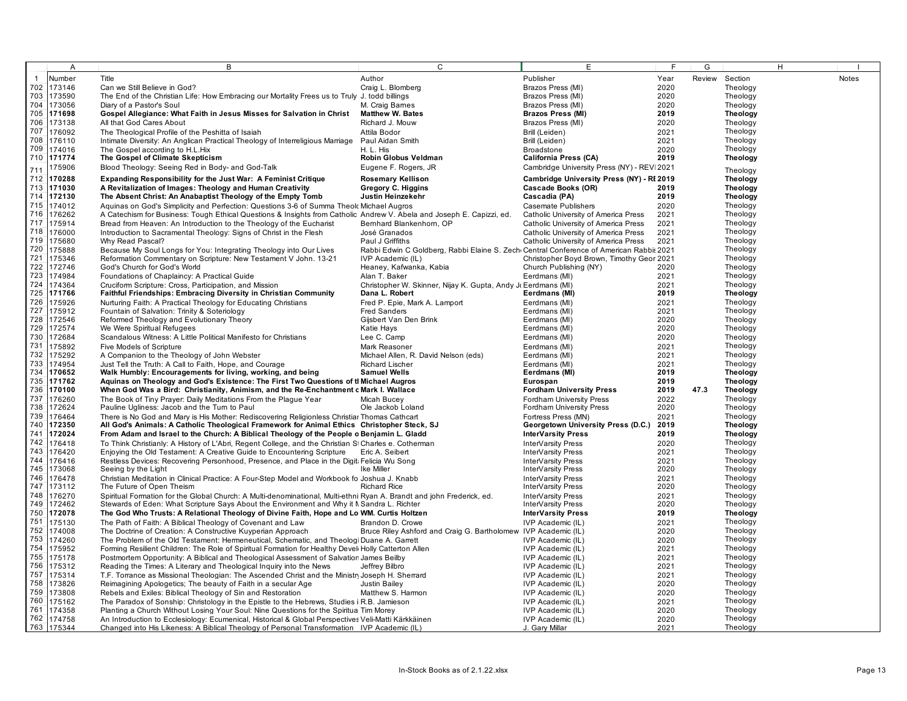|              | A          | B                                                                                                                                                                                       | $\mathsf{C}$                                                                            | E                                               | E    | G    |                      | H |              |
|--------------|------------|-----------------------------------------------------------------------------------------------------------------------------------------------------------------------------------------|-----------------------------------------------------------------------------------------|-------------------------------------------------|------|------|----------------------|---|--------------|
| $\mathbf{1}$ | Number     | Title                                                                                                                                                                                   | Author                                                                                  | Publisher                                       | Year |      | Review Section       |   | <b>Notes</b> |
|              | 702 173146 | Can we Still Believe in God?                                                                                                                                                            | Craig L. Blomberg                                                                       | Brazos Press (MI)                               | 2020 |      | Theology             |   |              |
| 703          | 173590     | The End of the Christian Life: How Embracing our Mortality Frees us to Truly J. todd billings                                                                                           |                                                                                         | Brazos Press (MI)                               | 2020 |      | Theology             |   |              |
|              | 704 173056 | Diary of a Pastor's Soul                                                                                                                                                                | M. Craig Barnes                                                                         | Brazos Press (MI)                               | 2020 |      | Theology             |   |              |
|              | 705 171698 | Gospel Allegiance: What Faith in Jesus Misses for Salvation in Christ                                                                                                                   | <b>Matthew W. Bates</b>                                                                 | <b>Brazos Press (MI)</b>                        | 2019 |      | <b>Theology</b>      |   |              |
|              |            |                                                                                                                                                                                         |                                                                                         |                                                 |      |      |                      |   |              |
| 706          | 173138     | All that God Cares About                                                                                                                                                                | Richard J. Mouw                                                                         | Brazos Press (MI)                               | 2020 |      | Theology             |   |              |
| 707          | 176092     | The Theological Profile of the Peshitta of Isaiah                                                                                                                                       | Attila Bodor                                                                            | Brill (Leiden)                                  | 2021 |      | Theology             |   |              |
| 708          | 176110     | Intimate Diversity: An Anglican Practical Theology of Interreligious Marriage                                                                                                           | Paul Aidan Smith                                                                        | Brill (Leiden)                                  | 2021 |      | Theology             |   |              |
| 709          | 174016     | The Gospel according to H.L.Hix                                                                                                                                                         | H. L. His                                                                               | <b>Broadstone</b>                               | 2020 |      | Theology             |   |              |
|              | 710 171774 | The Gospel of Climate Skepticism                                                                                                                                                        | Robin Globus Veldman                                                                    | <b>California Press (CA)</b>                    | 2019 |      | <b>Theology</b>      |   |              |
| 711          | 175906     | Blood Theology: Seeing Red in Body- and God-Talk                                                                                                                                        | Eugene F. Rogers, JR                                                                    | Cambridge University Press (NY) - REV 2021      |      |      | Theology             |   |              |
| 712          | 170288     | <b>Expanding Responsibility for the Just War: A Feminist Critique</b>                                                                                                                   | <b>Rosemary Kellison</b>                                                                | Cambridge University Press (NY) - RI 2019       |      |      | <b>Theology</b>      |   |              |
| 713          | 171030     | A Revitalization of Images: Theology and Human Creativity                                                                                                                               | Gregory C. Higgins                                                                      | Cascade Books (OR)                              | 2019 |      | Theology             |   |              |
|              | 714 172130 | The Absent Christ: An Anabaptist Theology of the Empty Tomb                                                                                                                             | Justin Heinzekehr                                                                       | Cascadia (PA)                                   | 2019 |      | Theology             |   |              |
|              | 715 174012 | Aquinas on God's Simplicity and Perfection: Questions 3-6 of Summa Theolc Michael Augros                                                                                                |                                                                                         | <b>Casemate Publishers</b>                      | 2020 |      | Theology             |   |              |
| 716          | 176262     |                                                                                                                                                                                         |                                                                                         |                                                 |      |      | Theology             |   |              |
|              |            | A Catechism for Business: Tough Ethical Questions & Insights from Catholic Andrew V. Abela and Joseph E. Capizzi, ed.                                                                   |                                                                                         | Catholic University of America Press            | 2021 |      |                      |   |              |
| 717          | 175914     | Bread from Heaven: An Introduction to the Theology of the Eucharist                                                                                                                     | Bernhard Blankenhorn, OP                                                                | Catholic University of America Press            | 2021 |      | Theology             |   |              |
|              | 718 176000 | Introduction to Sacramental Theology: Signs of Christ in the Flesh                                                                                                                      | José Granados                                                                           | Catholic University of America Press            | 2021 |      | Theology             |   |              |
| 719          | 175680     | Why Read Pascal?                                                                                                                                                                        | Paul J Griffiths                                                                        | Catholic University of America Press            | 2021 |      | Theology             |   |              |
| 720          | 175888     | Because My Soul Longs for You: Integrating Theology into Our Lives                                                                                                                      | Rabbi Edwin C Goldberg, Rabbi Elaine S. Zech Central Conference of American Rabbis 2021 |                                                 |      |      | Theology             |   |              |
| 721          | 175346     | Reformation Commentary on Scripture: New Testament V John. 13-21                                                                                                                        | IVP Academic (IL)                                                                       | Christopher Boyd Brown, Timothy Geor 2021       |      |      | Theology             |   |              |
| 722          | 172746     | God's Church for God's World                                                                                                                                                            | Heaney, Kafwanka, Kabia                                                                 | Church Publishing (NY)                          | 2020 |      | Theology             |   |              |
| 723          | 174984     | Foundations of Chaplaincy: A Practical Guide                                                                                                                                            | Alan T. Baker                                                                           | Eerdmans (MI)                                   | 2021 |      | Theology             |   |              |
| 724          | 174364     | Cruciform Scripture: Cross, Participation, and Mission                                                                                                                                  | Christopher W. Skinner, Nijay K. Gupta, Andy J. Eerdmans (MI)                           |                                                 | 2021 |      | Theology             |   |              |
|              | 725 171766 | <b>Faithful Friendships: Embracing Diversity in Christian Community</b>                                                                                                                 | Dana L. Robert                                                                          | Eerdmans (MI)                                   | 2019 |      | Theology             |   |              |
| 726          | 175926     | Nurturing Faith: A Practical Theology for Educating Christians                                                                                                                          | Fred P. Epie, Mark A. Lamport                                                           | Eerdmans (MI)                                   | 2021 |      | Theology             |   |              |
| 727          | 175912     | Fountain of Salvation: Trinity & Soteriology                                                                                                                                            | <b>Fred Sanders</b>                                                                     | Eerdmans (MI)                                   | 2021 |      | Theology             |   |              |
| 728          | 172546     | Reformed Theology and Evolutionary Theory                                                                                                                                               | Gijsbert Van Den Brink                                                                  | Eerdmans (MI)                                   | 2020 |      | Theology             |   |              |
| 729          | 172574     | We Were Spiritual Refugees                                                                                                                                                              | Katie Hays                                                                              | Eerdmans (MI)                                   | 2020 |      | Theology             |   |              |
| 730          | 172684     | Scandalous Witness: A Little Political Manifesto for Christians                                                                                                                         | Lee C. Camp                                                                             | Eerdmans (MI)                                   | 2020 |      | Theology             |   |              |
| 731          | 175892     | Five Models of Scripture                                                                                                                                                                | Mark Reasoner                                                                           | Eerdmans (MI)                                   | 2021 |      | Theology             |   |              |
| 732          | 175292     | A Companion to the Theology of John Webster                                                                                                                                             | Michael Allen, R. David Nelson (eds)                                                    | Eerdmans (MI)                                   | 2021 |      | Theology             |   |              |
| 733          | 174954     | Just Tell the Truth: A Call to Faith, Hope, and Courage                                                                                                                                 | <b>Richard Lischer</b>                                                                  | Eerdmans (MI)                                   | 2021 |      | Theology             |   |              |
|              | 734 170652 | Walk Humbly: Encouragements for living, working, and being                                                                                                                              | <b>Samuel Wells</b>                                                                     | Eerdmans (MI)                                   | 2019 |      | Theology             |   |              |
|              | 735 171762 | Aquinas on Theology and God's Existence: The First Two Questions of th Michael Augros                                                                                                   |                                                                                         | Eurospan                                        | 2019 |      | Theology             |   |              |
| 736          | 170100     | When God Was a Bird: Christianity, Animism, and the Re-Enchantment c Mark I. Wallace                                                                                                    |                                                                                         | <b>Fordham University Press</b>                 | 2019 | 47.3 | Theology             |   |              |
| 737          | 176260     | The Book of Tiny Prayer: Daily Meditations From the Plague Year                                                                                                                         | Micah Bucev                                                                             | <b>Fordham University Press</b>                 | 2022 |      | Theology             |   |              |
| 738          | 172624     | Pauline Ugliness: Jacob and the Turn to Paul                                                                                                                                            | Ole Jackob Loland                                                                       | <b>Fordham University Press</b>                 | 2020 |      | Theology             |   |              |
| 739          | 176464     | There is No God and Mary is His Mother: Rediscovering Religionless Christiar Thomas Cathcart                                                                                            |                                                                                         | Fortress Press (MN)                             | 2021 |      | Theology             |   |              |
| 740          | 172350     | All God's Animals: A Catholic Theological Framework for Animal Ethics Christopher Steck, SJ                                                                                             |                                                                                         | Georgetown University Press (D.C.)              | 2019 |      | <b>Theology</b>      |   |              |
| 741          | 172024     | From Adam and Israel to the Church: A Biblical Theology of the People o Benjamin L. Gladd                                                                                               |                                                                                         | <b>InterVarsity Press</b>                       | 2019 |      | <b>Theology</b>      |   |              |
| 742          | 176418     | To Think Christianly: A History of L'Abri, Regent College, and the Christian SI Charles e. Cotherman                                                                                    |                                                                                         | InterVarsity Press                              | 2020 |      | Theology             |   |              |
| 743          | 176420     | Enjoying the Old Testament: A Creative Guide to Encountering Scripture                                                                                                                  | Eric A. Seibert                                                                         | InterVarsity Press                              | 2021 |      | Theology             |   |              |
| 744          | 176416     | Restless Devices: Recovering Personhood, Presence, and Place in the Digit: Felicia Wu Song                                                                                              |                                                                                         | InterVarsity Press                              | 2021 |      | Theology             |   |              |
|              | 745 173068 | Seeing by the Light                                                                                                                                                                     | Ike Miller                                                                              | InterVarsity Press                              | 2020 |      | Theology             |   |              |
| 746          | 176478     | Christian Meditation in Clinical Practice: A Four-Step Model and Workbook fo Joshua J. Knabb                                                                                            |                                                                                         | InterVarsity Press                              | 2021 |      | Theology             |   |              |
| 747          | 173112     | The Future of Open Theism                                                                                                                                                               | <b>Richard Rice</b>                                                                     | InterVarsity Press                              | 2020 |      | Theology             |   |              |
| 748          | 176270     | Spiritual Formation for the Global Church: A Multi-denominational, Multi-ethni Ryan A. Brandt and john Frederick, ed.                                                                   |                                                                                         | InterVarsity Press                              | 2021 |      | Theology             |   |              |
| 749          | 172462     |                                                                                                                                                                                         |                                                                                         |                                                 | 2020 |      |                      |   |              |
| 750          | 172078     | Stewards of Eden: What Scripture Says About the Environment and Why it N Sandra L. Richter<br>The God Who Trusts: A Relational Theology of Divine Faith, Hope and Lo WM. Curtis Holtzen |                                                                                         | InterVarsity Press<br><b>InterVarsity Press</b> | 2019 |      | Theology<br>Theology |   |              |
| 751          |            |                                                                                                                                                                                         |                                                                                         |                                                 |      |      |                      |   |              |
|              | 175130     | The Path of Faith: A Biblical Theology of Covenant and Law                                                                                                                              | Brandon D. Crowe                                                                        | IVP Academic (IL)                               | 2021 |      | Theology             |   |              |
| 752          | 174008     | The Doctrine of Creation: A Constructive Kuyperian Approach                                                                                                                             | Bruce Riley Ashford and Craig G. Bartholomew IVP Academic (IL)                          |                                                 | 2020 |      | Theology             |   |              |
| 753          | 174260     | The Problem of the Old Testament: Hermeneutical, Schematic, and Theologi Duane A. Garrett                                                                                               |                                                                                         | IVP Academic (IL)                               | 2020 |      | Theology             |   |              |
| 754          | 175952     | Forming Resilient Children: The Role of Spiritual Formation for Healthy Devel Holly Catterton Allen                                                                                     |                                                                                         | IVP Academic (IL)                               | 2021 |      | Theology             |   |              |
|              | 755 175178 | Postmortem Opportunity: A Biblical and Theological Assessment of Salvation James Beilby                                                                                                 |                                                                                         | IVP Academic (IL)                               | 2021 |      | Theology             |   |              |
| 756          | 175312     | Reading the Times: A Literary and Theological Inquiry into the News                                                                                                                     | Jeffrey Bilbro                                                                          | IVP Academic (IL)                               | 2021 |      | Theology             |   |              |
| 757          | 175314     | T.F. Torrance as Missional Theologian: The Ascended Christ and the Ministry Joseph H. Sherrard                                                                                          |                                                                                         | IVP Academic (IL)                               | 2021 |      | Theology             |   |              |
|              | 758 173826 | Reimagining Apologetics; The beauty of Faith in a secular Age                                                                                                                           | Justin Bailey                                                                           | IVP Academic (IL)                               | 2020 |      | Theology             |   |              |
| 759          | 173808     | Rebels and Exiles: Biblical Theology of Sin and Restoration                                                                                                                             | Matthew S. Harmon                                                                       | IVP Academic (IL)                               | 2020 |      | Theology             |   |              |
| 760          | 175162     | The Paradox of Sonship: Christology in the Epistle to the Hebrews, Studies i R.B. Jamieson                                                                                              |                                                                                         | IVP Academic (IL)                               | 2021 |      | Theology             |   |              |
| 761          | 174358     | Planting a Church Without Losing Your Soul: Nine Questions for the Spiritua Tim Morey                                                                                                   |                                                                                         | IVP Academic (IL)                               | 2020 |      | Theology             |   |              |
|              | 762 174758 | An Introduction to Ecclesiology: Ecumenical, Historical & Global Perspectives Veli-Matti Kärkkäinen                                                                                     |                                                                                         | IVP Academic (IL)                               | 2020 |      | Theology             |   |              |
|              | 763 175344 | Changed into His Likeness: A Biblical Theology of Personal Transformation IVP Academic (IL)                                                                                             |                                                                                         | J. Gary Millar                                  | 2021 |      | Theology             |   |              |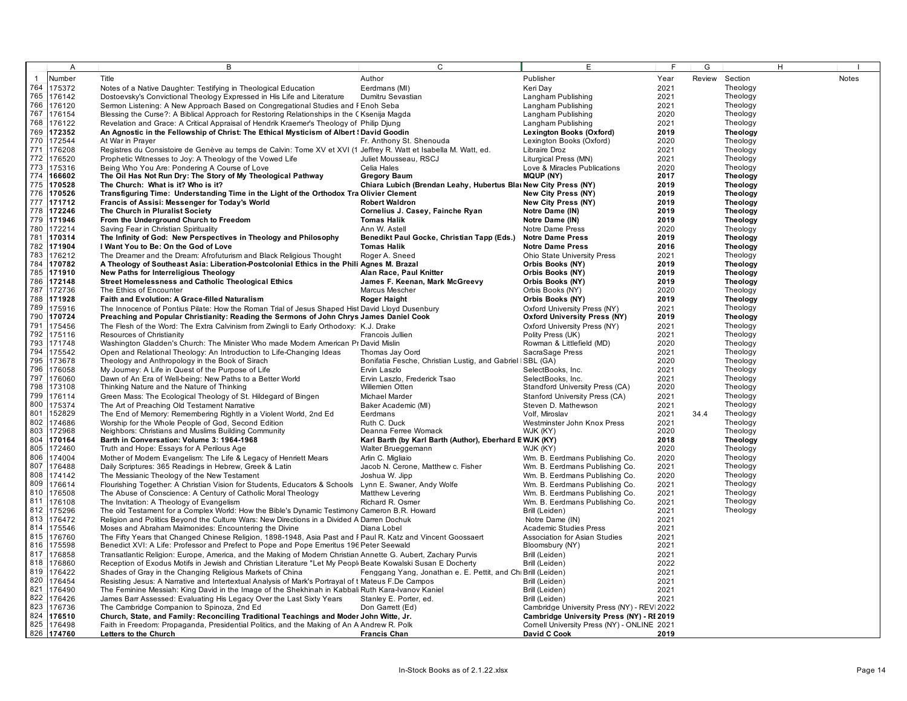|              | A                        | B                                                                                                                                                    | $\mathsf{C}$                                                                 | E                                                                | E            | G    |                             | H. |              |
|--------------|--------------------------|------------------------------------------------------------------------------------------------------------------------------------------------------|------------------------------------------------------------------------------|------------------------------------------------------------------|--------------|------|-----------------------------|----|--------------|
| $\mathbf{1}$ | Number                   | Title                                                                                                                                                | Author                                                                       | Publisher                                                        | Year         |      | Review Section              |    | <b>Notes</b> |
| 764          | 175372                   | Notes of a Native Daughter: Testifying in Theological Education                                                                                      | Eerdmans (MI)                                                                | Keri Day                                                         | 2021         |      | Theology                    |    |              |
| 765          | 176142                   | Dostoevsky's Convictional Theology Expressed in His Life and Literature                                                                              | Dumitru Sevastian                                                            | Langham Publishing                                               | 2021         |      | Theology                    |    |              |
| 766          | 176120                   | Sermon Listening: A New Approach Based on Congregational Studies and FEnoh Seba                                                                      |                                                                              | Langham Publishing                                               | 2021         |      | Theology                    |    |              |
| 767          | 176154                   | Blessing the Curse?: A Biblical Approach for Restoring Relationships in the CKsenija Magda                                                           |                                                                              | Langham Publishing                                               | 2020         |      | Theology                    |    |              |
| 768          | 176122                   | Revelation and Grace: A Critical Appraisal of Hendrik Kraemer's Theology of Philip Djung                                                             |                                                                              | Langham Publishing                                               | 2021         |      | Theology                    |    |              |
| 769          | 172352                   | An Agnostic in the Fellowship of Christ: The Ethical Mysticism of Albert ! David Goodin                                                              |                                                                              | Lexington Books (Oxford)                                         | 2019         |      | <b>Theology</b>             |    |              |
| 770          | 172544                   | At War in Prayer                                                                                                                                     | Fr. Anthony St. Shenouda                                                     | Lexington Books (Oxford)                                         | 2020         |      | Theology                    |    |              |
| 771          | 176208                   | Registres du Consistoire de Genève au temps de Calvin: Tome XV et XVI (1 Jeffrey R. Watt et Isabella M. Watt, ed.                                    |                                                                              | Libraire Droz                                                    | 2021         |      | Theology                    |    |              |
| 772          | 176520                   | Prophetic Witnesses to Joy: A Theology of the Vowed Life                                                                                             | Juliet Mousseau, RSCJ                                                        | Liturgical Press (MN)                                            | 2021         |      | Theology                    |    |              |
| 773          | 175316                   | Being Who You Are: Pondering A Course of Love                                                                                                        | Celia Hales                                                                  | Love & Miracles Publications                                     | 2020         |      | Theology                    |    |              |
| 774          | 166602                   | The Oil Has Not Run Dry: The Story of My Theological Pathway                                                                                         | <b>Gregory Baum</b>                                                          | <b>MQUP (NY)</b>                                                 | 2017         |      | <b>Theology</b>             |    |              |
| 775          | 170528<br>776 170526     | The Church: What is it? Who is it?<br>Transfiguring Time: Understanding Time in the Light of the Orthodox Tra Olivier Clement                        | Chiara Lubich (Brendan Leahy, Hubertus Blai New City Press (NY)              | New City Press (NY)                                              | 2019<br>2019 |      | Theology<br><b>Theology</b> |    |              |
| 777          | 171712                   | Francis of Assisi: Messenger for Today's World                                                                                                       | <b>Robert Waldron</b>                                                        | <b>New City Press (NY)</b>                                       | 2019         |      | <b>Theology</b>             |    |              |
|              | 778 172246               | The Church in Pluralist Society                                                                                                                      | Cornelius J. Casey, Fainche Ryan                                             | Notre Dame (IN)                                                  | 2019         |      | <b>Theology</b>             |    |              |
|              | 779 171946               | From the Underground Church to Freedom                                                                                                               | <b>Tomas Halik</b>                                                           | Notre Dame (IN)                                                  | 2019         |      | <b>Theology</b>             |    |              |
| 780          | 172214                   | Saving Fear in Christian Spirituality                                                                                                                | Ann W. Astell                                                                | Notre Dame Press                                                 | 2020         |      | Theology                    |    |              |
| 781          | 170314                   | The Infinity of God: New Perspectives in Theology and Philosophy                                                                                     | Benedikt Paul Gocke, Christian Tapp (Eds.)                                   | <b>Notre Dame Press</b>                                          | 2019         |      | <b>Theology</b>             |    |              |
|              | 782 171904               | I Want You to Be: On the God of Love                                                                                                                 | <b>Tomas Halik</b>                                                           | <b>Notre Dame Press</b>                                          | 2016         |      | <b>Theology</b>             |    |              |
| 783          | 176212                   | The Dreamer and the Dream: Afrofuturism and Black Religious Thought                                                                                  | Roger A. Sneed                                                               | Ohio State University Press                                      | 2021         |      | Theology                    |    |              |
|              | 784 170782               | A Theology of Southeast Asia: Liberation-Postcolonial Ethics in the Phili Agnes M. Brazal                                                            |                                                                              | Orbis Books (NY)                                                 | 2019         |      | <b>Theology</b>             |    |              |
|              | 785 171910               | New Paths for Interreligious Theology                                                                                                                | Alan Race, Paul Knitter                                                      | Orbis Books (NY)                                                 | 2019         |      | <b>Theology</b>             |    |              |
| 786          | 172148                   | <b>Street Homelessness and Catholic Theological Ethics</b>                                                                                           | James F. Keenan, Mark McGreevy                                               | Orbis Books (NY)                                                 | 2019         |      | Theology                    |    |              |
| 787          | 172736                   | The Ethics of Encounter                                                                                                                              | Marcus Mescher                                                               | Orbis Books (NY)                                                 | 2020         |      | Theology                    |    |              |
| 788          | 171928                   | Faith and Evolution: A Grace-filled Naturalism                                                                                                       | Roger Haight                                                                 | Orbis Books (NY)                                                 | 2019         |      | <b>Theology</b>             |    |              |
| 789          | 175916                   | The Innocence of Pontius Pilate: How the Roman Trial of Jesus Shaped Hist David Lloyd Dusenbury                                                      |                                                                              | Oxford University Press (NY)                                     | 2021         |      | Theology                    |    |              |
| 790          | 170724                   | Preaching and Popular Christianity: Reading the Sermons of John Chrys James Daniel Cook                                                              |                                                                              | <b>Oxford University Press (NY)</b>                              | 2019         |      | <b>Theology</b>             |    |              |
| 791<br>792   | 175456                   | The Flesh of the Word: The Extra Calvinism from Zwingli to Early Orthodoxy: K.J. Drake                                                               |                                                                              | Oxford University Press (NY)                                     | 2021         |      | Theology                    |    |              |
|              | 175116                   | Resources of Christianity                                                                                                                            | Francois Jullien                                                             | Polity Press (UK)                                                | 2021         |      | Theology                    |    |              |
| 793<br>794   | 171748<br>175542         | Washington Gladden's Church: The Minister Who made Modern American Pr David Mislin                                                                   |                                                                              | Rowman & Littlefield (MD)                                        | 2020<br>2021 |      | Theology<br>Theology        |    |              |
| 795          | 173678                   | Open and Relational Theology: An Introduction to Life-Changing Ideas<br>Theology and Anthropology in the Book of Sirach                              | Thomas Jay Oord<br>Bonifatia Fesche, Christian Lustig, and Gabriel (SBL (GA) | SacraSage Press                                                  | 2020         |      | Theology                    |    |              |
| 796          | 176058                   | My Journey: A Life in Quest of the Purpose of Life                                                                                                   | Ervin Laszlo                                                                 | SelectBooks, Inc.                                                | 2021         |      | Theology                    |    |              |
| 797          | 176060                   | Dawn of An Era of Well-being: New Paths to a Better World                                                                                            | Ervin Laszlo, Frederick Tsao                                                 | SelectBooks, Inc.                                                | 2021         |      | Theology                    |    |              |
| 798          | 173108                   | Thinking Nature and the Nature of Thinking                                                                                                           | Willemien Otten                                                              | Standford University Press (CA)                                  | 2020         |      | Theology                    |    |              |
| 799          | 176114                   | Green Mass: The Ecological Theology of St. Hildegard of Bingen                                                                                       | Michael Marder                                                               | Stanford University Press (CA)                                   | 2021         |      | Theology                    |    |              |
| 800          | 175374                   | The Art of Preaching Old Testament Narrative                                                                                                         | Baker Academic (MI)                                                          | Steven D. Mathewson                                              | 2021         |      | Theology                    |    |              |
| 801          | 152829                   | The End of Memory: Remembering Rightly in a Violent World, 2nd Ed                                                                                    | Eerdmans                                                                     | Volf. Miroslav                                                   | 2021         | 34.4 | Theology                    |    |              |
| 802          | 174686                   | Worship for the Whole People of God, Second Edition                                                                                                  | Ruth C. Duck                                                                 | Westminster John Knox Press                                      | 2021         |      | Theology                    |    |              |
| 803          | 172968                   | Neighbors: Christians and Muslims Building Community                                                                                                 | Deanna Ferree Womack                                                         | WJK (KY)                                                         | 2020         |      | Theology                    |    |              |
| 804          | 170164                   | Barth in Conversation: Volume 3: 1964-1968                                                                                                           | Karl Barth (by Karl Barth (Author), Eberhard EWJK (KY)                       |                                                                  | 2018         |      | <b>Theology</b>             |    |              |
| 805          | 172460                   | Truth and Hope: Essays for A Perilous Age                                                                                                            | Walter Brueggemann                                                           | WJK (KY)                                                         | 2020         |      | Theology                    |    |              |
| 806          | 174004                   | Mother of Modern Evangelism: The Life & Legacy of Henriett Mears                                                                                     | Arlin C. Migliaio                                                            | Wm. B. Eerdmans Publishing Co.                                   | 2020         |      | Theology                    |    |              |
| 807<br>808   | 176488                   | Daily Scriptures: 365 Readings in Hebrew, Greek & Latin                                                                                              | Jacob N. Cerone, Matthew c. Fisher                                           | Wm. B. Eerdmans Publishing Co.                                   | 2021         |      | Theology                    |    |              |
| 809          | 174142<br>176614         | The Messianic Theology of the New Testament<br>Flourishing Together: A Christian Vision for Students, Educators & Schools Lynn E. Swaner, Andy Wolfe | Joshua W. Jipp                                                               | Wm. B. Eerdmans Publishing Co.<br>Wm. B. Eerdmans Publishing Co. | 2020<br>2021 |      | Theology<br>Theology        |    |              |
| 810          | 176508                   | The Abuse of Conscience: A Century of Catholic Moral Theology                                                                                        | Matthew Levering                                                             | Wm. B. Eerdmans Publishing Co.                                   | 2021         |      | Theology                    |    |              |
| 811          | 176108                   | The Invitation: A Theology of Evangelism                                                                                                             | Richard R. Osmer                                                             | Wm. B. Eerdmans Publishing Co.                                   | 2021         |      | Theology                    |    |              |
| 812          | 175296                   | The old Testament for a Complex World: How the Bible's Dynamic Testimony Cameron B.R. Howard                                                         |                                                                              | Brill (Leiden)                                                   | 2021         |      | Theology                    |    |              |
|              | 813 176472               | Religion and Politics Beyond the Culture Wars: New Directions in a Divided A Darren Dochuk                                                           |                                                                              | Notre Dame (IN)                                                  | 2021         |      |                             |    |              |
| 814          | 175546                   | Moses and Abraham Maimonides: Encountering the Divine                                                                                                | Diana Lobel                                                                  | Academic Studies Press                                           | 2021         |      |                             |    |              |
| 815          | 176760                   | The Fifty Years that Changed Chinese Religion, 1898-1948, Asia Past and F Paul R. Katz and Vincent Goossaert                                         |                                                                              | Association for Asian Studies                                    | 2021         |      |                             |    |              |
| 816          | 175598                   | Benedict XVI: A Life: Professor and Prefect to Pope and Pope Emeritus 196 Peter Seewald                                                              |                                                                              | Bloomsbury (NY)                                                  | 2021         |      |                             |    |              |
| 817          | 176858                   | Transatlantic Religion: Europe, America, and the Making of Modern Christian Annette G. Aubert, Zachary Purvis                                        |                                                                              | Brill (Leiden)                                                   | 2021         |      |                             |    |              |
| 818          | 176860                   | Reception of Exodus Motifs in Jewish and Christian Literature "Let My Peopl Beate Kowalski Susan E Docherty                                          |                                                                              | Brill (Leiden)                                                   | 2022         |      |                             |    |              |
| 819          | 176422                   | Shades of Gray in the Changing Religious Markets of China                                                                                            | Fenggang Yang, Jonathan e. E. Pettit, and Chi Brill (Leiden)                 |                                                                  | 2021         |      |                             |    |              |
| 820          | 176454                   | Resisting Jesus: A Narrative and Intertextual Analysis of Mark's Portrayal of t Mateus F.De Campos                                                   |                                                                              | Brill (Leiden)                                                   | 2021         |      |                             |    |              |
| 821          | 176490                   | The Feminine Messiah: King David in the Image of the Shekhinah in Kabbali Ruth Kara-Ivanov Kaniel                                                    |                                                                              | Brill (Leiden)                                                   | 2021         |      |                             |    |              |
| 822          | 176426                   | James Barr Assessed: Evaluating His Legacy Over the Last Sixty Years                                                                                 | Stanley E. Porter, ed.                                                       | Brill (Leiden)                                                   | 2021         |      |                             |    |              |
| 823          | 176736                   | The Cambridge Companion to Spinoza, 2nd Ed                                                                                                           | Don Garrett (Ed)                                                             | Cambridge University Press (NY) - REV 2022                       |              |      |                             |    |              |
|              | 824 176510<br>825 176498 | Church, State, and Family: Reconciling Traditional Teachings and Moder John Witte, Jr.                                                               |                                                                              | Cambridge University Press (NY) - RI 2019                        |              |      |                             |    |              |
|              | 826 174760               | Faith in Freedom: Propaganda, Presidential Politics, and the Making of An A Andrew R. Polk<br>Letters to the Church                                  | <b>Francis Chan</b>                                                          | Cornell University Press (NY) - ONLINE 2021<br>David C Cook      | 2019         |      |                             |    |              |
|              |                          |                                                                                                                                                      |                                                                              |                                                                  |              |      |                             |    |              |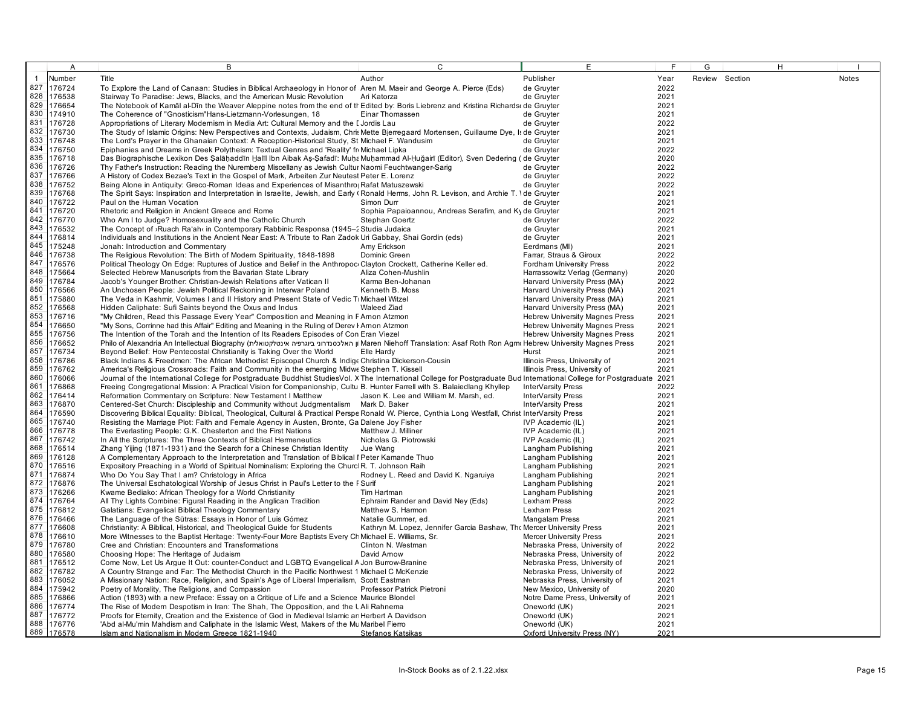|                | A                    | B                                                                                                                                                                                                    | C                                                                        | E                                                              | E            | G              | H |       |
|----------------|----------------------|------------------------------------------------------------------------------------------------------------------------------------------------------------------------------------------------------|--------------------------------------------------------------------------|----------------------------------------------------------------|--------------|----------------|---|-------|
| $\overline{1}$ | Number               | Title                                                                                                                                                                                                | Author                                                                   | Publisher                                                      | Year         | Review Section |   | Notes |
| 827            | 176724               | To Explore the Land of Canaan: Studies in Biblical Archaeology in Honor of Aren M. Maeir and George A. Pierce (Eds)                                                                                  |                                                                          | de Gruyter                                                     | 2022         |                |   |       |
| 828            | 176538               | Stairway To Paradise: Jews, Blacks, and the American Music Revolution                                                                                                                                | Ari Katorza                                                              | de Gruyter                                                     | 2021         |                |   |       |
| 829            | 176654               | The Notebook of Kamal al-Din the Weaver Aleppine notes from the end of th Edited by: Boris Liebrenz and Kristina Richards de Gruyter                                                                 |                                                                          |                                                                | 2021         |                |   |       |
| 830            | 174910               | The Coherence of "Gnosticism"Hans-Lietzmann-Vorlesungen, 18                                                                                                                                          | Einar Thomassen                                                          | de Gruyter                                                     | 2021         |                |   |       |
| 831            | 176728               | Appropriations of Literary Modernism in Media Art: Cultural Memory and the I Jordis Lau                                                                                                              |                                                                          | de Gruyter                                                     | 2022         |                |   |       |
| 832            | 176730               | The Study of Islamic Origins: New Perspectives and Contexts, Judaism, Chris Mette Bjerregaard Mortensen, Guillaume Dye, Is de Gruyter                                                                |                                                                          |                                                                | 2021         |                |   |       |
| 833            | 176748               | The Lord's Prayer in the Ghanaian Context: A Reception-Historical Study, St Michael F. Wandusim                                                                                                      |                                                                          | de Gruyter                                                     | 2021         |                |   |       |
| 834            | 176750               | Epiphanies and Dreams in Greek Polytheism: Textual Genres and 'Reality' fr Michael Lipka                                                                                                             |                                                                          | de Gruyter                                                     | 2022         |                |   |       |
|                | 835 176718           | Das Biographische Lexikon Des Salāhaddīn Halīl Ibn Aibak As-Safadī: Muha Muhammad Al-Huğairī (Editor), Sven Dedering (de Gruyter                                                                     |                                                                          |                                                                | 2020         |                |   |       |
| 836            | 176726               | Thy Father's Instruction: Reading the Nuremberg Miscellany as Jewish Cultur Naomi Feuchtwanger-Sarig                                                                                                 |                                                                          | de Gruyter                                                     | 2022         |                |   |       |
| 837            | 176766               | A History of Codex Bezae's Text in the Gospel of Mark, Arbeiten Zur Neutest Peter E. Lorenz                                                                                                          |                                                                          | de Gruyter                                                     | 2022         |                |   |       |
| 838            | 176752               | Being Alone in Antiquity: Greco-Roman Ideas and Experiences of Misanthro Rafat Matuszewski                                                                                                           |                                                                          | de Gruyter                                                     | 2022         |                |   |       |
| 839<br>840     | 176768               | The Spirit Says: Inspiration and Interpretation in Israelite, Jewish, and Early (Ronald Herms, John R. Levison, and Archie T. \de Gruyter                                                            |                                                                          |                                                                | 2021         |                |   |       |
| 841            | 176722<br>176720     | Paul on the Human Vocation<br>Rhetoric and Religion in Ancient Greece and Rome                                                                                                                       | Simon Durr                                                               | de Gruyter                                                     | 2021<br>2021 |                |   |       |
| 842            | 176770               | Who Am I to Judge? Homosexuality and the Catholic Church                                                                                                                                             | Sophia Papaioannou, Andreas Serafim, and Ky de Gruyter<br>Stephan Goertz | de Gruyter                                                     | 2022         |                |   |       |
| 843            | 176532               | The Concept of >Ruach Ra'ah‹ in Contemporary Rabbinic Responsa (1945-2 Studia Judaica                                                                                                                |                                                                          | de Gruyter                                                     | 2021         |                |   |       |
| 844            | 176814               | Individuals and Institutions in the Ancient Near East: A Tribute to Ran Zadok Uri Gabbay, Shai Gordin (eds)                                                                                          |                                                                          | de Gruyter                                                     | 2021         |                |   |       |
| 845            | 175248               | Jonah: Introduction and Commentary                                                                                                                                                                   | Amy Erickson                                                             | Eerdmans (MI)                                                  | 2021         |                |   |       |
| 846            | 176738               | The Religious Revolution: The Birth of Modern Spirituality, 1848-1898                                                                                                                                | Dominic Green                                                            | Farrar, Straus & Giroux                                        | 2022         |                |   |       |
| 847            | 176576               | Political Theology On Edge: Ruptures of Justice and Belief in the Anthropoc Clayton Crockett, Catherine Keller ed.                                                                                   |                                                                          | Fordham University Press                                       | 2022         |                |   |       |
| 848            | 175664               | Selected Hebrew Manuscripts from the Bavarian State Library                                                                                                                                          | Aliza Cohen-Mushlin                                                      | Harrassowitz Verlag (Germany)                                  | 2020         |                |   |       |
|                | 849 176784           | Jacob's Younger Brother: Christian-Jewish Relations after Vatican II                                                                                                                                 | Karma Ben-Johanan                                                        | Harvard University Press (MA)                                  | 2022         |                |   |       |
| 850            | 176566               | An Unchosen People: Jewish Political Reckoning in Interwar Poland                                                                                                                                    | Kenneth B. Moss                                                          | Harvard University Press (MA)                                  | 2021         |                |   |       |
| 851            | 175880               | The Veda in Kashmir, Volumes I and II History and Present State of Vedic Ti Michael Witzel                                                                                                           |                                                                          | Harvard University Press (MA)                                  | 2021         |                |   |       |
| 852            | 176568               | Hidden Caliphate: Sufi Saints beyond the Oxus and Indus                                                                                                                                              | <b>Waleed Ziad</b>                                                       | Harvard University Press (MA)                                  | 2021         |                |   |       |
| 853            | 176716               | "My Children, Read this Passage Every Year" Composition and Meaning in F Arnon Atzmon                                                                                                                |                                                                          | <b>Hebrew University Magnes Press</b>                          | 2021         |                |   |       |
| 854            | 176650               | "My Sons, Corrinne had this Affair" Editing and Meaning in the Ruling of Derey I Arnon Atzmon                                                                                                        |                                                                          | <b>Hebrew University Magnes Press</b>                          | 2021         |                |   |       |
| 855            | 176756               | The Intention of the Torah and the Intention of Its Readers Episodes of Con Eran Viezel                                                                                                              |                                                                          | <b>Hebrew University Magnes Press</b>                          | 2021         |                |   |       |
| 856<br>857     | 176652               | Philo of Alexandria An Intellectual Biography (האלכסנדחני ביוגרפיה אינטלקטואלית IMaren Niehoff Translation: Asaf Roth Ron Agmt Hebrew University Magnes Press                                        |                                                                          |                                                                | 2021         |                |   |       |
| 858            | 176734<br>176786     | Beyond Belief: How Pentecostal Christianity is Taking Over the World                                                                                                                                 | Elle Hardy                                                               | Hurst                                                          | 2021<br>2021 |                |   |       |
| 859            | 176762               | Black Indians & Freedmen: The African Methodist Episcopal Church & Indige Christina Dickerson-Cousin<br>America's Religious Crossroads: Faith and Community in the emerging Midwe Stephen T. Kissell |                                                                          | Illinois Press, University of<br>Illinois Press, University of | 2021         |                |   |       |
| 860            | 176066               | Journal of the International College for Postgraduate Buddhist StudiesVol. X The International College for Postgraduate Bud International College for Postgraduate 2021                              |                                                                          |                                                                |              |                |   |       |
| 861            | 176868               | Freeing Congregational Mission: A Practical Vision for Companionship, Cultu B. Hunter Farrell with S. Balaiedlang Khyllep                                                                            |                                                                          | InterVarsity Press                                             | 2022         |                |   |       |
| 862            | 176414               | Reformation Commentary on Scripture: New Testament I Matthew                                                                                                                                         | Jason K. Lee and William M. Marsh, ed.                                   | InterVarsity Press                                             | 2021         |                |   |       |
| 863            | 176870               | Centered-Set Church: Discipleship and Community without Judgmentalism Mark D. Baker                                                                                                                  |                                                                          | InterVarsity Press                                             | 2021         |                |   |       |
| 864            | 176590               | Discovering Biblical Equality: Biblical, Theological, Cultural & Practical Perspe Ronald W. Pierce, Cynthia Long Westfall, Christ InterVarsity Press                                                 |                                                                          |                                                                | 2021         |                |   |       |
| 865            | 176740               | Resisting the Marriage Plot: Faith and Female Agency in Austen, Bronte, Ga Dalene Joy Fisher                                                                                                         |                                                                          | IVP Academic (IL)                                              | 2021         |                |   |       |
| 866            | 176778               | The Everlasting People: G.K. Chesterton and the First Nations                                                                                                                                        | Matthew J. Milliner                                                      | IVP Academic (IL)                                              | 2021         |                |   |       |
| 867            | 176742               | In All the Scriptures: The Three Contexts of Biblical Hermeneutics                                                                                                                                   | Nicholas G. Piotrowski                                                   | IVP Academic (IL)                                              | 2021         |                |   |       |
| 868            | 176514               | Zhang Yijing (1871-1931) and the Search for a Chinese Christian Identity                                                                                                                             | Jue Wang                                                                 | Langham Publishing                                             | 2021         |                |   |       |
| 869            | 176128               | A Complementary Approach to the Interpretation and Translation of Biblical I Peter Kamande Thuo                                                                                                      |                                                                          | Langham Publishing                                             | 2021         |                |   |       |
|                | 870 176516           | Expository Preaching in a World of Spiritual Nominalism: Exploring the Churcl R. T. Johnson Raih                                                                                                     |                                                                          | Langham Publishing                                             | 2021         |                |   |       |
| 871<br>872     | 176874<br>176876     | Who Do You Say That I am? Christology in Africa                                                                                                                                                      | Rodney L. Reed and David K. Ngaruiya                                     | Langham Publishing                                             | 2021<br>2021 |                |   |       |
| 873            | 176266               | The Universal Eschatological Worship of Jesus Christ in Paul's Letter to the F Surif<br>Kwame Bediako: African Theology for a World Christianity                                                     | Tim Hartman                                                              | Langham Publishing<br>Langham Publishing                       | 2021         |                |   |       |
| 874            | 176764               | All Thy Lights Combine: Figural Reading in the Anglican Tradition                                                                                                                                    | Ephraim Rander and David Ney (Eds)                                       | Lexham Press                                                   | 2022         |                |   |       |
| 875            | 176812               | Galatians: Evangelical Biblical Theology Commentary                                                                                                                                                  | Matthew S. Harmon                                                        | Lexham Press                                                   | 2021         |                |   |       |
| 876            | 176466               | The Language of the Sūtras: Essays in Honor of Luis Gómez                                                                                                                                            | Natalie Gummer, ed.                                                      | <b>Mangalam Press</b>                                          | 2021         |                |   |       |
| 877            | 176608               | Christianity: A Biblical, Historical, and Theological Guide for Students                                                                                                                             | Kathryn M. Lopez, Jennifer Garcia Bashaw, The Mercer University Press    |                                                                | 2021         |                |   |       |
| 878            | 176610               | More Witnesses to the Baptist Heritage: Twenty-Four More Baptists Every Ch Michael E. Williams, Sr.                                                                                                  |                                                                          | <b>Mercer University Press</b>                                 | 2021         |                |   |       |
| 879            | 176780               | Cree and Christian: Encounters and Transformations                                                                                                                                                   | Clinton N. Westman                                                       | Nebraska Press, University of                                  | 2022         |                |   |       |
| 880            | 176580               | Choosing Hope: The Heritage of Judaism                                                                                                                                                               | David Amow                                                               | Nebraska Press, University of                                  | 2022         |                |   |       |
| 881            | 176512               | Come Now, Let Us Argue It Out: counter-Conduct and LGBTQ Evangelical A Jon Burrow-Branine                                                                                                            |                                                                          | Nebraska Press, University of                                  | 2021         |                |   |       |
| 882            | 176782               | A Country Strange and Far: The Methodist Church in the Pacific Northwest 1 Michael C McKenzie                                                                                                        |                                                                          | Nebraska Press, University of                                  | 2022         |                |   |       |
| 883            | 176052               | A Missionary Nation: Race, Religion, and Spain's Age of Liberal Imperialism, Scott Eastman                                                                                                           |                                                                          | Nebraska Press, University of                                  | 2021         |                |   |       |
| 884            | 175942               | Poetry of Morality, The Religions, and Compassion                                                                                                                                                    | Professor Patrick Pietroni                                               | New Mexico, University of                                      | 2020         |                |   |       |
| 885            | 176866               | Action (1893) with a new Preface: Essay on a Critique of Life and a Science Maurice Blondel                                                                                                          |                                                                          | Notre Dame Press, University of                                | 2021         |                |   |       |
| 887            | 886 176774           | The Rise of Modern Despotism in Iran: The Shah, The Opposition, and the LAIi Rahnema                                                                                                                 |                                                                          | Oneworld (UK)                                                  | 2021         |                |   |       |
|                | 176772<br>888 176776 | Proofs for Etemity, Creation and the Existence of God in Medieval Islamic an Herbert A Davidson                                                                                                      |                                                                          | Oneworld (UK)                                                  | 2021<br>2021 |                |   |       |
|                | 889 176578           | 'Abd al-Mu'min Mahdism and Caliphate in the Islamic West, Makers of the Mu Maribel Fierro<br>Islam and Nationalism in Modern Greece 1821-1940                                                        | Stefanos Katsikas                                                        | Oneworld (UK)<br>Oxford University Press (NY)                  | 2021         |                |   |       |
|                |                      |                                                                                                                                                                                                      |                                                                          |                                                                |              |                |   |       |